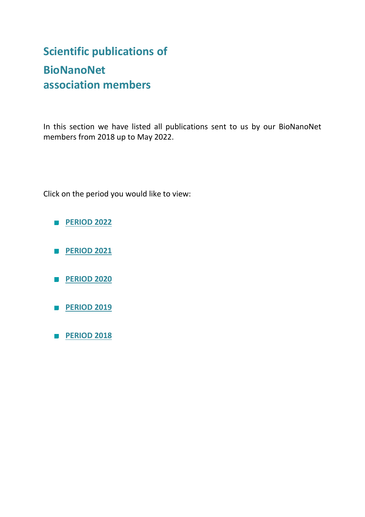# **Scientific publications of BioNanoNet association members**

In this section we have listed all publications sent to us by our BioNanoNet members from 2018 up to May 2022.

Click on the period you would like to view:

- **[PERIOD 2022](#page-1-0)**
- **[PERIOD 2021](#page-4-0)**
- **[PERIOD 2020](#page-20-0)**
- **[PERIOD 2019](#page-29-0)**
- **[PERIOD 2018](#page-37-0)**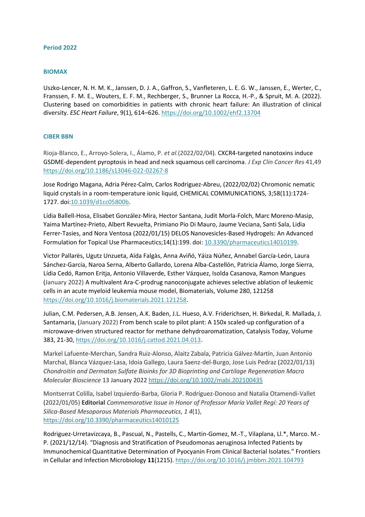## <span id="page-1-0"></span>**Period 2022**

#### **BIOMAX**

Uszko-Lencer, N. H. M. K., Janssen, D. J. A., Gaffron, S., Vanfleteren, L. E. G. W., Janssen, E., Werter, C., Franssen, F. M. E., Wouters, E. F. M., Rechberger, S., Brunner La Rocca, H.-P., & Spruit, M. A. (2022). Clustering based on comorbidities in patients with chronic heart failure: An illustration of clinical diversity. *ESC Heart Failure*, 9(1), 614–626.<https://doi.org/10.1002/ehf2.13704>

# **CIBER BBN**

Rioja-Blanco, E., Arroyo-Solera, I., Álamo, P. *et al.*(2022/02/04). CXCR4-targeted nanotoxins induce GSDME-dependent pyroptosis in head and neck squamous cell carcinoma. *J Exp Clin Cancer Res* 41,49 <https://doi.org/10.1186/s13046-022-02267-8>

Jose Rodrigo Magana, Adria Pérez-Calm, Carlos Rodriguez-Abreu, (2022/02/02) Chromonic nematic liquid crystals in a room-temperature ionic liquid, CHEMICAL COMMUNICATIONS, 3;58(11):1724- 1727. doi[:10.1039/d1cc05800b.](file://///192.168.6.99/Dateifreigabe/Bereich_EIC/BNN%20Newsletter/2022/NL%20012022/10.1039/d1cc05800b)

Lídia Ballell-Hosa, Elisabet González-Mira, Hector Santana, Judit Morla-Folch, Marc Moreno-Masip, Yaima Martínez-Prieto, Albert Revuelta, Primiano Pio Di Mauro, Jaume Veciana, Santi Sala, Lidia Ferrer-Tasies, and Nora Ventosa (2022/01/15) DELOS Nanovesicles-Based Hydrogels: An Advanced Formulation for Topical Use Pharmaceutics;14(1):199. doi: [10.3390/pharmaceutics14010199.](file://///192.168.6.99/Dateifreigabe/Bereich_EIC/BNN%20Newsletter/2022/NL%20012022/10.3390/pharmaceutics14010199)

Victor Pallarès, Ugutz Unzueta, Aïda Falgàs, Anna Aviñó, Yáiza Núñez, Annabel García-León, Laura Sánchez-García, Naroa Serna, Alberto Gallardo, Lorena Alba-Castellón, Patricia Álamo, Jorge Sierra, Lídia Cedó, Ramon Eritja, Antonio Villaverde, Esther Vázquez, Isolda Casanova, Ramon Mangues (January 2022) A multivalent Ara-C-prodrug nanoconjugate achieves selective ablation of leukemic cells in an acute myeloid leukemia mouse model, Biomaterials, Volume 280, 121258 [https://doi.org/10.1016/j.biomaterials.2021.121258.](https://doi.org/10.1016/j.biomaterials.2021.121258)

Julian, C.M. Pedersen, A.B. Jensen, A.K. Baden, J.L. Hueso, A.V. Friderichsen, H. Birkedal, R. Mallada, J. Santamaria, (January 2022) From bench scale to pilot plant: A 150x scaled-up configuration of a microwave-driven structured reactor for methane dehydroaromatization, Catalysis Today, Volume 383, 21-30[, https://doi.org/10.1016/j.cattod.2021.04.013.](https://doi.org/10.1016/j.cattod.2021.04.013)

Markel Lafuente-Merchan, Sandra Ruiz-Alonso, Alaitz Zabala, Patricia Gálvez-Martín, Juan Antonio Marchal, Blanca Vázquez-Lasa, Idoia Gallego, Laura Saenz-del-Burgo, Jose Luis Pedraz (2022/01/13) *Chondroitin and Dermatan Sulfate Bioinks for 3D Bioprinting and Cartilage Regeneration Macro Molecular Bioscience* 13 January 2022<https://doi.org/10.1002/mabi.202100435>

Montserrat Colilla, Isabel Izquierdo-Barba, Gloria P. Rodríguez-Donoso and Natalia Otamendi-Vallet (2022/01/05) **Editorial** *Commemorative Issue in Honor of Professor María Vallet Regí: 20 Years of Silica-Based Mesoporous Materials Pharmaceutics*, *1 4*(1), <https://doi.org/10.3390/pharmaceutics14010125>

Rodriguez-Urretavizcaya, B., Pascual, N., Pastells, C., Martin-Gomez, M.-T., Vilaplana, Ll.\*, Marco. M.- P. (2021/12/14). "Diagnosis and Stratification of Pseudomonas aeruginosa Infected Patients by Immunochemical Quantitative Determination of Pyocyanin From Clinical Bacterial Isolates." Frontiers in Cellular and Infection Microbiology **11**(1215).<https://doi.org/10.1016/j.jmbbm.2021.104793>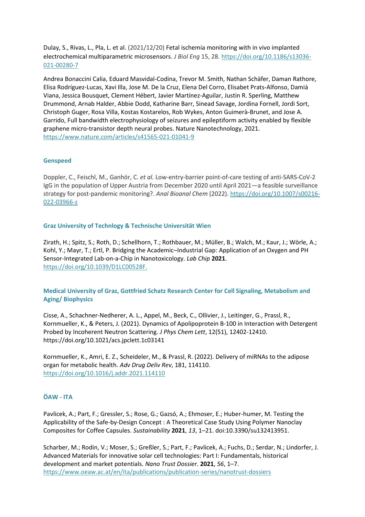Dulay, S., Rivas, L., Pla, L. et al. (2021/12/20) Fetal ischemia monitoring with in vivo implanted electrochemical multiparametric microsensors. *J Biol Eng* 15, 28. [https://doi.org/10.1186/s13036-](https://doi.org/10.1186/s13036-021-00280-7) [021-00280-7](https://doi.org/10.1186/s13036-021-00280-7)

Andrea Bonaccini Calia, Eduard Masvidal-Codina, Trevor M. Smith, Nathan Schäfer, Daman Rathore, Elisa Rodríguez-Lucas, Xavi Illa, Jose M. De la Cruz, Elena Del Corro, Elisabet Prats-Alfonso, Damià Viana, Jessica Bousquet, Clement Hébert, Javier Martínez-Aguilar, Justin R. Sperling, Matthew Drummond, Arnab Halder, Abbie Dodd, Katharine Barr, Sinead Savage, Jordina Fornell, Jordi Sort, Christoph Guger, Rosa Villa, Kostas Kostarelos, Rob Wykes, Anton Guimerà-Brunet, and Jose A. Garrido, Full bandwidth electrophysiology of seizures and epileptiform activity enabled by flexible graphene micro-transistor depth neural probes. Nature Nanotechnology, 2021. <https://www.nature.com/articles/s41565-021-01041-9>

# **Genspeed**

Doppler, C., Feischl, M., Ganhör, C. *et al.* Low-entry-barrier point-of-care testing of anti-SARS-CoV-2 IgG in the population of Upper Austria from December 2020 until April 2021—a feasible surveillance strategy for post-pandemic monitoring?. *Anal Bioanal Chem* (2022)[. https://doi.org/10.1007/s00216-](https://doi.org/10.1007/s00216-022-03966-z) [022-03966-z](https://doi.org/10.1007/s00216-022-03966-z)

# **Graz University of Technlogy & Technische Universität Wien**

Zirath, H.; Spitz, S.; Roth, D.; Schellhorn, T.; Rothbauer, M.; Müller, B.; Walch, M.; Kaur, J.; Wörle, A.; Kohl, Y.; Mayr, T.; Ertl, P. Bridging the Academic–Industrial Gap: Application of an Oxygen and PH Sensor-Integrated Lab-on-a-Chip in Nanotoxicology. *Lab Chip* **2021**. [https://doi.org/10.1039/D1LC00528F.](https://doi.org/10.1039/D1LC00528F)

# **Medical University of Graz, Gottfried Schatz Research Center for Cell Signaling, Metabolism and Aging/ Biophysics**

Cisse, A., Schachner-Nedherer, A. L., Appel, M., Beck, C., Ollivier, J., Leitinger, G., Prassl, R., Kornmueller, K., & Peters, J. (2021). Dynamics of Apolipoprotein B-100 in Interaction with Detergent Probed by Incoherent Neutron Scattering. *J Phys Chem Lett*, 12(51), 12402-12410. https://doi.org/10.1021/acs.jpclett.1c03141

Kornmueller, K., Amri, E. Z., Scheideler, M., & Prassl, R. (2022). Delivery of miRNAs to the adipose organ for metabolic health. *Adv Drug Deliv Rev*, 181, 114110. <https://doi.org/10.1016/j.addr.2021.114110>

# **ÖAW - ITA**

Pavlicek, A.; Part, F.; Gressler, S.; Rose, G.; Gazsó, A.; Ehmoser, E.; Huber-humer, M. Testing the Applicability of the Safe-by-Design Concept : A Theoretical Case Study Using Polymer Nanoclay Composites for Coffee Capsules. *Sustainability* **2021**, *13*, 1–21. doi:10.3390/su132413951.

Scharber, M.; Rodin, V.; Moser, S.; Greßler, S.; Part, F.; Pavlicek, A.; Fuchs, D.; Serdar, N.; Lindorfer, J. Advanced Materials for innovative solar cell technologies: Part I: Fundamentals, historical development and market potentials. *Nano Trust Dossier.* **2021**, *56*, 1–7. <https://www.oeaw.ac.at/en/ita/publications/publication-series/nanotrust-dossiers>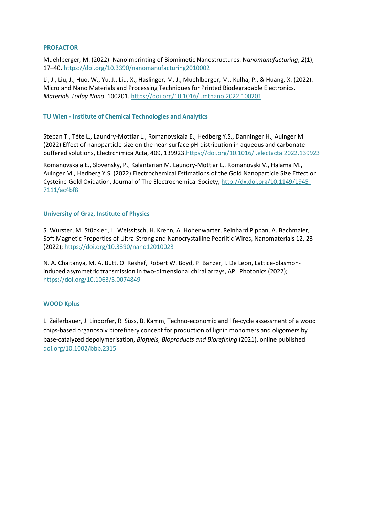## **PROFACTOR**

Muehlberger, M. (2022). Nanoimprinting of Biomimetic Nanostructures. N*anomanufacturing*, *2*(1), 17–40.<https://doi.org/10.3390/nanomanufacturing2010002>

Li, J., Liu, J., Huo, W., Yu, J., Liu, X., Haslinger, M. J., Muehlberger, M., Kulha, P., & Huang, X. (2022). Micro and Nano Materials and Processing Techniques for Printed Biodegradable Electronics. *Materials Today Nano*, 100201.<https://doi.org/10.1016/j.mtnano.2022.100201>

#### **TU Wien - Institute of Chemical Technologies and Analytics**

Stepan T., Tété L., Laundry-Mottiar L., Romanovskaia E., Hedberg Y.S., Danninger H., Auinger M. (2022) Effect of nanoparticle size on the near-surface pH-distribution in aqueous and carbonate buffered solutions, Electrchimica Acta, 409, 139923[.https://doi.org/10.1016/j.electacta.2022.139923](https://doi.org/10.1016/j.electacta.2022.139923)

Romanovskaia E., Slovensky, P., Kalantarian M. Laundry-Mottiar L., Romanovski V., Halama M., Auinger M., Hedberg Y.S. (2022) Electrochemical Estimations of the Gold Nanoparticle Size Effect on Cysteine-Gold Oxidation, Journal of The Electrochemical Society, [http://dx.doi.org/10.1149/1945-](http://dx.doi.org/10.1149/1945-7111/ac4bf8) [7111/ac4bf8](http://dx.doi.org/10.1149/1945-7111/ac4bf8) 

#### **University of Graz, Institute of Physics**

S. Wurster, M. Stückler , L. Weissitsch, H. Krenn, A. Hohenwarter, Reinhard Pippan, A. Bachmaier, Soft Magnetic Properties of Ultra-Strong and Nanocrystalline Pearlitic Wires, Nanomaterials 12, 23 (2022);<https://doi.org/10.3390/nano12010023>

N. A. Chaitanya, M. A. Butt, O. Reshef, Robert W. Boyd, P. Banzer, I. De Leon, Lattice-plasmoninduced asymmetric transmission in two-dimensional chiral arrays, APL Photonics (2022); <https://doi.org/10.1063/5.0074849>

# **WOOD Kplus**

L. Zeilerbauer, J. Lindorfer, R. Süss, B. Kamm, Techno‐economic and life‐cycle assessment of a wood chips‐based organosolv biorefinery concept for production of lignin monomers and oligomers by base‐catalyzed depolymerisation, *Biofuels, Bioproducts and Biorefining* (2021). online published [doi.org/10.1002/bbb.2315](http://doi.org/10.1002/bbb.2315)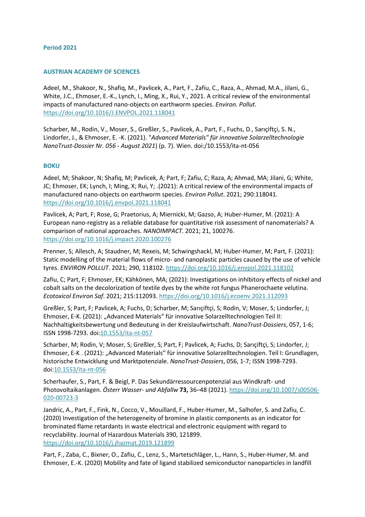## <span id="page-4-0"></span>**Period 2021**

#### **AUSTRIAN ACADEMY OF SCIENCES**

Adeel, M., Shakoor, N., Shafiq, M., Pavlicek, A., Part, F., Zafiu, C., Raza, A., Ahmad, M.A., Jilani, G., White, J.C., Ehmoser, E.-K., Lynch, I., Ming, X., Rui, Y., 2021. A critical review of the environmental impacts of manufactured nano-objects on earthworm species. *Environ. Pollut.* <https://doi.org/10.1016/J.ENVPOL.2021.118041>

Scharber, M., Rodin, V., Moser, S., Greßler, S., Pavlicek, A., Part, F., Fuchs, D., Sarıçiftçi, S. N., Lindorfer, J., & Ehmoser, E. -K. (2021). "*Advanced Materials" für innovative Solarzelltechnologie NanoTrust-Dossier Nr. 056 - August 2021*) (p. 7). Wien. doi:/10.1553/ita-nt-056

#### **BOKU**

Adeel, M; Shakoor, N; Shafiq, M; Pavlicek, A; Part, F; Zafiu, C; Raza, A; Ahmad, MA; Jilani, G; White, JC; Ehmoser, EK; Lynch, I; Ming, X; Rui, Y; .(2021): A critical review of the environmental impacts of manufactured nano-objects on earthworm species. *Environ Pollut*. 2021; 290:118041. <https://doi.org/10.1016/j.envpol.2021.118041>

Pavlicek, A; Part, F; Rose, G; Praetorius, A; Miernicki, M; Gazso, A; Huber-Humer, M. (2021): A European nano-registry as a reliable database for quantitative risk assessment of nanomaterials? A comparison of national approaches. *NANOIMPACT*. 2021; 21, 100276. <https://doi.org/10.1016/j.impact.2020.100276>

Prenner, S; Allesch, A; Staudner, M; Rexeis, M; Schwingshackl, M; Huber-Humer, M; Part, F. (2021): Static modelling of the material flows of micro- and nanoplastic particles caused by the use of vehicle tyres. *ENVIRON POLLUT*. 2021; 290, 118102.<https://doi.org/10.1016/j.envpol.2021.118102>

Zafiu, C; Part, F; Ehmoser, EK; Kähkönen, MA; (2021): Investigations on inhibitory effects of nickel and cobalt salts on the decolorization of textile dyes by the white rot fungus Phanerochaete velutina. *Ecotoxicol Environ Saf*. 2021; 215:112093[. https://doi.org/10.1016/j.ecoenv.2021.112093](https://doi.org/10.1016/j.ecoenv.2021.112093)

Greßler, S; Part, F; Pavlicek, A; Fuchs, D; Scharber, M; Sarıçiftçi, S; Rodin, V; Moser, S; Lindorfer, J; Ehmoser, E-K. (2021): "Advanced Materials" für innovative Solarzelltechnologien Teil II: Nachhaltigkeitsbewertung und Bedeutung in der Kreislaufwirtschaft. *NanoTrust-Dossiers*, 057, 1-6; ISSN 1998-7293. doi[:10.1553/ita-nt-057](https://doi.org/10.1553/ita-nt-057)

Scharber, M; Rodin, V; Moser, S; Greßler, S; Part, F; Pavlicek, A; Fuchs, D; Sarıçiftçi, S; Lindorfer, J; Ehmoser, E-K . (2021): "Advanced Materials" für innovative Solarzelltechnologien. Teil I: Grundlagen, historische Entwicklung und Marktpotenziale. *NanoTrust-Dossiers*, 056, 1-7; ISSN 1998-7293. doi[:10.1553/ita-nt-056](https://doi.org/10.1553/ita-nt-056)

Scherhaufer, S., Part, F. & Beigl, P. Das Sekundärressourcenpotenzial aus Windkraft- und Photovoltaikanlagen. *Österr Wasser- und Abfallw* **73,** 36–48 (2021). [https://doi.org/10.1007/s00506-](https://doi.org/10.1007/s00506-020-00723-3) [020-00723-3](https://doi.org/10.1007/s00506-020-00723-3)

Jandric, A., Part, F., Fink, N., Cocco, V., Mouillard, F., Huber-Humer, M., Salhofer, S. and Zafiu, C. (2020) Investigation of the heterogeneity of bromine in plastic components as an indicator for brominated flame retardants in waste electrical and electronic equipment with regard to recyclability. Journal of Hazardous Materials 390, 121899. <https://doi.org/10.1016/j.jhazmat.2019.121899>

Part, F., Zaba, C., Bixner, O., Zafiu, C., Lenz, S., Martetschläger, L., Hann, S., Huber-Humer, M. and Ehmoser, E.-K. (2020) Mobility and fate of ligand stabilized semiconductor nanoparticles in landfill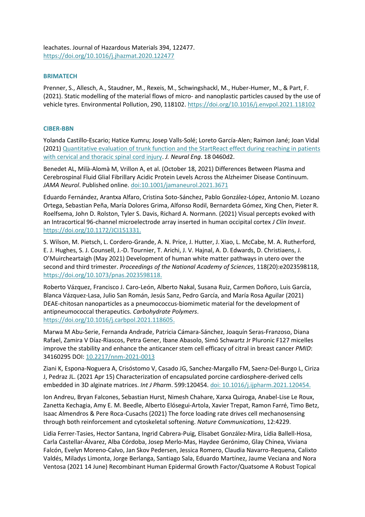leachates. Journal of Hazardous Materials 394, 122477. <https://doi.org/10.1016/j.jhazmat.2020.122477>

## **BRIMATECH**

Prenner, S., Allesch, A., Staudner, M., Rexeis, M., Schwingshackl, M., Huber-Humer, M., & Part, F. (2021). Static modelling of the material flows of micro- and nanoplastic particles caused by the use of vehicle tyres. Environmental Pollution, 290, 118102.<https://doi.org/10.1016/j.envpol.2021.118102>

#### **CIBER-BBN**

Yolanda Castillo-Escario; Hatice Kumru; Josep Valls-Solé; Loreto García-Alen; Raimon Jané; Joan Vidal (2021) [Quantitative evaluation of trunk function and the StartReact](https://iopscience.iop.org/article/10.1088/1741-2552/ac19d3) effect during reaching in patients [with cervical and thoracic spinal cord injury.](https://iopscience.iop.org/article/10.1088/1741-2552/ac19d3) *J. Neural Eng*. 18 0460d2.

Benedet AL, Milà-Alomà M, Vrillon A, et al. (October 18, 2021) Differences Between Plasma and Cerebrospinal Fluid Glial Fibrillary Acidic Protein Levels Across the Alzheimer Disease Continuum. *JAMA Neurol*. Published online. [doi:10.1001/jamaneurol.2021.3671](https://jamanetwork.com/journals/jamaneurology/fullarticle/2784931)

Eduardo Fernández, Arantxa Alfaro, Cristina Soto-Sánchez, Pablo González-López, Antonio M. Lozano Ortega, Sebastian Peña, María Dolores Grima, Alfonso Rodil, Bernardeta Gómez, Xing Chen, Pieter R. Roelfsema, John D. Rolston, Tyler S. Davis, Richard A. Normann. (2021) Visual percepts evoked with an Intracortical 96-channel microelectrode array inserted in human occipital cortex *J Clin Invest*. [https://doi.org/10.1172/JCI151331.](https://www.jci.org/articles/view/151331)

S. Wilson, M. Pietsch, L. Cordero-Grande, A. N. Price, J. Hutter, J. Xiao, L. McCabe, M. A. Rutherford, E. J. Hughes, S. J. Counsell, J.-D. Tournier, T. Arichi, J. V. Hajnal, A. D. Edwards, D. Christiaens, J. O'Muircheartaigh (May 2021) Development of human white matter pathways in utero over the second and third trimester. *Proceedings of the National Academy of Sciences*, 118(20):e2023598118, [https://doi.org/10.1073/pnas.2023598118.](https://doi.org/10.1073/pnas.2023598118)

Roberto Vázquez, Francisco J. Caro-León, Alberto Nakal, Susana Ruiz, Carmen Doñoro, Luis García, Blanca Vázquez-Lasa, Julio San Román, Jesús Sanz, Pedro García, and María Rosa Aguilar (2021) DEAE-chitosan nanoparticles as a pneumococcus-biomimetic material for the development of antipneumococcal therapeutics. *Carbohydrate Polymers*. [https://doi.org/10.1016/j.carbpol.2021.118605.](https://doi.org/10.1016/j.carbpol.2021.118605)

Marwa M Abu-Serie, Fernanda Andrade, Patricia Cámara-Sánchez, Joaquín Seras-Franzoso, Diana Rafael, Zamira V Díaz-Riascos, Petra Gener, Ibane Abasolo, Simó Schwartz Jr Pluronic F127 micelles improve the stability and enhance the anticancer stem cell efficacy of citral in breast cancer *PMID*: 34160295 DOI: [10.2217/nnm-2021-0013](https://doi.org/10.2217/nnm-2021-0013)

Ziani K, Espona-Noguera A, Crisóstomo V, Casado JG, Sanchez-Margallo FM, Saenz-Del-Burgo L, Ciriza J, Pedraz JL. (2021 Apr 15) Characterization of encapsulated porcine cardiosphere-derived cells embedded in 3D alginate matrices. *Int J Pharm*. 599:120454. [doi: 10.1016/j.ijpharm.2021.120454.](https://www.sciencedirect.com/science/article/pii/S0378517321002593?via%3Dihub)

Ion Andreu, Bryan Falcones, Sebastian Hurst, Nimesh Chahare, Xarxa Quiroga, Anabel-Lise Le Roux, Zanetta Kechagia, Amy E. M. Beedle, Alberto Elósegui-Artola, Xavier Trepat, Ramon Farré, Timo Betz, Isaac Almendros & Pere Roca-Cusachs (2021) The force loading rate drives cell mechanosensing through both reinforcement and cytoskeletal softening. *Nature Communications*, 12:4229.

Lidia Ferrer-Tasies, Hector Santana, Ingrid Cabrera-Puig, Elisabet González-Mira, Lídia Ballell-Hosa, Carla Castellar-Álvarez, Alba Córdoba, Josep Merlo-Mas, Haydee Gerónimo, Glay Chinea, Viviana Falcón, Evelyn Moreno-Calvo, Jan Skov Pedersen, Jessica Romero, Claudia Navarro-Requena, Calixto Valdés, Miladys Limonta, Jorge Berlanga, Santiago Sala, Eduardo Martínez, Jaume Veciana and Nora Ventosa (2021 14 June) Recombinant Human Epidermal Growth Factor/Quatsome A Robust Topical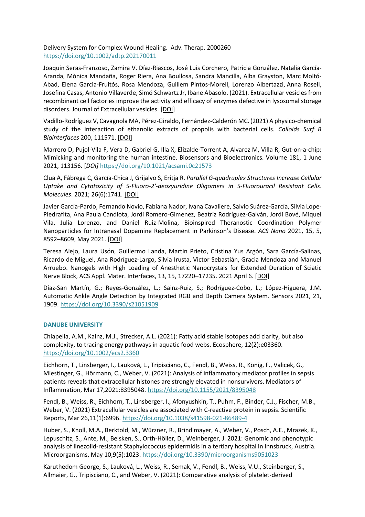Delivery System for Complex Wound Healing. Adv. Therap. 2000260 <https://doi.org/10.1002/adtp.202170011>

Joaquin Seras-Franzoso, Zamira V. Díaz-Riascos, José Luis Corchero, Patricia González, Natalia García-Aranda, Mònica Mandaña, Roger Riera, Ana Boullosa, Sandra Mancilla, Alba Grayston, Marc Moltó-Abad, Elena Garcia-Fruitós, Rosa Mendoza, Guillem Pintos-Morell, Lorenzo Albertazzi, Anna Rosell, Josefina Casas, Antonio Villaverde, Simó Schwartz Jr, Ibane Abasolo. (2021). Extracellular vesicles from recombinant cell factories improve the activity and efficacy of enzymes defective in lysosomal storage disorders. Journal of Extracellular vesicles. [\[DOI\]](https://doi.org/10.1002/jev2.12058)

Vadillo-Rodríguez V, Cavagnola MA, Pérez-Giraldo, Fernández-Calderón MC. (2021) A physico-chemical study of the interaction of ethanolic extracts of propolis with bacterial cells. *Colloids Surf B Biointerfaces* 200, 111571. [\[DOI\]](https://doi.org/10.1016/j.colsurfb.2021.111571)

Marrero D, Pujol-Vila F, Vera D, Gabriel G, Illa X, Elizalde-Torrent A, Alvarez M, Villa R, Gut-on-a-chip: Mimicking and monitoring the human intestine. Biosensors and Bioelectronics. Volume 181, 1 June 2021, 113156. [*DOI]* <https://doi.org/10.1021/acsami.0c21573>

Clua A, Fàbrega C, García-Chica J, Grijalvo S, Eritja R. *Parallel G-quadruplex Structures Increase Cellular Uptake and Cytotoxicity of 5-Fluoro-2′-deoxyuridine Oligomers in 5-Fluorouracil Resistant Cells*. *Molecules*. 2021; 26(6):1741. [\[](https://www.nanbiosis.es/rd/10.1021/acsabm.1c00144)[DOI](https://doi.org/10.3390/molecules26061741)[\]](https://www.nanbiosis.es/rd/10.1021/acsabm.1c00144)

Javier García-Pardo, Fernando Novio, Fabiana Nador, Ivana Cavaliere, Salvio Suárez-García, Silvia Lope-Piedrafita, Ana Paula Candiota, Jordi Romero-Gimenez, Beatriz Rodríguez-Galván, Jordi Bové, Miquel Vila, Julia Lorenzo, and Daniel Ruiz-Molina, Bioinspired Theranostic Coordination Polymer Nanoparticles for Intranasal Dopamine Replacement in Parkinson's Disease. *ACS Nano* 2021, 15, 5, 8592–8609, May 2021. [\[DOI\]](http://10.0.3.253/acsnano.1c00453)

Teresa Alejo, Laura Usón, Guillermo Landa, Martin Prieto, Cristina Yus Argón, Sara García-Salinas, Ricardo de Miguel, Ana Rodríguez-Largo, Silvia Irusta, Victor Sebastián, Gracia Mendoza and Manuel Arruebo. Nanogels with High Loading of Anesthetic Nanocrystals for Extended Duration of Sciatic Nerve Block, ACS Appl. Mater. Interfaces, 13, 15, 17220–17235. 2021 April 6. [\[DOI\]](https://pubmed.ncbi.nlm.nih.gov/33821601/)

Díaz-San Martín, G.; Reyes-González, L.; Sainz-Ruiz, S.; Rodríguez-Cobo, L.; López-Higuera, J.M. Automatic Ankle Angle Detection by Integrated RGB and Depth Camera System. Sensors 2021, 21, 1909[. https://doi.org/10.3390/s21051909](https://doi.org/10.3390/s21051909)

# **DANUBE UNIVERSITY**

Chiapella, A.M., Kainz, M.J., Strecker, A.L. (2021): Fatty acid stable isotopes add clarity, but also complexity, to tracing energy pathways in aquatic food webs. Ecosphere, 12(2):e03360. <https://doi.org/10.1002/ecs2.3360>

Eichhorn, T., Linsberger, I., Lauková, L., Tripisciano, C., Fendl, B., Weiss, R., König, F., Valicek, G., Miestinger, G., Hörmann, C., Weber, V. (2021): Analysis of inflammatory mediator profiles in sepsis patients reveals that extracellular histones are strongly elevated in nonsurvivors. Mediators of Inflammation, Mar 17,2021:8395048.<https://doi.org/10.1155/2021/8395048>

Fendl, B., Weiss, R., Eichhorn, T., Linsberger, I., Afonyushkin, T., Puhm, F., Binder, C.J., Fischer, M.B., Weber, V. (2021) Extracellular vesicles are associated with C-reactive protein in sepsis. Scientific Reports, Mar 26,11(1):6996[. https://doi.org/10.1038/s41598-021-86489-4](https://doi.org/10.1038/s41598-021-86489-4)

Huber, S., Knoll, M.A., Berktold, M., Würzner, R., Brindlmayer, A., Weber, V., Posch, A.E., Mrazek, K., Lepuschitz, S., Ante, M., Beisken, S., Orth-Höller, D., Weinberger, J. 2021: Genomic and phenotypic analysis of linezolid-resistant Staphylococcus epidermidis in a tertiary hospital in Innsbruck, Austria. Microorganisms, May 10,9(5):1023.<https://doi.org/10.3390/microorganisms9051023>

Karuthedom George, S., Lauková, L., Weiss, R., Semak, V., Fendl, B., Weiss, V.U., Steinberger, S., Allmaier, G., Tripisciano, C., and Weber, V. (2021): Comparative analysis of platelet‐derived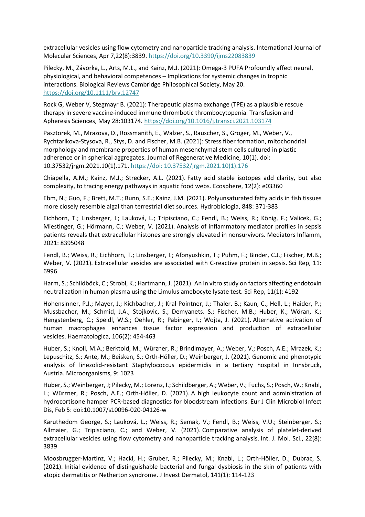extracellular vesicles using flow cytometry and nanoparticle tracking analysis. International Journal of Molecular Sciences, Apr 7,22(8):3839.<https://doi.org/10.3390/ijms22083839>

Pilecky, M., Závorka, L., Arts, M.L., and Kainz, M.J. (2021): Omega-3 PUFA Profoundly affect neural, physiological, and behavioral competences – Implications for systemic changes in trophic interactions. Biological Reviews Cambridge Philosophical Society, May 20. <https://doi.org/10.1111/brv.12747>

Rock G, Weber V, Stegmayr B. (2021): Therapeutic plasma exchange (TPE) as a plausible rescue therapy in severe vaccine-induced immune thrombotic thrombocytopenia. Transfusion and Apheresis Sciences, May 28:103174.<https://doi.org/10.1016/j.transci.2021.103174>

Pasztorek, M., Mrazova, D., Rossmanith, E., Walzer, S., Rauscher, S., Gröger, M., Weber, V., Rychtarikova-Stysova, R., Stys, D. and Fischer, M.B. (2021): Stress fiber formation, mitochondrial morphology and membrane properties of human mesenchymal stem cells cultured in plastic adherence or in spherical aggregates. Journal of Regenerative Medicine, 10(1). doi: 10.37532/jrgm.2021.10(1).171. [https://doi: 10.37532/jrgm.2021.10\(1\).176](https://doi:%2010.37532/jrgm.2021.10(1).176)

Chiapella, A.M.; Kainz, M.J.; Strecker, A.L. (2021). [Fatty acid stable isotopes add clarity, but also](https://esajournals.onlinelibrary.wiley.com/doi/epdf/10.1002/ecs2.3360)  [complexity, to tracing energy pathways in aquatic food webs.](https://esajournals.onlinelibrary.wiley.com/doi/epdf/10.1002/ecs2.3360) Ecosphere, 12(2): e03360

Ebm, N.; Guo, F.; Brett, M.T.; Bunn, S.E.; Kainz, J.M. (2021). [Polyunsaturated fatty acids in fish tissues](https://link.springer.com/content/pdf/10.1007/s10750-020-04445-1.pdf)  [more closely resemble algal than terrestrial diet sources.](https://link.springer.com/content/pdf/10.1007/s10750-020-04445-1.pdf) Hydrobiologia, 848: 371-383

Eichhorn, T.; Linsberger, I.; Lauková, L.; Tripisciano, C.; Fendl, B.; Weiss, R.; König, F.; Valicek, G.; Miestinger, G.; Hörmann, C.; Weber, V. (2021). [Analysis of inflammatory mediator profiles in sepsis](https://www.hindawi.com/journals/mi/2021/8395048/)  [patients reveals that extracellular histones are strongly elevated in nonsurvivors.](https://www.hindawi.com/journals/mi/2021/8395048/) Mediators Inflamm, 2021: 8395048

Fendl, B.; Weiss, R.; Eichhorn, T.; Linsberger, I.; Afonyushkin, T.; Puhm, F.; Binder, C.J.; Fischer, M.B.; Weber, V. (2021). [Extracellular vesicles are associated with C-reactive protein in sepsis.](https://www.nature.com/articles/s41598-021-86489-4) Sci Rep, 11: 6996

Harm, S.; Schildböck, C.; Strobl, K.; Hartmann, J. (2021). [An in vitro study on factors affecting endotoxin](https://www.nature.com/articles/s41598-021-83487-4)  [neutralization in human plasma using the Limulus amebocyte lysate test.](https://www.nature.com/articles/s41598-021-83487-4) Sci Rep, 11(1): 4192

Hohensinner, P.J.; Mayer, J.; Kichbacher, J.; Kral-Pointner, J.; Thaler. B.; Kaun, C.; Hell, L.; Haider, P.; Mussbacher, M.; Schmid, J.A.; Stojkovic, S.; Demyanets. S.; Fischer, M.B.; Huber, K.; Wöran, K.; Hengstenberg, C.; Speidl, W.S.; Oehler, R.; Pabinger, I.; Wojta, J. (2021). [Alternative activation of](https://haematologica.org/article/view/9621)  [human macrophages enhances tissue factor expression and production of extracellular](https://haematologica.org/article/view/9621)  [vesicles.](https://haematologica.org/article/view/9621) Haematologica, 106(2): 454-463

Huber, S.; Knoll, M.A.; Berktold, M.; Würzner, R.; Brindlmayer, A.; Weber, V.; Posch, A.E.; Mrazek, K.; Lepuschitz, S.; Ante, M.; Beisken, S.; Orth-Höller, D.; Weinberger, J. (2021). [Genomic and phenotypic](https://www.mdpi.com/2076-2607/9/5/1023)  [analysis of linezolid-resistant Staphylococcus epidermidis in a tertiary hospital in Innsbruck,](https://www.mdpi.com/2076-2607/9/5/1023)  [Austria.](https://www.mdpi.com/2076-2607/9/5/1023) Microorganisms, 9: 1023

Huber, S.; Weinberger, J; Pilecky, M.; Lorenz, I.; Schildberger, A.; Weber, V.; Fuchs, S.; Posch, W.; Knabl, L.; Würzner, R.; Posch, A.E.; Orth-Höller, D. (2021). [A high leukocyte count and administration of](https://link.springer.com/content/pdf/10.1007/s10096-020-04126-w.pdf)  [hydrocortisone hamper PCR-based diagnostics for bloodstream infections.](https://link.springer.com/content/pdf/10.1007/s10096-020-04126-w.pdf) Eur J Clin Microbiol Infect Dis, Feb 5: doi:10.1007/s10096-020-04126-w

Karuthedom George, S.; Lauková, L.; Weiss, R.; Semak, V.; Fendl, B.; Weiss, V.U.; Steinberger, S.; Allmaier, G.; Tripisciano, C.; and Weber, V. (2021). [Comparative analysis of platelet-derived](https://www.mdpi.com/1422-0067/22/8/3839/pdf)  [extracellular vesicles using flow cytometry and nanoparticle tracking analysis.](https://www.mdpi.com/1422-0067/22/8/3839/pdf) Int. J. Mol. Sci., 22(8): 3839

Moosbrugger-Martinz, V.; Hackl, H.; Gruber, R.; Pilecky, M.; Knabl, L.; Orth-Höller, D.; Dubrac, S. (2021). [Initial evidence of distinguishable bacterial and fungal dysbiosis in the skin of patients with](https://www.sciencedirect.com/science/article/pii/S0022202X20316687?via%3Dihub)  [atopic dermatitis or Netherton syndrome.](https://www.sciencedirect.com/science/article/pii/S0022202X20316687?via%3Dihub) J Invest Dermatol, 141(1): 114-123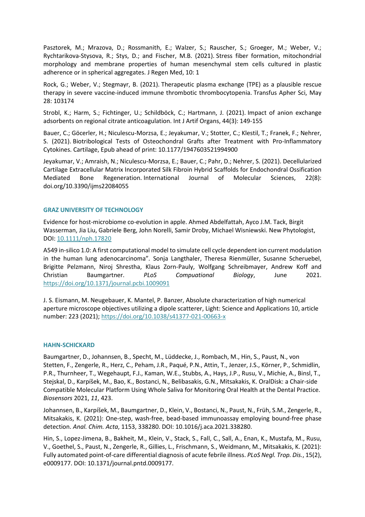Pasztorek, M.; Mrazova, D.; Rossmanith, E.; Walzer, S.; Rauscher, S.; Groeger, M.; Weber, V.; Rychtarikova-Stysova, R.; Stys, D.; and Fischer, M.B. (2021). [Stress fiber formation, mitochondrial](https://www.scitechnol.com/peer-review/stress-fiber-formation-mitochondrial-morphology-and-membrane-properties-of-human-mesenchymal-stem-cells-cultured-in-plastic-adhere-b0uE.php?article_id=14536)  [morphology and membrane properties of human mesenchymal stem cells cultured in plastic](https://www.scitechnol.com/peer-review/stress-fiber-formation-mitochondrial-morphology-and-membrane-properties-of-human-mesenchymal-stem-cells-cultured-in-plastic-adhere-b0uE.php?article_id=14536)  [adherence or in spherical aggregates.](https://www.scitechnol.com/peer-review/stress-fiber-formation-mitochondrial-morphology-and-membrane-properties-of-human-mesenchymal-stem-cells-cultured-in-plastic-adhere-b0uE.php?article_id=14536) J Regen Med, 10: 1

Rock, G.; Weber, V.; Stegmayr, B. (2021). [Therapeutic plasma exchange \(TPE\) as a plausible rescue](https://reader.elsevier.com/reader/sd/pii/S1473050221001403?token=1BFF554E3D3C0FC73517929CA51786ED79716E54D734C83E60E2AE67D8CE9380C0725B811F94EA2CC72CB4F93F578318&originRegion=eu-west-1&originCreation=20210608080255)  [therapy in severe vaccine-induced immune thrombotic thrombocytopenia.](https://reader.elsevier.com/reader/sd/pii/S1473050221001403?token=1BFF554E3D3C0FC73517929CA51786ED79716E54D734C83E60E2AE67D8CE9380C0725B811F94EA2CC72CB4F93F578318&originRegion=eu-west-1&originCreation=20210608080255) Transfus Apher Sci, May 28: 103174

Strobl, K.; Harm, S.; Fichtinger, U.; Schildböck, C.; Hartmann, J. (2021). [Impact of anion exchange](https://journals.sagepub.com/doi/pdf/10.1177/0391398820947733)  [adsorbents on regional citrate anticoagulation.](https://journals.sagepub.com/doi/pdf/10.1177/0391398820947733) Int J Artif Organs, 44(3): 149-155

Bauer, C.; Göcerler, H.; Niculescu-Morzsa, E.; Jeyakumar, V.; Stotter, C.; Klestil, T.; Franek, F.; Nehrer, S. (2021). Biotribological Tests of [Osteochondral Grafts after Treatment with Pro-Inflammatory](https://journals.sagepub.com/doi/pdf/10.1177/1947603521994900)  [Cytokines.](https://journals.sagepub.com/doi/pdf/10.1177/1947603521994900) Cartilage, Epub ahead of print: 10.1177/1947603521994900

Jeyakumar, V.; Amraish, N.; Niculescu-Morzsa, E.; Bauer, C.; Pahr, D.; Nehrer, S. (2021). [Decellularized](https://www.mdpi.com/1422-0067/22/8/4055/pdf)  [Cartilage Extracellular Matrix Incorporated Silk Fibroin Hybrid Scaffolds for Endochondral Ossification](https://www.mdpi.com/1422-0067/22/8/4055/pdf)  [Mediated Bone Regeneration.](https://www.mdpi.com/1422-0067/22/8/4055/pdf) International Journal of Molecular Sciences, 22(8): doi.org/10.3390/ijms22084055

# **GRAZ UNIVERSITY OF TECHNOLOGY**

Evidence for host-microbiome co-evolution in apple. Ahmed Abdelfattah, Ayco J.M. Tack, Birgit Wasserman, Jia Liu, Gabriele Berg, John Norelli, Samir Droby, Michael Wisniewski. New Phytologist, DOI: [10.1111/nph.17820](https://nph.onlinelibrary.wiley.com/doi/full/10.1111/nph.17820)

A549 in-silico 1.0: A first computational model to simulate cell cycle dependent ion current modulation in the human lung adenocarcinoma"*.* Sonja Langthaler, Theresa Rienmüller, Susanne Scheruebel, Brigitte Pelzmann, Niroj Shrestha, Klaus Zorn-Pauly, Wolfgang Schreibmayer, Andrew Koff and Christian Baumgartner. *PLoS Compuational Biology*, June 2021. <https://doi.org/10.1371/journal.pcbi.1009091>

J. S. Eismann, M. Neugebauer, K. Mantel, P. Banzer, Absolute characterization of high numerical aperture microscope objectives utilizing a dipole scatterer, Light: Science and Applications 10, article number: 223 (2021);<https://doi.org/10.1038/s41377-021-00663-x>

# **HAHN-SCHICKARD**

Baumgartner, D., Johannsen, B., Specht, M., Lüddecke, J., Rombach, M., Hin, S., Paust, N., von Stetten, F., Zengerle, R., Herz, C., Peham, J.R., Paqué, P.N., Attin, T., Jenzer, J.S., Körner, P., Schmidlin, P.R., Thurnheer, T., Wegehaupt, F.J., Kaman, W.E., Stubbs, A., Hays, J.P., Rusu, V., Michie, A., Binsl, T., Stejskal, D., Karpíšek, M., Bao, K., Bostanci, N., Belibasakis, G.N., Mitsakakis, K. OralDisk: a Chair-side Compatible Molecular Platform Using Whole Saliva for Monitoring Oral Health at the Dental Practice. *Biosensors* 2021, *11*, 423.

Johannsen, B., Karpíšek, M., Baumgartner, D., Klein, V., Bostanci, N., Paust, N., Früh, S.M., Zengerle, R., Mitsakakis, K. (2021): One-step, wash-free, bead-based immunoassay employing bound-free phase detection. *Anal. Chim. Acta*, 1153, 338280. DOI: 10.1016/j.aca.2021.338280.

Hin, S., Lopez-Jimena, B., Bakheit, M., Klein, V., Stack, S., Fall, C., Sall, A., Enan, K., Mustafa, M., Rusu, V., Goethel, S., Paust, N., Zengerle, R., Gillies, L., Frischmann, S., Weidmann, M., Mitsakakis, K. (2021): Fully automated point-of-care differential diagnosis of acute febrile illness. *PLoS Negl. Trop. Dis.*, 15(2), e0009177. DOI: 10.1371/journal.pntd.0009177.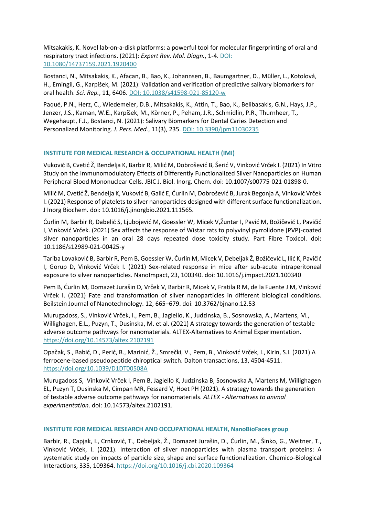Mitsakakis, K. Novel lab-on-a-disk platforms: a powerful tool for molecular fingerprinting of oral and respiratory tract infections. (2021): *Expert Rev. Mol. Diagn.*, 1-4. DOI: 10.1080/14737159.2021.1920400

Bostanci, N., Mitsakakis, K., Afacan, B., Bao, K., Johannsen, B., Baumgartner, D., Müller, L., Kotolová, H., Emingil, G., Karpíšek, M. (2021): Validation and verification of predictive salivary biomarkers for oral health. *Sci. Rep.*, 11, 6406. DOI: 10.1038/s41598-021-85120-w

Paqué, P.N., Herz, C., Wiedemeier, D.B., Mitsakakis, K., Attin, T., Bao, K., Belibasakis, G.N., Hays, J.P., Jenzer, J.S., Kaman, W.E., Karpíšek, M., Körner, P., Peham, J.R., Schmidlin, P.R., Thurnheer, T., Wegehaupt, F.J., Bostanci, N. (2021): Salivary Biomarkers for Dental Caries Detection and Personalized Monitoring. *J. Pers. Med.*, 11(3), 235. DOI: 10.3390/jpm11030235

# **INSTITUTE FOR MEDICAL RESEARCH & OCCUPATIONAL HEALTH (IMI)**

Vuković B, Cvetić Ž, Bendelja K, Barbir R, Milić M, Dobrošević B, Šerić V, Vinković Vrček I. (2021) In Vitro Study on the Immunomodulatory Effects of Differently Functionalized Silver Nanoparticles on Human Peripheral Blood Mononuclear Cells. JBIC J. Biol. Inorg. Chem. doi: 10.1007/s00775-021-01898-0.

Milić M, Cvetić Ž, Bendelja K, Vuković B, Galić E, Ćurlin M, Dobrošević B, Jurak Begonja A, Vinković Vrček I. (2021) Response of platelets to silver nanoparticles designed with different surface functionalization. J Inorg Biochem. doi: 10.1016/j.jinorgbio.2021.111565.

Ćurlin M, Barbir R, Dabelić S, Ljubojević M, Goessler W, Micek V,Žuntar I, Pavić M, Božičević L, Pavičić I, Vinković Vrček. (2021) Sex affects the response of Wistar rats to polyvinyl pyrrolidone (PVP)-coated silver nanoparticles in an oral 28 days repeated dose toxicity study. Part Fibre Toxicol. doi: 10.1186/s12989-021-00425-y

Tariba Lovaković B, Barbir R, Pem B, Goessler W, Ćurlin M, Micek V, Debeljak Ž, Božičević L, Ilić K, Pavičić I, Gorup D, Vinković Vrček I. (2021) Sex-related response in mice after sub-acute intraperitoneal exposure to silver nanoparticles. NanoImpact, 23, 100340. doi: 10.1016/j.impact.2021.100340

Pem B, Ćurlin M, Domazet Jurašin D, Vrček V, Barbir R, Micek V, Fratila R M, de la Fuente J M, Vinković Vrček I. (2021) Fate and transformation of silver nanoparticles in different biological conditions. Beilstein Journal of Nanotechnology. 12, 665–679. doi: 10.3762/bjnano.12.53

Murugadoss, S., Vinković Vrček, I., Pem, B., Jagiello, K., Judzinska, B., Sosnowska, A., Martens, M., Willighagen, E.L., Puzyn, T., Dusinska, M. et al. (2021) A strategy towards the generation of testable adverse outcome pathways for nanomaterials. ALTEX-Alternatives to Animal Experimentation. <https://doi.org/10.14573/altex.2102191>

Opačak, S., Babić, D., Perić, B., Marinić, Ž., Smrečki, V., Pem, B., Vinković Vrček, I., Kirin, S.I. (2021) A ferrocene-based pseudopeptide chiroptical switch. Dalton transactions, 13, 4504-4511. <https://doi.org/10.1039/D1DT00508A>

Murugadoss S, Vinković Vrček I, Pem B, Jagiello K, Judzinska B, Sosnowska A, Martens M, Willighagen EL, Puzyn T, Dusinska M, Cimpan MR, Fessard V, Hoet PH (2021). A strategy towards the generation of testable adverse outcome pathways for nanomaterials. *ALTEX - Alternatives to animal experimentation*. doi: 10.14573/altex.2102191.

# **INSTITUTE FOR MEDICAL RESEARCH AND OCCUPATIONAL HEALTH, NanoBioFaces group**

Barbir, R., Capjak, I., Crnković, T., Debeljak, Ž., Domazet Jurašin, D., Ćurlin, M., Šinko, G., Weitner, T., Vinković Vrček, I. (2021). Interaction of silver nanoparticles with plasma transport proteins: A systematic study on impacts of particle size, shape and surface functionalization. Chemico-Biological Interactions, 335, 109364.<https://doi.org/10.1016/j.cbi.2020.109364>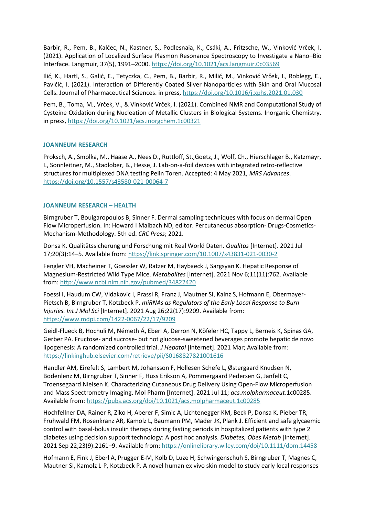Barbir, R., Pem, B., Kalčec, N., Kastner, S., Podlesnaia, K., Csáki, A., Fritzsche, W., Vinković Vrček, I. (2021). Application of Localized Surface Plasmon Resonance Spectroscopy to Investigate a Nano–Bio Interface. Langmuir, 37(5), 1991–2000.<https://doi.org/10.1021/acs.langmuir.0c03569>

Ilić, K., Hartl, S., Galić, E., Tetyczka, C., Pem, B., Barbir, R., Milić, M., Vinković Vrček, I., Roblegg, E., Pavičić, I. (2021). Interaction of Differently Coated Silver Nanoparticles with Skin and Oral Mucosal Cells. Journal of Pharmaceutical Sciences. in press,<https://doi.org/10.1016/j.xphs.2021.01.030>

Pem, B., Toma, M., Vrček, V., & Vinković Vrček, I. (2021). Combined NMR and Computational Study of Cysteine Oxidation during Nucleation of Metallic Clusters in Biological Systems. Inorganic Chemistry. in press[, https://doi.org/10.1021/acs.inorgchem.1c00321](https://doi.org/10.1021/acs.inorgchem.1c00321)

# **JOANNEUM RESEARCH**

Proksch, A., Smolka, M., Haase A., Nees D., Ruttloff, St.,Goetz, J., Wolf, Ch., Hierschlager B., Katzmayr, I., Sonnleitner, M., Stadlober, B., Hesse, J. Lab-on-a-foil devices with integrated retro-reflective structures for multiplexed DNA testing Pelin Toren. Accepted: 4 May 2021, *MRS Advances*. <https://doi.org/10.1557/s43580-021-00064-7>

# **JOANNEUM RESEARCH – HEALTH**

Birngruber T, Boulgaropoulos B, Sinner F. Dermal sampling techniques with focus on dermal Open Flow Microperfusion. In: Howard I Maibach ND, editor. Percutaneous absorption- Drugs-Cosmetics-Mechanism-Methodology. 5th ed. *CRC Press*; 2021.

Donsa K. Qualitätssicherung und Forschung mit Real World Daten. *Qualitas* [Internet]. 2021 Jul 17;20(3):14–5. Available from:<https://link.springer.com/10.1007/s43831-021-0030-2>

Fengler VH, Macheiner T, Goessler W, Ratzer M, Haybaeck J, Sargsyan K. Hepatic Response of Magnesium-Restricted Wild Type Mice. *Metabolites* [Internet]. 2021 Nov 6;11(11):762. Available from:<http://www.ncbi.nlm.nih.gov/pubmed/34822420>

Foessl I, Haudum CW, Vidakovic I, Prassl R, Franz J, Mautner SI, Kainz S, Hofmann E, Obermayer-Pietsch B, Birngruber T, Kotzbeck P. *miRNAs as Regulators of the Early Local Response to Burn Injuries. Int J Mol Sci* [Internet]. 2021 Aug 26;22(17):9209. Available from: <https://www.mdpi.com/1422-0067/22/17/9209>

Geidl-Flueck B, Hochuli M, Németh Á, Eberl A, Derron N, Köfeler HC, Tappy L, Berneis K, Spinas GA, Gerber PA. Fructose- and sucrose- but not glucose-sweetened beverages promote hepatic de novo lipogenesis: A randomized controlled trial. *J Hepatol* [Internet]. 2021 Mar; Available from: <https://linkinghub.elsevier.com/retrieve/pii/S0168827821001616>

Handler AM, Eirefelt S, Lambert M, Johansson F, Hollesen Schefe L, Østergaard Knudsen N, Bodenlenz M, Birngruber T, Sinner F, Huss Erikson A, Pommergaard Pedersen G, Janfelt C, Troensegaard Nielsen K. Characterizing Cutaneous Drug Delivery Using Open-Flow Microperfusion and Mass Spectrometry Imaging. Mol Pharm [Internet]. 2021 Jul 11; *acs.molpharmaceut*.1c00285. Available from:<https://pubs.acs.org/doi/10.1021/acs.molpharmaceut.1c00285>

Hochfellner DA, Rainer R, Ziko H, Aberer F, Simic A, Lichtenegger KM, Beck P, Donsa K, Pieber TR, Fruhwald FM, Rosenkranz AR, Kamolz L, Baumann PM, Mader JK, Plank J. Efficient and safe glycaemic control with basal‐bolus insulin therapy during fasting periods in hospitalized patients with type 2 diabetes using decision support technology: A post hoc analysis. *Diabetes, Obes Metab* [Internet]. 2021 Sep 22;23(9):2161–9. Available from:<https://onlinelibrary.wiley.com/doi/10.1111/dom.14458>

Hofmann E, Fink J, Eberl A, Prugger E-M, Kolb D, Luze H, Schwingenschuh S, Birngruber T, Magnes C, Mautner SI, Kamolz L-P, Kotzbeck P. A novel human ex vivo skin model to study early local responses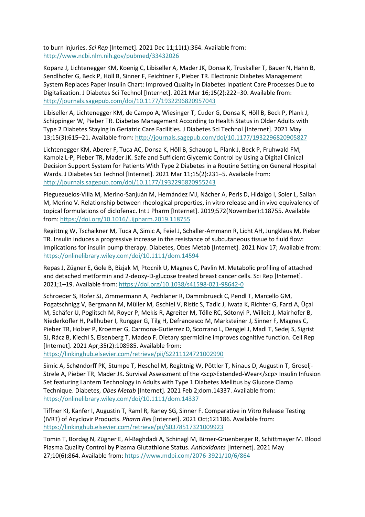to burn injuries. *Sci Rep* [Internet]. 2021 Dec 11;11(1):364. Available from: <http://www.ncbi.nlm.nih.gov/pubmed/33432026>

Kopanz J, Lichtenegger KM, Koenig C, Libiseller A, Mader JK, Donsa K, Truskaller T, Bauer N, Hahn B, Sendlhofer G, Beck P, Höll B, Sinner F, Feichtner F, Pieber TR. Electronic Diabetes Management System Replaces Paper Insulin Chart: Improved Quality in Diabetes Inpatient Care Processes Due to Digitalization. J Diabetes Sci Technol [Internet]. 2021 Mar 16;15(2):222–30. Available from: <http://journals.sagepub.com/doi/10.1177/1932296820957043>

Libiseller A, Lichtenegger KM, de Campo A, Wiesinger T, Cuder G, Donsa K, Höll B, Beck P, Plank J, Schippinger W, Pieber TR. Diabetes Management According to Health Status in Older Adults with Type 2 Diabetes Staying in Geriatric Care Facilities. J Diabetes Sci Technol [Internet]. 2021 May 13;15(3):615–21. Available from:<http://journals.sagepub.com/doi/10.1177/1932296820905827>

Lichtenegger KM, Aberer F, Tuca AC, Donsa K, Höll B, Schaupp L, Plank J, Beck P, Fruhwald FM, Kamolz L-P, Pieber TR, Mader JK. Safe and Sufficient Glycemic Control by Using a Digital Clinical Decision Support System for Patients With Type 2 Diabetes in a Routine Setting on General Hospital Wards. J Diabetes Sci Technol [Internet]. 2021 Mar 11;15(2):231–5. Available from: <http://journals.sagepub.com/doi/10.1177/1932296820955243>

Pleguezuelos-Villa M, Merino-Sanjuán M, Hernández MJ, Nácher A, Peris D, Hidalgo I, Soler L, Sallan M, Merino V. Relationship between rheological properties, in vitro release and in vivo equivalency of topical formulations of diclofenac. Int J Pharm [Internet]. 2019;572(November):118755. Available from:<https://doi.org/10.1016/j.ijpharm.2019.118755>

Regittnig W, Tschaikner M, Tuca A, Simic A, Feiel J, Schaller‐Ammann R, Licht AH, Jungklaus M, Pieber TR. Insulin induces a progressive increase in the resistance of subcutaneous tissue to fluid flow: Implications for insulin pump therapy. Diabetes, Obes Metab [Internet]. 2021 Nov 17; Available from: <https://onlinelibrary.wiley.com/doi/10.1111/dom.14594>

Repas J, Zügner E, Gole B, Bizjak M, Ptocnik U, Magnes C, Pavlin M. Metabolic profiling of attached and detached metformin and 2-deoxy-D-glucose treated breast cancer cells. Sci Rep [Internet]. 2021;1–19. Available from:<https://doi.org/10.1038/s41598-021-98642-0>

Schroeder S, Hofer SJ, Zimmermann A, Pechlaner R, Dammbrueck C, Pendl T, Marcello GM, Pogatschnigg V, Bergmann M, Müller M, Gschiel V, Ristic S, Tadic J, Iwata K, Richter G, Farzi A, Üçal M, Schäfer U, Poglitsch M, Royer P, Mekis R, Agreiter M, Tölle RC, Sótonyi P, Willeit J, Mairhofer B, Niederkofler H, Pallhuber I, Rungger G, Tilg H, Defrancesco M, Marksteiner J, Sinner F, Magnes C, Pieber TR, Holzer P, Kroemer G, Carmona-Gutierrez D, Scorrano L, Dengjel J, Madl T, Sedej S, Sigrist SJ, Rácz B, Kiechl S, Eisenberg T, Madeo F. Dietary spermidine improves cognitive function. Cell Rep [Internet]. 2021 Apr;35(2):108985. Available from:

<https://linkinghub.elsevier.com/retrieve/pii/S2211124721002990>

Simic A, Schøndorff PK, Stumpe T, Heschel M, Regittnig W, Pöttler T, Ninaus D, Augustin T, Groselj‐ Strele A, Pieber TR, Mader JK. Survival Assessment of the <scp>Extended-Wear</scp> Insulin Infusion Set featuring Lantern Technology in Adults with Type 1 Diabetes Mellitus by Glucose Clamp Technique. Diabetes, *Obes Metab* [Internet]. 2021 Feb 2;dom.14337. Available from: <https://onlinelibrary.wiley.com/doi/10.1111/dom.14337>

Tiffner KI, Kanfer I, Augustin T, Raml R, Raney SG, Sinner F. Comparative in Vitro Release Testing (IVRT) of Acyclovir Products. *Pharm Res* [Internet]. 2021 Oct;121186. Available from: <https://linkinghub.elsevier.com/retrieve/pii/S0378517321009923>

Tomin T, Bordag N, Zügner E, Al-Baghdadi A, Schinagl M, Birner-Gruenberger R, Schittmayer M. Blood Plasma Quality Control by Plasma Glutathione Status. *Antioxidants* [Internet]. 2021 May 27;10(6):864. Available from[: https://www.mdpi.com/2076-3921/10/6/864](https://www.mdpi.com/2076-3921/10/6/864)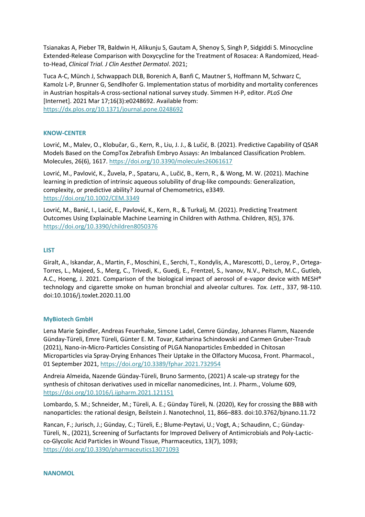Tsianakas A, Pieber TR, Baldwin H, Alikunju S, Gautam A, Shenoy S, Singh P, Sidgiddi S. Minocycline Extended-Release Comparison with Doxycycline for the Treatment of Rosacea: A Randomized, Headto-Head, *Clinical Trial. J Clin Aesthet Dermatol*. 2021;

Tuca A-C, Münch J, Schwappach DLB, Borenich A, Banfi C, Mautner S, Hoffmann M, Schwarz C, Kamolz L-P, Brunner G, Sendlhofer G. Implementation status of morbidity and mortality conferences in Austrian hospitals-A cross-sectional national survey study. Simmen H-P, editor. *PLoS One* [Internet]. 2021 Mar 17;16(3):e0248692. Available from: <https://dx.plos.org/10.1371/journal.pone.0248692>

# **KNOW-CENTER**

Lovrić, M., Malev, O., Klobučar, G., Kern, R., Liu, J. J., & Lučić, B. (2021). Predictive Capability of QSAR Models Based on the CompTox Zebrafish Embryo Assays: An Imbalanced Classification Problem. Molecules, 26(6), 1617.<https://doi.org/10.3390/molecules26061617>

Lovrić, M., Pavlović, K., Žuvela, P., Spataru, A., Lučić, B., Kern, R., & Wong, M. W. (2021). Machine learning in prediction of intrinsic aqueous solubility of drug‐like compounds: Generalization, complexity, or predictive ability? Journal of Chemometrics, e3349. <https://doi.org/10.1002/CEM.3349>

Lovrić, M., Banić, I., Lacić, E., Pavlović, K., Kern, R., & Turkalj, M. (2021). Predicting Treatment Outcomes Using Explainable Machine Learning in Children with Asthma. Children, 8(5), 376. <https://doi.org/10.3390/children8050376>

# **LIST**

Giralt, A., Iskandar, A., Martin, F., Moschini, E., Serchi, T., Kondylis, A., Marescotti, D., Leroy, P., Ortega-Torres, L., Majeed, S., Merg, C., Trivedi, K., Guedj, E., Frentzel, S., Ivanov, N.V., Peitsch, M.C., Gutleb, A.C., Hoeng, J. 2021. Comparison of the biological impact of aerosol of e-vapor device with MESH® technology and cigarette smoke on human bronchial and alveolar cultures. *Tox. Lett*., 337, 98-110. doi:10.1016/j.toxlet.2020.11.00

# **MyBiotech GmbH**

Lena Marie Spindler, Andreas Feuerhake, Simone Ladel, Cemre Günday, Johannes Flamm, Nazende Günday-Türeli, Emre Türeli, Günter E. M. Tovar, Katharina Schindowski and Carmen Gruber-Traub (2021), Nano-in-Micro-Particles Consisting of PLGA Nanoparticles Embedded in Chitosan Microparticles via Spray-Drying Enhances Their Uptake in the Olfactory Mucosa, Front. Pharmacol., 01 September 2021,<https://doi.org/10.3389/fphar.2021.732954>

Andreia Almeida, Nazende Günday-Türeli, Bruno Sarmento, (2021) A scale-up strategy for the synthesis of chitosan derivatives used in micellar nanomedicines, Int. J. Pharm., Volume 609, <https://doi.org/10.1016/j.ijpharm.2021.121151>

Lombardo, S. M.; Schneider, M.; Türeli, A. E.; Günday Türeli, N. (2020), Key for crossing the BBB with nanoparticles: the rational design, Beilstein J. Nanotechnol, 11, 866–883. doi:10.3762/bjnano.11.72

Rancan, F.; Jurisch, J.; Günday, C.; Türeli, E.; Blume-Peytavi, U.; Vogt, A.; Schaudinn, C.; Günday-Türeli, N., (2021), Screening of Surfactants for Improved Delivery of Antimicrobials and Poly-Lacticco-Glycolic Acid Particles in Wound Tissue, Pharmaceutics, 13(7), 1093; <https://doi.org/10.3390/pharmaceutics13071093>

# **NANOMOL**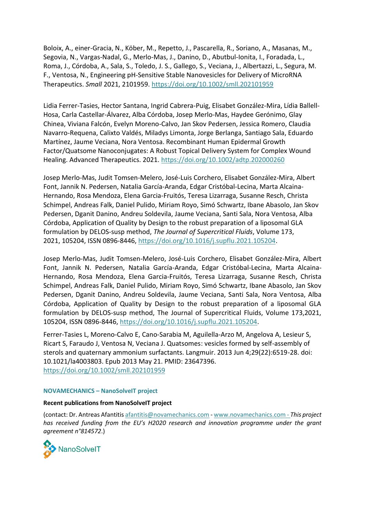Boloix, A., einer-Gracia, N., Köber, M., Repetto, J., Pascarella, R., Soriano, A., Masanas, M., Segovia, N., Vargas-Nadal, G., Merlo-Mas, J., Danino, D., Abutbul-Ionita, I., Foradada, L., Roma, J., Córdoba, A., Sala, S., Toledo, J. S., Gallego, S., Veciana, J., Albertazzi, L., Segura, M. F., Ventosa, N., Engineering pH-Sensitive Stable Nanovesicles for Delivery of MicroRNA Therapeutics. *Small* 2021, 2101959.<https://doi.org/10.1002/smll.202101959>

Lidia Ferrer-Tasies, Hector Santana, Ingrid Cabrera-Puig, Elisabet González-Mira, Lídia Ballell-Hosa, Carla Castellar-Álvarez, Alba Córdoba, Josep Merlo-Mas, Haydee Gerónimo, Glay Chinea, Viviana Falcón, Evelyn Moreno-Calvo, Jan Skov Pedersen, Jessica Romero, Claudia Navarro-Requena, Calixto Valdés, Miladys Limonta, Jorge Berlanga, Santiago Sala, Eduardo Martínez, Jaume Veciana, Nora Ventosa. Recombinant Human Epidermal Growth Factor/Quatsome Nanoconjugates: A Robust Topical Delivery System for Complex Wound Healing. Advanced Therapeutics. 2021.<https://doi.org/10.1002/adtp.202000260>

Josep Merlo-Mas, Judit Tomsen-Melero, José-Luis Corchero, Elisabet González-Mira, Albert Font, Jannik N. Pedersen, Natalia García-Aranda, Edgar Cristóbal-Lecina, Marta Alcaina-Hernando, Rosa Mendoza, Elena Garcia-Fruitós, Teresa Lizarraga, Susanne Resch, Christa Schimpel, Andreas Falk, Daniel Pulido, Miriam Royo, Simó Schwartz, Ibane Abasolo, Jan Skov Pedersen, Dganit Danino, Andreu Soldevila, Jaume Veciana, Santi Sala, Nora Ventosa, Alba Córdoba, Application of Quality by Design to the robust preparation of a liposomal GLA formulation by DELOS-susp method, *The Journal of Supercritical Fluids*, Volume 173, 2021, 105204, ISSN 0896-8446, [https://doi.org/10.1016/j.supflu.2021.105204.](https://doi.org/10.1016/j.supflu.2021.105204)

Josep Merlo-Mas, Judit Tomsen-Melero, José-Luis Corchero, Elisabet González-Mira, Albert Font, Jannik N. Pedersen, Natalia García-Aranda, Edgar Cristóbal-Lecina, Marta Alcaina-Hernando, Rosa Mendoza, Elena Garcia-Fruitós, Teresa Lizarraga, Susanne Resch, Christa Schimpel, Andreas Falk, Daniel Pulido, Miriam Royo, Simó Schwartz, Ibane Abasolo, Jan Skov Pedersen, Dganit Danino, Andreu Soldevila, Jaume Veciana, Santi Sala, Nora Ventosa, Alba Córdoba, Application of Quality by Design to the robust preparation of a liposomal GLA formulation by DELOS-susp method, The Journal of Supercritical Fluids, Volume 173,2021, 105204, ISSN 0896-8446, [https://doi.org/10.1016/j.supflu.2021.105204.](https://doi.org/10.1016/j.supflu.2021.105204)

Ferrer-Tasies L, Moreno-Calvo E, Cano-Sarabia M, Aguilella-Arzo M, Angelova A, Lesieur S, Ricart S, Faraudo J, Ventosa N, Veciana J. Quatsomes: vesicles formed by self-assembly of sterols and quaternary ammonium surfactants. Langmuir. 2013 Jun 4;29(22):6519-28. doi: 10.1021/la4003803. Epub 2013 May 21. PMID: 23647396. <https://doi.org/10.1002/smll.202101959>

# **NOVAMECHANICS – NanoSolveIT project**

#### **Recent publications from NanoSolveIT project**

(contact: Dr. Antreas Afantiti[s afantitis@novamechanics.com](https://dms.joanneum.at/lldefedav/nodes/17329714/mailto%3Aafantitis%40novamechanics.com) - [www.novamechanics.com](http://www.novamechanics.com/) - *This project has received funding from the EU's H2020 research and innovation programme under the grant agreement n°814572*.)

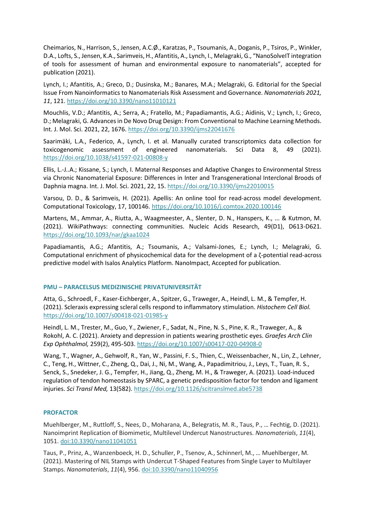Cheimarios, N., Harrison, S., Jensen, A.C.Ø., Karatzas, P., Tsoumanis, A., Doganis, P., Tsiros, P., Winkler, D.A., Lofts, S., Jensen, K.A., Sarimveis, H., Afantitis, A., Lynch, I., Melagraki, G., "NanoSolveIT integration of tools for assessment of human and environmental exposure to nanomaterials", accepted for publication (2021).

Lynch, I.; Afantitis, A.; Greco, D.; Dusinska, M.; Banares, M.A.; Melagraki, G. Editorial for the Special Issue From Nanoinformatics to Nanomaterials Risk Assessment and Governance. *Nanomaterials 2021, 11*, 121.<https://doi.org/10.3390/nano11010121>

Mouchlis, V.D.; Afantitis, A.; Serra, A.; Fratello, M.; Papadiamantis, A.G.; Aidinis, V.; Lynch, I.; Greco, D.; Melagraki, G. Advances in De Novo Drug Design: From Conventional to Machine Learning Methods. Int. J. Mol. Sci. 2021, 22, 1676.<https://doi.org/10.3390/ijms22041676>

Saarimäki, L.A., Federico, A., Lynch, I. et al. Manually curated transcriptomics data collection for toxicogenomic assessment of engineered nanomaterials. Sci Data 8, 49 (2021). <https://doi.org/10.1038/s41597-021-00808-y>

Ellis, L.-J..A.; Kissane, S.; Lynch, I. Maternal Responses and Adaptive Changes to Environmental Stress via Chronic Nanomaterial Exposure: Differences in Inter and Transgenerational Interclonal Broods of Daphnia magna. Int. J. Mol. Sci. 2021, 22, 15.<https://doi.org/10.3390/ijms22010015>

Varsou, D. D., & Sarimveis, H. (2021). Apellis: An online tool for read-across model development. Computational Toxicology, 17, 100146[. https://doi.org/10.1016/j.comtox.2020.100146](https://doi.org/10.1016/j.comtox.2020.100146)

Martens, M., Ammar, A., Riutta, A., Waagmeester, A., Slenter, D. N., Hanspers, K., ... & Kutmon, M. (2021). WikiPathways: connecting communities. Nucleic Acids Research, 49(D1), D613-D621. <https://doi.org/10.1093/nar/gkaa1024>

Papadiamantis, A.G.; Afantitis, A.; Tsoumanis, A.; Valsami-Jones, E.; Lynch, I.; Melagraki, G. Computational enrichment of physicochemical data for the development of a ζ-potential read-across predictive model with Isalos Analytics Platform. NanoImpact, Accepted for publication.

# **PMU – PARACELSUS MEDIZINISCHE PRIVATUNIVERSITÄT**

Atta, G., Schroedl, F., Kaser-Eichberger, A., Spitzer, G., Traweger, A., Heindl, L. M., & Tempfer, H. (2021). Scleraxis expressing scleral cells respond to inflammatory stimulation. *Histochem Cell Biol.* <https://doi.org/10.1007/s00418-021-01985-y>

Heindl, L. M., Trester, M., Guo, Y., Zwiener, F., Sadat, N., Pine, N. S., Pine, K. R., Traweger, A., & Rokohl, A. C. (2021). Anxiety and depression in patients wearing prosthetic eyes. *Graefes Arch Clin Exp Ophthalmol,* 259(2), 495-503[. https://doi.org/10.1007/s00417-020-04908-0](https://doi.org/10.1007/s00417-020-04908-0)

Wang, T., Wagner, A., Gehwolf, R., Yan, W., Passini, F. S., Thien, C., Weissenbacher, N., Lin, Z., Lehner, C., Teng, H., Wittner, C., Zheng, Q., Dai, J., Ni, M., Wang, A., Papadimitriou, J., Leys, T., Tuan, R. S., Senck, S., Snedeker, J. G., Tempfer, H., Jiang, Q., Zheng, M. H., & Traweger, A. (2021). Load-induced regulation of tendon homeostasis by SPARC, a genetic predisposition factor for tendon and ligament injuries. *Sci Transl Med,* 13(582)[. https://doi.org/10.1126/scitranslmed.abe5738](https://doi.org/10.1126/scitranslmed.abe5738)

# **PROFACTOR**

Muehlberger, M., Ruttloff, S., Nees, D., Moharana, A., Belegratis, M. R., Taus, P., … Fechtig, D. (2021). Nanoimprint Replication of Biomimetic, Multilevel Undercut Nanostructures. *Nanomaterials*, *11*(4), 1051. doi:10.3390/nano11041051

Taus, P., Prinz, A., Wanzenboeck, H. D., Schuller, P., Tsenov, A., Schinnerl, M., … Muehlberger, M. (2021). Mastering of NIL Stamps with Undercut T-Shaped Features from Single Layer to Multilayer Stamps. *Nanomaterials*, *11*(4), 956. doi:10.3390/nano11040956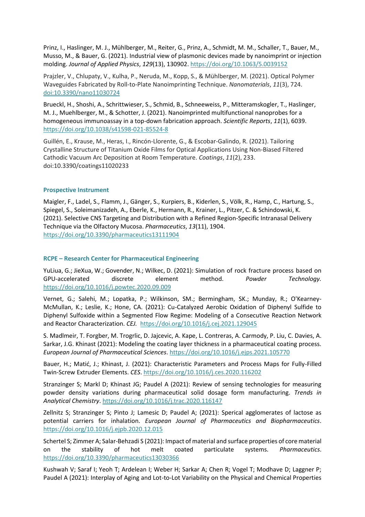Prinz, I., Haslinger, M. J., Mühlberger, M., Reiter, G., Prinz, A., Schmidt, M. M., Schaller, T., Bauer, M., Musso, M., & Bauer, G. (2021). Industrial view of plasmonic devices made by nanoimprint or injection molding. *Journal of Applied Physics*, *129*(13), 130902[. https://doi.org/10.1063/5.0039152](https://doi.org/10.1063/5.0039152)

Prajzler, V., Chlupaty, V., Kulha, P., Neruda, M., Kopp, S., & Mühlberger, M. (2021). Optical Polymer Waveguides Fabricated by Roll-to-Plate Nanoimprinting Technique. *Nanomaterials*, *11*(3), 724. doi:10.3390/nano11030724

Brueckl, H., Shoshi, A., Schrittwieser, S., Schmid, B., Schneeweiss, P., Mitteramskogler, T., Haslinger, M. J., Muehlberger, M., & Schotter, J. (2021). Nanoimprinted multifunctional nanoprobes for a homogeneous immunoassay in a top-down fabrication approach. *Scientific Reports*, *11*(1), 6039. <https://doi.org/10.1038/s41598-021-85524-8>

Guillén, E., Krause, M., Heras, I., Rincón-Llorente, G., & Escobar-Galindo, R. (2021). Tailoring Crystalline Structure of Titanium Oxide Films for Optical Applications Using Non-Biased Filtered Cathodic Vacuum Arc Deposition at Room Temperature. *Coatings*, *11*(2), 233. doi:10.3390/coatings11020233

# **Prospective Instrument**

Maigler, F., Ladel, S., Flamm, J., Gänger, S., Kurpiers, B., Kiderlen, S., Völk, R., Hamp, C., Hartung, S., Spiegel, S., Soleimanizadeh, A., Eberle, K., Hermann, R., Krainer, L., Pitzer, C. & Schindowski, K. (2021). Selective CNS Targeting and Distribution with a Refined Region-Specific Intranasal Delivery Technique via the Olfactory Mucosa. *Pharmaceutics*, *13*(11), 1904. <https://doi.org/10.3390/pharmaceutics13111904>

# **RCPE – Research Center for Pharmaceutical Engineering**

YuLiua, G.; JieXua, W.; Govender, N.; Wilkec, D. (2021): Simulation of rock fracture process based on GPU-accelerated discrete element method. *Powder Technology.*  <https://doi.org/10.1016/j.powtec.2020.09.009>

Vernet, G.; Salehi, M.; Lopatka, P.; Wilkinson, SM.; Bermingham, SK.; Munday, R.; O'Kearney-McMullan, K.; Leslie, K.; Hone, CA. (2021): Cu-Catalyzed Aerobic Oxidation of Diphenyl Sulfide to Diphenyl Sulfoxide within a Segmented Flow Regime: Modeling of a Consecutive Reaction Network and Reactor Characterization. *CEJ.* <https://doi.org/10.1016/j.cej.2021.129045>

S. Madlmeir, T. Forgber, M. Trogrlic, D. Jajcevic, A. Kape, L. Contreras, A. Carmody, P. Liu, C. Davies, A. Sarkar, J.G. Khinast (2021): Modeling the coating layer thickness in a pharmaceutical coating process. *European Journal of Pharmaceutical Sciences*.<https://doi.org/10.1016/j.ejps.2021.105770>

Bauer, H.; Matić, J.; Khinast, J. (2021): Characteristic Parameters and Process Maps for Fully-Filled Twin-Screw Extruder Elements. *CES*.<https://doi.org/10.1016/j.ces.2020.116202>

Stranzinger S; Markl D; Khinast JG; Paudel A (2021): Review of sensing technologies for measuring powder density variations during pharmaceutical solid dosage form manufacturing. *Trends in Analytical Chemistry*.<https://doi.org/10.1016/j.trac.2020.116147>

Zellnitz S; Stranzinger S; Pinto J; Lamesic D; Paudel A; (2021): Sperical agglomerates of lactose as potential carriers for inhalation. *European Journal of Pharmaceutics and Biopharmaceutics*. <https://doi.org/10.1016/j.ejpb.2020.12.015>

Schertel S; Zimmer A; Salar-Behzadi S (2021): Impact of material and surface properties of core material on the stability of hot melt coated particulate systems. *Pharmaceutics*. <https://doi.org/10.3390/pharmaceutics13030366>

Kushwah V; Saraf I; Yeoh T; Ardelean I; Weber H; Sarkar A; Chen R; Vogel T; Modhave D; Laggner P; Paudel A (2021): Interplay of Aging and Lot-to-Lot Variability on the Physical and Chemical Properties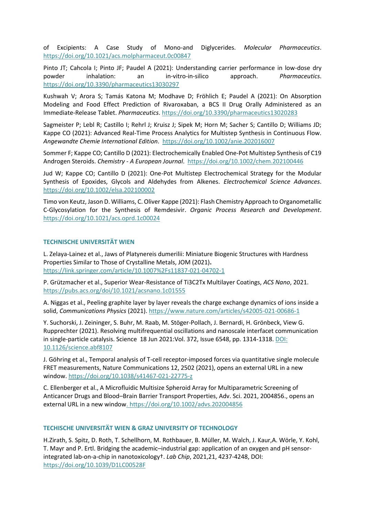of Excipients: A Case Study of Mono-and Diglycerides. *Molecular Pharmaceutics*. <https://doi.org/10.1021/acs.molpharmaceut.0c00847>

Pinto JT; Cahcola I; Pinto JF; Paudel A (2021): Understanding carrier performance in low-dose dry powder inhalation: an in-vitro-in-silico approach. *Pharmaceutics*. <https://doi.org/10.3390/pharmaceutics13030297>

Kushwah V; Arora S; Tamás Katona M; Modhave D; Fröhlich E; Paudel A (2021): On Absorption Modeling and Food Effect Prediction of Rivaroxaban, a BCS II Drug Orally Administered as an Immediate-Release Tablet. *Pharmaceutics*.<https://doi.org/10.3390/pharmaceutics13020283>

Sagmeister P; Lebl R; Castillo I; Rehrl J; Kruisz J; Sipek M; Horn M; Sacher S; Cantillo D; Williams JD; Kappe CO (2021): Advanced Real-Time Process Analytics for Multistep Synthesis in Continuous Flow. *Angewandte Chemie International Edition*. <https://doi.org/10.1002/anie.202016007>

Sommer F; Kappe CO; Cantillo D (2021): Electrochemically Enabled One‐Pot Multistep Synthesis of C19 Androgen Steroids. *Chemistry - A European Journal*. <https://doi.org/10.1002/chem.202100446>

Jud W; Kappe CO; Cantillo D (2021): One-Pot Multistep Electrochemical Strategy for the Modular Synthesis of Epoxides, Glycols and Aldehydes from Alkenes. *Electrochemical Science Advances*. <https://doi.org/10.1002/elsa.202100002>

Timo von Keutz, Jason D. Williams, C. Oliver Kappe (2021): Flash Chemistry Approach to Organometallic C-Glycosylation for the Synthesis of Remdesivir. *Organic Process Research and Development*. <https://doi.org/10.1021/acs.oprd.1c00024>

# **TECHNISCHE UNIVERSITÄT WIEN**

L. Zelaya-Lainez et al., Jaws of Platynereis dumerilii: Miniature Biogenic Structures with Hardness Properties Similar to Those of Crystalline Metals, JOM (2021)**.**  <https://link.springer.com/article/10.1007%2Fs11837-021-04702-1>

P. Grützmacher et al., Superior Wear-Resistance of Ti3C2Tx Multilayer Coatings, *ACS Nano*, 2021. <https://pubs.acs.org/doi/10.1021/acsnano.1c01555>

A. Niggas et al., Peeling graphite layer by layer reveals the charge exchange dynamics of ions inside a solid, *Communications Physics* (2021).<https://www.nature.com/articles/s42005-021-00686-1>

Y. Suchorski, J. Zeininger, S. Buhr, M. Raab, M. Stöger-Pollach, J. Bernardi, H. Grönbeck, View G. Rupprechter (2021). Resolving multifrequential oscillations and nanoscale interfacet communication in single-particle catalysis. Science 18 Jun 2021:Vol. 372, Issue 6548, pp. 1314-1318. [DOI:](http://doi.org/10.1126/science.abf8107) [10.1126/science.abf8107](http://doi.org/10.1126/science.abf8107)

J. Göhring et al., Temporal analysis of T-cell receptor-imposed forces via quantitative single molecule FRET measurements, Nature Communications 12, 2502 (2021), opens an external URL in a new window[. https://doi.org/10.1038/s41467-021-22775-z](https://doi.org/10.1038/s41467-021-22775-z)

C. Ellenberger et al., A Microfluidic Multisize Spheroid Array for Multiparametric Screening of Anticancer Drugs and Blood–Brain Barrier Transport Properties, Adv. Sci. 2021, 2004856., opens an external URL in a new window.<https://doi.org/10.1002/advs.202004856>

# **TECHISCHE UNIVERSITÄT WIEN & GRAZ UNIVERSITY OF TECHNOLOGY**

H.Zirath, S. Spitz, D. Roth, T. Schellhorn, M. Rothbauer, B. Müller, M. Walch, J. Kaur,A. Wörle, Y. Kohl, T. Mayr and P. Ertl. Bridging the academic–industrial gap: application of an oxygen and pH sensorintegrated lab-on-a-chip in nanotoxicology†. *Lab Chip*, 2021,21, 4237-4248, DOI: <https://doi.org/10.1039/D1LC00528F>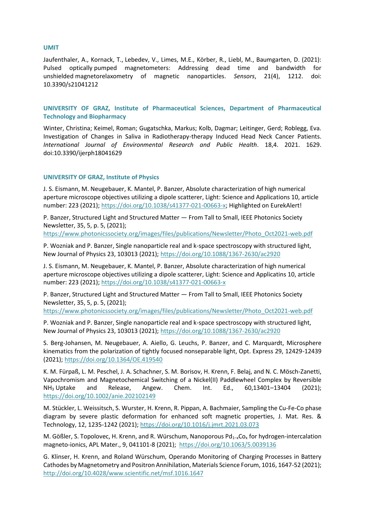#### **UMIT**

Jaufenthaler, A., Kornack, T., Lebedev, V., Limes, M.E., Körber, R., Liebl, M., Baumgarten, D. (2021): Pulsed optically pumped magnetometers: Addressing dead time and bandwidth for unshielded magnetorelaxometry of magnetic nanoparticles. *Sensors*, 21(4), 1212. doi: 10.3390/s21041212

**UNIVERSITY OF GRAZ, Institute of Pharmaceutical Sciences, Department of Pharmaceutical Technology and Biopharmacy**

Winter, Christina; Keimel, Roman; Gugatschka, Markus; Kolb, Dagmar; Leitinger, Gerd; Roblegg, Eva. Investigation of Changes in Saliva in Radiotherapy-therapy Induced Head Neck Cancer Patients. *International Journal of Environmental Research and Public Health*. 18,4. 2021. 1629. doi:10.3390/ijerph18041629

#### **UNIVERSITY OF GRAZ, Institute of Physics**

J. S. Eismann, M. Neugebauer, K. Mantel, P. Banzer, Absolute characterization of high numerical aperture microscope objectives utilizing a dipole scatterer, Light: Science and Applications 10, article number: 223 (2021); [https://doi.org/10.1038/s41377-021-00663-x;](https://doi.org/10.1038/s41377-021-00663-x) Highlighted on EurekAlert!

P. Banzer, Structured Light and Structured Matter — From Tall to Small, IEEE Photonics Society Newsletter, 35, 5, p. 5, (2021);

[https://www.photonicssociety.org/images/files/publications/Newsletter/Photo\\_Oct2021-web.pdf](https://www.photonicssociety.org/images/files/publications/Newsletter/Photo_Oct2021-web.pdf)

P. Wozniak and P. Banzer, Single nanoparticle real and k-space spectroscopy with structured light, New Journal of Physics 23, 103013 (2021);<https://doi.org/10.1088/1367-2630/ac2920>

J. S. Eismann, M. Neugebauer, K. Mantel, P. Banzer, Absolute characterization of high numerical aperture microscope objectives utilizing a dipole scatterer, Light: Science and Applicatins 10, article number: 223 (2021);<https://doi.org/10.1038/s41377-021-00663-x>

P. Banzer, Structured Light and Structured Matter — From Tall to Small, IEEE Photonics Society Newsletter, 35, 5, p. 5, (2021);

[https://www.photonicssociety.org/images/files/publications/Newsletter/Photo\\_Oct2021-web.pdf](https://www.photonicssociety.org/images/files/publications/Newsletter/Photo_Oct2021-web.pdf)

P. Wozniak and P. Banzer, Single nanoparticle real and k-space spectroscopy with structured light, New Journal of Physics 23, 103013 (2021);<https://doi.org/10.1088/1367-2630/ac2920>

S. Berg-Johansen, M. Neugebauer, A. Aiello, G. Leuchs, P. Banzer, and C. Marquardt, Microsphere kinematics from the polarization of tightly focused nonseparable light, Opt. Express 29, 12429-12439 (2021); <https://doi.org/10.1364/OE.419540>

K. M. Fürpaß, L. M. Peschel, J. A. Schachner, S. M. Borisov, H. Krenn, F. Belaj, and N. C. Mösch-Zanetti, Vapochromism and Magnetochemical Switching of a Nickel(II) Paddlewheel Complex by Reversible NH<sup>3</sup> Uptake and Release, Angew. Chem. Int. Ed., 60,13401–13404 (2021); <https://doi.org/10.1002/anie.202102149>

M. Stückler, L. Weissitsch, S. Wurster, H. Krenn, R. Pippan, A. Bachmaier, Sampling the Cu-Fe-Co phase diagram by severe plastic deformation for enhanced soft magnetic properties, J. Mat. Res. & Technology, 12, 1235-1242 (2021)[; https://doi.org/10.1016/j.jmrt.2021.03.073](https://doi.org/10.1016/j.jmrt.2021.03.073)

M. Gößler, S. Topolovec, H. Krenn, and R. Würschum, Nanoporous Pd<sub>1-x</sub>Co<sub>x</sub> for hydrogen-intercalation magneto-ionics, APL Mater., 9, 041101-8 (2021);<https://doi.org/10.1063/5.0039136>

G. Klinser, H. Krenn, and Roland Würschum, Operando Monitoring of Charging Processes in Battery Cathodes by Magnetometry and Positron Annihilation, Materials Science Forum, 1016, 1647-52 (2021); <http://doi.org/10.4028/www.scientific.net/msf.1016.1647>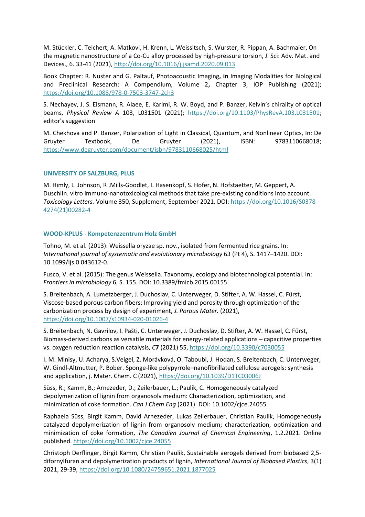M. Stückler, C. Teichert, A. Matkovi, H. Krenn, L. Weissitsch, S. Wurster, R. Pippan, A. Bachmaier, On the magnetic nanostructure of a Co-Cu alloy processed by high-pressure torsion, J. Sci: Adv. Mat. and Devices., 6. 33-41 (2021),<http://doi.org/10.1016/j.jsamd.2020.09.013>

Book Chapter: R. Nuster and G. Paltauf, Photoacoustic Imaging**, in** Imaging Modalities for Biological and Preclinical Research: A Compendium, Volume 2**,** Chapter 3, IOP Publishing (2021); <https://doi.org/10.1088/978-0-7503-3747-2ch3>

S. Nechayev, J. S. Eismann, R. Alaee, E. Karimi, R. W. Boyd, and P. Banzer, Kelvin's chirality of optical beams, *Physical Review A* 103, L031501 (2021); [https://doi.org/10.1103/PhysRevA.103.L031501;](https://doi.org/10.1103/PhysRevA.103.L031501) editor's suggestion

M. Chekhova and P. Banzer, Polarization of Light in Classical, Quantum, and Nonlinear Optics, In: De Gruyter Textbook, De Gruyter (2021), ISBN: 9783110668018; <https://www.degruyter.com/document/isbn/9783110668025/html>

# **UNIVERSITY OF SALZBURG, PLUS**

M. Himly, L. Johnson, R .Mills-Goodlet, I. Hasenkopf, S. Hofer, N. Hofstaetter, M. Geppert, A. DuschlIn. vitro immuno-nanotoxicological methods that take pre-existing conditions into account. *Toxicology Letters.* Volume 350, Supplement, September 2021. DOI: [https://doi.org/10.1016/S0378-](https://doi.org/10.1016/S0378-4274(21)00282-4) [4274\(21\)00282-4](https://doi.org/10.1016/S0378-4274(21)00282-4)

# **WOOD-KPLUS - Kompetenzzentrum Holz GmbH**

Tohno, M. et al. (2013): Weissella oryzae sp. nov., isolated from fermented rice grains. In: *International journal of systematic and evolutionary microbiology* 63 (Pt 4), S. 1417–1420. DOI: 10.1099/ijs.0.043612-0.

Fusco, V. et al. (2015): The genus Weissella. Taxonomy, ecology and biotechnological potential. In: *Frontiers in microbiology* 6, S. 155. DOI: 10.3389/fmicb.2015.00155.

S. Breitenbach, A. Lumetzberger, J. Duchoslav, C. Unterweger, D. Stifter, A. W. Hassel, C. Fürst, Viscose-based porous carbon fibers: Improving yield and porosity through optimization of the carbonization process by design of experiment, *J. Porous Mater.* (2021), <https://doi.org/10.1007/s10934-020-01026-4>

S. Breitenbach, N. Gavrilov, I. Pašti, C. Unterweger, J. Duchoslav, D. Stifter, A. W. Hassel, C. Fürst, Biomass-derived carbons as versatile materials for energy-related applications – capacitive properties vs. oxygen reduction reaction catalysis, *C***7** (2021) 55[, https://doi.org/10.3390/c7030055](https://doi.org/10.3390/c7030055)

I. M. Minisy, U. Acharya, S.Veigel, Z. Morávková, O. Taboubi, J. Hodan, S. Breitenbach, C. Unterweger, W. Gindl-Altmutter, P. Bober. Sponge-like polypyrrole–nanofibrillated cellulose aerogels: synthesis and application, j. Mater. Chem. C (2021)[, https://doi.org/10.1039/D1TC03006J](https://doi.org/10.1039/D1TC03006J)

Süss, R.; Kamm, B.; Arnezeder, D.; Zeilerbauer, L.; Paulik, C. Homogeneously catalyzed depolymerization of lignin from organosolv medium: Characterization, optimization, and minimization of coke formation. *Can J Chem Eng* (2021). DOI: 10.1002/cjce.24055.

Raphaela Süss, Birgit Kamm, David Arnezeder, Lukas Zeilerbauer, Christian Paulik, Homogeneously catalyzed depolymerization of lignin from organosolv medium; characterization, optimization and minimization of coke formation, *The Canadien Journal of Chemical Engineering*, 1.2.2021. Online published.<https://doi.org/10.1002/cjce.24055>

Christoph Derflinger, Birgit Kamm, Christian Paulik, Sustainable aerogels derived from biobased 2,5 difornylfuran and depolymerization products of lignin, *International Journal of Biobased Plastics*, 3(1) 2021, 29-39,<https://doi.org/10.1080/24759651.2021.1877025>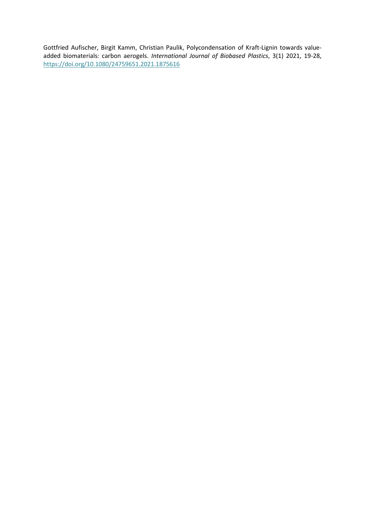Gottfried Aufischer, Birgit Kamm, Christian Paulik, Polycondensation of Kraft-Lignin towards valueadded biomaterials: carbon aerogels. *International Journal of Biobased Plastics*, 3(1) 2021, 19-28, <https://doi.org/10.1080/24759651.2021.1875616>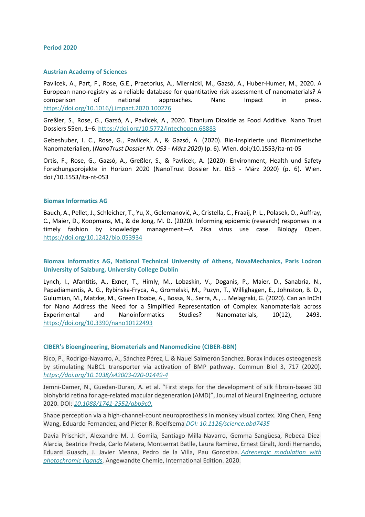#### <span id="page-20-0"></span>**Period 2020**

#### **Austrian Academy of Sciences**

Pavlicek, A., Part, F., Rose, G.E., Praetorius, A., Miernicki, M., Gazsó, A., Huber-Humer, M., 2020. A European nano-registry as a reliable database for quantitative risk assessment of nanomaterials? A comparison of national approaches. Nano Impact in press. <https://doi.org/10.1016/j.impact.2020.100276>

Greßler, S., Rose, G., Gazsó, A., Pavlicek, A., 2020. Titanium Dioxide as Food Additive. Nano Trust Dossiers 55en, 1–6.<https://doi.org/10.5772/intechopen.68883>

Gebeshuber, I. C., Rose, G., Pavlicek, A., & Gazsó, A. (2020). Bio-Inspirierte und Biomimetische Nanomaterialien, (*NanoTrust Dossier Nr. 053 - März 2020*) (p. 6). Wien. doi:/10.1553/ita-nt-05

Ortis, F., Rose, G., Gazsó, A., Greßler, S., & Pavlicek, A. (2020): Environment, Health und Safety Forschungsprojekte in Horizon 2020 (NanoTrust Dossier Nr. 053 - März 2020) (p. 6). Wien. doi:/10.1553/ita-nt-053

#### **Biomax Informatics AG**

Bauch, A., Pellet, J., Schleicher, T., Yu, X., Gelemanović, A., Cristella, C., Fraaij, P. L., Polasek, O., Auffray, C., Maier, D., Koopmans, M., & de Jong, M. D. (2020). Informing epidemic (research) responses in a timely fashion by knowledge management—A Zika virus use case. Biology Open. <https://doi.org/10.1242/bio.053934>

**Biomax Informatics AG, National Technical University of Athens, NovaMechanics, Paris Lodron University of Salzburg, University College Dublin**

Lynch, I., Afantitis, A., Exner, T., Himly, M., Lobaskin, V., Doganis, P., Maier, D., Sanabria, N., Papadiamantis, A. G., Rybinska-Fryca, A., Gromelski, M., Puzyn, T., Willighagen, E., Johnston, B. D., Gulumian, M., Matzke, M., Green Etxabe, A., Bossa, N., Serra, A., … Melagraki, G. (2020). Can an InChI for Nano Address the Need for a Simplified Representation of Complex Nanomaterials across Experimental and Nanoinformatics Studies? Nanomaterials, 10(12), 2493. <https://doi.org/10.3390/nano10122493>

#### **CIBER's Bioengineering, Biomaterials and Nanomedicine (CIBER-BBN)**

Rico, P., Rodrigo-Navarro, A., Sánchez Pérez, L. & Nauel Salmerón Sanchez. Borax induces osteogenesis by stimulating NaBC1 transporter via activation of BMP pathway. Commun Biol 3, 717 (2020). *<https://doi.org/10.1038/s42003-020-01449-4>*

Jemni-Damer, N., Guedan-Duran, A. et al. "First steps for the development of silk fibroin-based 3D biohybrid retina for age-related macular degeneration (AMD)", Journal of Neural Engineering, octubre 2020. DOI: *[10.1088/1741-2552/abb9c0.](https://iopscience.iop.org/article/10.1088/1741-2552/abb9c0)*

Shape perception via a high-channel-count neuroprosthesis in monkey visual cortex. Xing Chen, Feng Wang, Eduardo Fernandez, and Pieter R. Roelfsema *[DOI: 10.1126/science.abd7435](https://science.sciencemag.org/content/370/6521/1191)*

Davia Prischich, Alexandre M. J. Gomila, Santiago Milla-Navarro, Gemma Sangüesa, Rebeca Diez-Alarcia, Beatrice Preda, Carlo Matera, Montserrat Batlle, Laura Ramírez, Ernest Giralt, Jordi Hernando, Eduard Guasch, J. Javier Meana, Pedro de la Villa, Pau Gorostiza. *[Adrenergic modulation with](https://onlinelibrary.wiley.com/doi/epdf/10.1002/ange.202010553)  [photochromic ligands](https://onlinelibrary.wiley.com/doi/epdf/10.1002/ange.202010553)*. Angewandte Chemie, International Edition. 2020.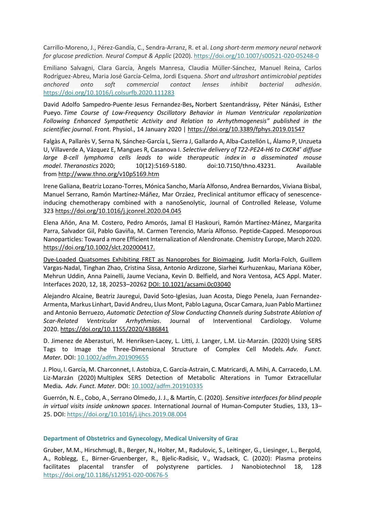Carrillo-Moreno, J., Pérez-Gandía, C., Sendra-Arranz, R. et al. *Long short-term memory neural network for glucose prediction. Neural Comput & Applic* (2020). <https://doi.org/10.1007/s00521-020-05248-0>

Emiliano Salvagni, Clara García, Àngels Manresa, Claudia Müller-Sánchez, Manuel Reina, Carlos Rodríguez-Abreu, Maria José García-Celma, Jordi Esquena. *Short and ultrashort antimicrobial peptides anchored onto soft commercial contact lenses inhibit bacterial adhesión*. <https://doi.org/10.1016/j.colsurfb.2020.111283>

David Adolfo Sampedro-Puente<sup>,</sup> Jesus Fernandez-Bes, Norbert Szentandrássy, Péter Nánási, Esther Pueyo. *Time Course of Low-Frequency Oscillatory Behavior in Human Ventricular repolarization Following Enhanced Sympathetic Activity and Relation to Arrhythmogenesis" published in the scientifiec journal*. Front. Physiol., 14 January 2020 | <https://doi.org/10.3389/fphys.2019.01547>

Falgàs A, Pallarès V, Serna N, Sánchez-García L, Sierra J, Gallardo A, Alba-Castellón L, Álamo P, Unzueta U, Villaverde A, Vázquez E, Mangues R, Casanova I. *Selective delivery of T22-PE24-H6 to CXCR4<sup>+</sup> diffuse large B-cell lymphoma cells leads to wide therapeutic index in a disseminated mouse model*. *Theranostics* 2020; 10(12):5169-5180. doi:10.7150/thno.43231. Available from <http://www.thno.org/v10p5169.htm>

Irene Galiana, Beatriz Lozano-Torres, Mónica Sancho, María Alfonso, Andrea Bernardos, Viviana Bisbal, Manuel Serrano, Ramón Martínez-Máñez, Mar Orzáez, Preclinical antitumor efficacy of senescenceinducing chemotherapy combined with a nanoSenolytic, Journal of Controlled Release, Volume 323 <https://doi.org/10.1016/j.jconrel.2020.04.045>

Elena Añón, Ana M. Costero, Pedro Amorós, Jamal El Haskouri, Ramón Martínez‐Mánez, Margarita Parra, Salvador Gil, Pablo Gaviña, M. Carmen Terencio, María Alfonso. Peptide-Capped. Mesoporous Nanoparticles: Toward a more Efficient Internalization of Alendronate. Chemistry Europe, March 2020. [https://doi.org/10.1002/slct.202000417.](https://doi.org/10.1002/slct.202000417)

Dye-Loaded Quatsomes Exhibiting FRET as [Nanoprobes](https://pubs.acs.org/doi/10.1021/acsami.0c03040) for Bioimaging, Judit Morla-Folch, Guillem Vargas-Nadal, Tinghan Zhao, Cristina Sissa, Antonio Ardizzone, Siarhei Kurhuzenkau, Mariana Köber, Mehrun Uddin, Anna Painelli, Jaume Veciana, Kevin D. Belfield, and Nora Ventosa, ACS Appl. Mater. Interfaces 2020, 12, 18, 20253–20262 DOI: [10.1021/acsami.0c03040](https://pubs.acs.org/doi/10.1021/acsami.0c03040)

Alejandro Alcaine, Beatriz Jauregui, David Soto-Iglesias, Juan Acosta, Diego Penela, Juan Fernandez-Armenta, Markus Linhart, David Andreu, Lluıs Mont, Pablo Laguna, Oscar Camara, Juan Pablo Martiınez and Antonio Berruezo, *Automatic Detection of Slow Conducting Channels during Substrate Ablation of Scar-Related Ventricular Arrhythmias*. Journal of Interventional Cardiology. Volume 2020. <https://doi.org/10.1155/2020/4386841>

D. Jimenez de Aberasturi, M. Henriksen-Lacey, L. Litti, J. Langer, L.M. Liz-Marzán. (2020) Using SERS Tags to Image the Three-Dimensional Structure of Complex Cell Models*. Adv. Funct. Mater.* DOI: [10.1002/adfm.201909655](https://doi.org/10.1002/adfm.201909655)

J. Plou, I. García, M. Charconnet, I. Astobiza, C. García-Astrain, C. Matricardi, A. Mihi, A. Carracedo, L.M. Liz-Marzán (2020) Multiplex SERS Detection of Metabolic Alterations in Tumor Extracellular Media*. Adv. Funct. Mater.* DOI: [10.1002/adfm.201910335](https://www.ciber-bbn.es/umbraco/10.1002/adfm.201910335)

Guerrón, N. E., Cobo, A., Serrano Olmedo, J. J., & Martín, C. (2020). *Sensitive interfaces for blind people in virtual visits inside unknown spaces*. International Journal of Human-Computer Studies, 133, 13– 25. DOI[: https://doi.org/10.1016/j.ijhcs.2019.08.004](https://doi.org/10.1016/j.ijhcs.2019.08.004)

# **Department of Obstetrics and Gynecology, Medical University of Graz**

Gruber, M.M., Hirschmugl, B., Berger, N., Holter, M., Radulovic, S., Leitinger, G., Liesinger, L., Bergold, A., Roblegg, E., Birner-Gruenberger, R., Bjelic-Radisic, V., Wadsack, C. (2020): Plasma proteins facilitates placental transfer of polystyrene particles. J Nanobiotechnol 18, 128 <https://doi.org/10.1186/s12951-020-00676-5>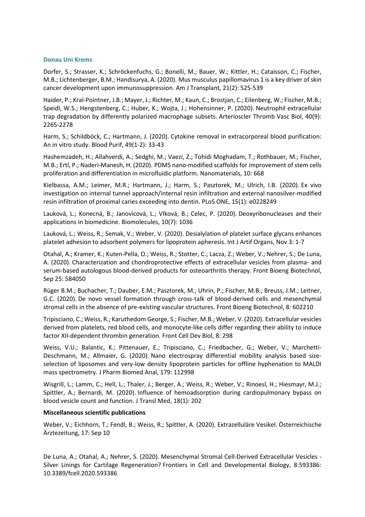#### **Donau Uni Krems**

Dorfer, S.; Strasser, K.; Schröckenfuchs, G.; Bonelli, M.; Bauer, W.; Kittler, H.; Cataisson, C.; Fischer, M.B.; Lichtenberger, B.M.; Handisurya, A. (2020). [Mus musculus papillomavirus 1 is a key](https://onlinelibrary.wiley.com/doi/epdf/10.1111/ajt.16358) driver of skin [cancer development upon immunosuppression.](https://onlinelibrary.wiley.com/doi/epdf/10.1111/ajt.16358) Am J Transplant, 21(2): 525-539

Haider, P.; Kral-Pointner, J.B.; Mayer, J.; Richter, M.; Kaun, C.; Brostjan, C.; Eilenberg, W.; Fischer, M.B.; Speidl, W.S.; Hengstenberg, C.; Huber, K.; Wojta, J.; Hohensinner, P. (2020). [Neutrophil extracellular](https://www.ahajournals.org/doi/epub/10.1161/ATVBAHA.120.314883)  [trap degradation by differently polarized macrophage subsets.](https://www.ahajournals.org/doi/epub/10.1161/ATVBAHA.120.314883) Arterioscler Thromb Vasc Biol, 40(9): 2265-2278

Harm, S.; Schildböck, C.; Hartmann, J. (2020). [Cytokine removal in extracorporeal blood purification:](https://www.karger.com/Article/Abstract/502680)  [An in vitro study.](https://www.karger.com/Article/Abstract/502680) Blood Purif, 49(1-2): 33-43

Hashemzadeh, H.; Allahverdi, A.; Sedghi, M.; Vaezi, Z.; Tohidi Moghadam, T.; Rothbauer, M.; Fischer, M.B.; Ertl, P.; Naderi-Manesh, H. (2020). [PDMS nano-modified scaffolds for improvement of stem cells](https://europepmc.org/backend/ptpmcrender.fcgi?accid=PMC7221996&blobtype=pdf)  [proliferation and differentiation in microfluidic platform.](https://europepmc.org/backend/ptpmcrender.fcgi?accid=PMC7221996&blobtype=pdf) Nanomaterials, 10: 668

Kielbassa, A.M.; Leimer, M.R.; Hartmann, J.; Harm, S.; Pasztorek, M.; Ulrich, I.B. (2020). [Ex vivo](https://journals.plos.org/plosone/article?id=10.1371/journal.pone.0228249)  [investigation on internal tunnel approach/internal resin infiltration and external nanosilver-modified](https://journals.plos.org/plosone/article?id=10.1371/journal.pone.0228249)  [resin infiltration of proximal caries exceeding into dentin.](https://journals.plos.org/plosone/article?id=10.1371/journal.pone.0228249) PLoS ONE, 15(1): e0228249

Lauková, L.; Konecná, B.; Janovicová, L.; Vlková, B.; Celec, P. (2020). [Deoxyribonucleases and their](https://www.mdpi.com/2218-273X/10/7/1036)  [applications in biomedicine.](https://www.mdpi.com/2218-273X/10/7/1036) Biomolecules, 10(7): 1036

Lauková, L.; Weiss, R.; Semak, V.; Weber, V. (2020). [Desialylation of platelet surface glycans enhances](https://journals.sagepub.com/doi/10.1177/0391398820968849?url_ver=Z39.88-2003&rfr_id=ori:rid:crossref.org&rfr_dat=cr_pub%20%200pubmed)  [platelet adhesion to adsorbent polymers for lipoprotein apheresis.](https://journals.sagepub.com/doi/10.1177/0391398820968849?url_ver=Z39.88-2003&rfr_id=ori:rid:crossref.org&rfr_dat=cr_pub%20%200pubmed) Int J Artif Organs, Nov 3: 1-7

Otahal, A.; Kramer, K.; Kuten-Pella, O.; Weiss, R.; Stotter, C.; Lacza, Z.; Weber, V.; Nehrer, S.; De Luna, A. (2020). [Characterization and chondroprotective effects of extracellular vesicles from plasma-](https://www.frontiersin.org/articles/10.3389/fbioe.2020.584050/full) and [serum-based autologous blood-derived products for osteoarthritis therapy.](https://www.frontiersin.org/articles/10.3389/fbioe.2020.584050/full) Front Bioeng Biotechnol, Sep 25: 584050

Rüger B.M.; Buchacher, T.; Dauber, E.M.; Pasztorek, M.; Uhrin, P.; Fischer, M.B.; Breuss, J.M.; Leitner, G.C. (2020). [De novo vessel formation through cross-talk of blood-derived cells and mesenchymal](https://www.ncbi.nlm.nih.gov/pmc/articles/PMC7718010/)  [stromal cells in the absence of pre-existing vascular structures.](https://www.ncbi.nlm.nih.gov/pmc/articles/PMC7718010/) Front Bioeng Biotechnol, 8: 602210

Tripisciano, C.; Weiss, R.; Karuthedom George, S.; Fischer, M.B.; Weber, V. (2020). [Extracellular vesicles](https://www.frontiersin.org/articles/10.3389/fcell.2020.00298/full)  [derived from platelets, red blood cells, and monocyte-like cells differ regarding their ability to induce](https://www.frontiersin.org/articles/10.3389/fcell.2020.00298/full)  [factor XII-dependent thrombin generation.](https://www.frontiersin.org/articles/10.3389/fcell.2020.00298/full) Front Cell Dev Biol, 8: 298

Weiss, V.U.; Balantic, K.; Pittenauer, E.; Tripisciano, C.; Friedbacher, G.; Weber, V.; Marchetti-Deschmann, M.; Allmaier, G. (2020). [Nano electrospray differential mobility analysis based size](https://www.sciencedirect.com/science/article/pii/S0731708519316395)[selection of liposomes and very-low density lipoprotein particles for offline hyphenation to MALDI](https://www.sciencedirect.com/science/article/pii/S0731708519316395)  [mass spectrometry.](https://www.sciencedirect.com/science/article/pii/S0731708519316395) J Pharm Biomed Anal, 179: 112998

Wisgrill, L.; Lamm, C.; Hell, L.; Thaler, J.; Berger, A.; Weiss, R.; Weber, V.; Rinoesl, H.; Hiesmayr, M.J.; Spittler, A.; Bernardi, M. (2020). [Influence of hemoadsorption during cardiopulmonary bypass on](https://translational-medicine.biomedcentral.com/articles/10.1186/s12967-020-02369-x)  [blood vesicle count and function.](https://translational-medicine.biomedcentral.com/articles/10.1186/s12967-020-02369-x) J Transl Med, 18(1): 202

# **Miscellaneous scientific publications**

Weber, V.; Eichhorn, T.; Fendl, B.; Weiss, R.; Spittler, A. (2020). [Extrazelluläre Vesikel.](https://www.aerztezeitung.at/archiv/oeaez-2020/oeaez-17-10092020/originalarbeit-extrazellulaere-vesikel.html) Österreichische Ärztezeitung, 17: Sep 10

De Luna, A.; Otahal, A.; Nehrer, S. (2020). [Mesenchymal Stromal Cell-Derived Extracellular Vesicles -](https://pubmed.ncbi.nlm.nih.gov/33363147/) [Silver Linings for Cartilage Regeneration?](https://pubmed.ncbi.nlm.nih.gov/33363147/) Frontiers in Cell and Developmental Biology, 8:593386: 10.3389/fcell.2020.593386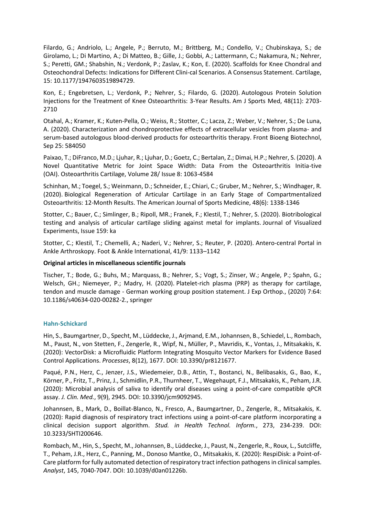Filardo, G.; Andriolo, L.; Angele, P.; Berruto, M.; Brittberg, M.; Condello, V.; Chubinskaya, S.; de Girolamo, L.; Di Martino, A.; Di Matteo, B.; Gille, J.; Gobbi, A.; Lattermann, C.; Nakamura, N.; Nehrer, S.; Peretti, GM.; Shabshin, N.; Verdonk, P.; Zaslav, K.; Kon, E. (2020). [Scaffolds for Knee Chondral and](https://journals.sagepub.com/doi/10.1177/1947603519894729)  [Osteochondral Defects: Indications for Different Clini-cal Scenarios. A Consensus Statement.](https://journals.sagepub.com/doi/10.1177/1947603519894729) Cartilage, 15: 10.1177/1947603519894729.

Kon, E.; Engebretsen, L.; Verdonk, P.; Nehrer, S.; Filardo, G. (2020). [Autologous Protein Solution](https://journals.sagepub.com/doi/10.1177/0363546520944891?url_ver=Z39.88-2003&rfr_id=ori:rid:crossref.org&rfr_dat=cr_pub%20%200pubmed)  [Injections for the Treatment of Knee Osteoarthritis: 3-Year Results.](https://journals.sagepub.com/doi/10.1177/0363546520944891?url_ver=Z39.88-2003&rfr_id=ori:rid:crossref.org&rfr_dat=cr_pub%20%200pubmed) Am J Sports Med, 48(11): 2703- 2710

Otahal, A.; Kramer, K.; Kuten-Pella, O.; Weiss, R.; Stotter, C.; Lacza, Z.; Weber, V.; Nehrer, S.; De Luna, A. (2020). [Characterization and chondroprotective effects of extracellular vesicles from plasma-](https://www.frontiersin.org/articles/10.3389/fbioe.2020.584050/full) and [serum-based autologous blood-derived products for osteoarthritis therapy.](https://www.frontiersin.org/articles/10.3389/fbioe.2020.584050/full) Front Bioeng Biotechnol, Sep 25: 584050

Paixao, T.; DiFranco, M.D.; Ljuhar, R.; Ljuhar, D.; Goetz, C.; Bertalan, Z.; Dimai, H.P.; Nehrer, S. (2020). [A](https://www.sciencedirect.com/science/article/pii/S106345842030981X?via%3Dihub)  [Novel Quantitative Metric for Joint Space Width: Data From the Osteoarthritis Initia-tive](https://www.sciencedirect.com/science/article/pii/S106345842030981X?via%3Dihub)  [\(OAI\).](https://www.sciencedirect.com/science/article/pii/S106345842030981X?via%3Dihub) Osteoarthritis Cartilage, Volume 28/ Issue 8: 1063-4584

Schinhan, M.; Toegel, S.; Weinmann, D.; Schneider, E.; Chiari, C.; Gruber, M.; Nehrer, S.; Windhager, R. (2020). [Biological Regeneration of Articular Cartilage in an Early Stage of Compartmentalized](https://journals.sagepub.com/doi/10.1177/0363546520906411?url_ver=Z39.88-2003&rfr_id=ori%3Arid%3Acrossref.org&rfr_dat=cr_pub++0pubmed&)  [Osteoarthritis: 12-Month Results.](https://journals.sagepub.com/doi/10.1177/0363546520906411?url_ver=Z39.88-2003&rfr_id=ori%3Arid%3Acrossref.org&rfr_dat=cr_pub++0pubmed&) The American Journal of Sports Medicine, 48(6): 1338-1346

Stotter, C.; Bauer, C.; Simlinger, B.; Ripoll, MR.; Franek, F.; Klestil, T.; Nehrer, S. (2020). [Biotribological](https://pubmed.ncbi.nlm.nih.gov/32478748/)  [testing and analysis of articular cartilage sliding against metal for implants.](https://pubmed.ncbi.nlm.nih.gov/32478748/) Journal of Visualized Experiments, Issue 159: ka

Stotter, C.; Klestil, T.; Chemelli, A.; Naderi, V.; Nehrer, S.; Reuter, P. (2020). [Antero-central Portal in](https://journals.sagepub.com/doi/full/10.1177/1071100720931095)  [Ankle Arthroskopy.](https://journals.sagepub.com/doi/full/10.1177/1071100720931095) Foot & Ankle International, 41/9: 1133–1142

# **Original articles in miscellaneous scientific journals**

Tischer, T.; Bode, G.; Buhs, M.; Marquass, B.; Nehrer, S.; Vogt, S.; Zinser, W.; Angele, P.; Spahn, G.; Welsch, GH.; Niemeyer, P.; Madry, H. (2020). [Platelet-rich plasma \(PRP\) as therapy for cartilage,](https://www.ncbi.nlm.nih.gov/pmc/articles/PMC7471237/)  tendon and muscle damage - [German working group position statement.](https://www.ncbi.nlm.nih.gov/pmc/articles/PMC7471237/) J Exp Orthop., (2020) 7:64: 10.1186/s40634-020-00282-2., springer

#### **Hahn-Schickard**

Hin, S., Baumgartner, D., Specht, M., Lüddecke, J., Arjmand, E.M., Johannsen, B., Schiedel, L., Rombach, M., Paust, N., von Stetten, F., Zengerle, R., Wipf, N., Müller, P., Mavridis, K., Vontas, J., Mitsakakis, K. (2020): VectorDisk: a Microfluidic Platform Integrating Mosquito Vector Markers for Evidence Based Control Applications. *Processes*, 8(12), 1677. DOI: 10.3390/pr8121677.

Paqué, P.N., Herz, C., Jenzer, J.S., Wiedemeier, D.B., Attin, T., Bostanci, N., Belibasakis, G., Bao, K., Körner, P., Fritz, T., Prinz, J., Schmidlin, P.R., Thurnheer, T., Wegehaupt, F.J., Mitsakakis, K., Peham, J.R. (2020): Microbial analysis of saliva to identify oral diseases using a point-of-care compatible qPCR assay. *J. Clin. Med.*, 9(9), 2945. DOI: 10.3390/jcm9092945.

Johannsen, B., Mark, D., Boillat-Blanco, N., Fresco, A., Baumgartner, D., Zengerle, R., Mitsakakis, K. (2020): Rapid diagnosis of respiratory tract infections using a point-of-care platform incorporating a clinical decision support algorithm. *Stud. in Health Technol. Inform.*, 273, 234-239. DOI: 10.3233/SHTI200646.

Rombach, M., Hin, S., Specht, M., Johannsen, B., Lüddecke, J., Paust, N., Zengerle, R., Roux, L., Sutcliffe, T., Peham, J.R., Herz, C., Panning, M., Donoso Mantke, O., Mitsakakis, K. (2020): RespiDisk: a Point-of-Care platform for fully automated detection of respiratory tract infection pathogens in clinical samples. *Analyst*, 145, 7040-7047. DOI: 10.1039/d0an01226b.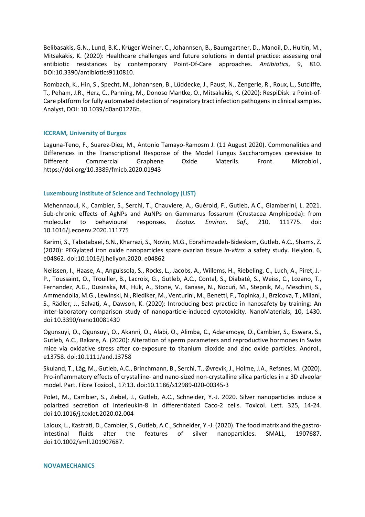Belibasakis, G.N., Lund, B.K., Krüger Weiner, C., Johannsen, B., Baumgartner, D., Manoil, D., Hultin, M., Mitsakakis, K. (2020): Healthcare challenges and future solutions in dental practice: assessing oral antibiotic resistances by contemporary Point-Of-Care approaches. *Antibiotics*, 9, 810. DOI:10.3390/antibiotics9110810.

Rombach, K., Hin, S., Specht, M., Johannsen, B., Lüddecke, J., Paust, N., Zengerle, R., Roux, L., Sutcliffe, T., Peham, J.R., Herz, C., Panning, M., Donoso Mantke, O., Mitsakakis, K. (2020): RespiDisk: a Point-of-Care platform for fully automated detection of respiratory tract infection pathogens in clinical samples. Analyst, DOI: 10.1039/d0an01226b.

# **ICCRAM, University of Burgos**

Laguna-Teno, F., Suarez-Diez, M., Antonio Tamayo-Ramosm J. (11 August 2020). Commonalities and Differences in the Transcriptional Response of the Model Fungus Saccharomyces cerevisiae to Different Commercial Graphene Oxide Materils. Front. Microbiol., https://doi.org/10.3389/fmicb.2020.01943

#### **Luxembourg Institute of Science and Technology (LIST)**

Mehennaoui, K., Cambier, S., Serchi, T., Chauviere, A., Guérold, F., Gutleb, A.C., Giamberini, L. 2021. Sub-chronic effects of AgNPs and AuNPs on Gammarus fossarum (Crustacea Amphipoda): from molecular to behavioural responses. *Ecotox. Environ. Saf*., 210, 111775. doi: 10.1016/j.ecoenv.2020.111775

Karimi, S., Tabatabaei, S.N., Kharrazi, S., Novin, M.G., Ebrahimzadeh-Bideskam, Gutleb, A.C., Shams, Z. (2020): PEGylated iron oxide nanoparticles spare ovarian tissue *in-vitro*: a safety study. Helyion, 6, e04862. doi:10.1016/j.heliyon.2020. e04862

Nelissen, I., Haase, A., Anguissola, S., Rocks, L., Jacobs, A., Willems, H., Riebeling, C., Luch, A., Piret, J.- P., Toussaint, O., Trouiller, B., Lacroix, G., Gutleb, A.C., Contal, S., Diabaté, S., Weiss, C., Lozano, T., Fernandez, A.G., Dusinska, M., Huk, A., Stone, V., Kanase, N., Nocuń, M., Stepnik, M., Meschini, S., Ammendolia, M.G., Lewinski, N., Riediker, M., Venturini, M., Benetti, F., Topinka, J., Brzicova, T., Milani, S., Rädler, J., Salvati, A., Dawson, K. (2020): Introducing best practice in nanosafety by training: An inter-laboratory comparison study of nanoparticle-induced cytotoxicity. NanoMaterials, 10, 1430. doi:10.3390/nano10081430

Ogunsuyi, O., Ogunsuyi, O., Akanni, O., Alabi, O., Alimba, C., Adaramoye, O., Cambier, S., Eswara, S., Gutleb, A.C., Bakare, A. (2020): Alteration of sperm parameters and reproductive hormones in Swiss mice via oxidative stress after co-exposure to titanium dioxide and zinc oxide particles. Androl., e13758. doi:10.1111/and.13758

Skuland, T., Låg, M., Gutleb, A.C., Brinchmann, B., Serchi, T., Øvrevik, J., Holme, J.A., Refsnes, M. (2020). Pro-inflammatory effects of crystalline- and nano-sized non-crystalline silica particles in a 3D alveolar model. Part. Fibre Toxicol., 17:13. doi:10.1186/s12989-020-00345-3

Polet, M., Cambier, S., Ziebel, J., Gutleb, A.C., Schneider, Y.-J. 2020. Silver nanoparticles induce a polarized secretion of interleukin-8 in differentiated Caco-2 cells. Toxicol. Lett. 325, 14-24. doi:10.1016/j.toxlet.2020.02.004

Laloux, L., Kastrati, D., Cambier, S., Gutleb, A.C., Schneider, Y.-J. (2020). The food matrix and the gastrointestinal fluids alter the features of silver nanoparticles. SMALL, 1907687. doi:10.1002/smll.201907687.

#### **NOVAMECHANICS**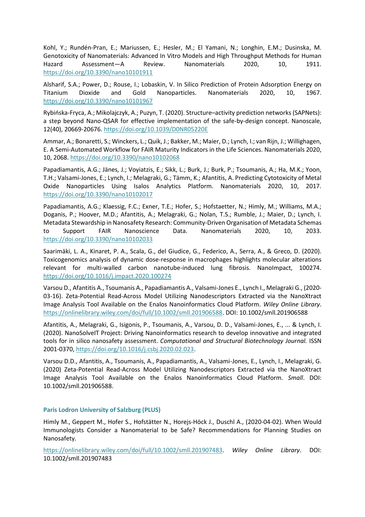Kohl, Y.; Rundén-Pran, E.; Mariussen, E.; Hesler, M.; El Yamani, N.; Longhin, E.M.; Dusinska, M. Genotoxicity of Nanomaterials: Advanced In Vitro Models and High Throughput Methods for Human Hazard Assessment—A Review. Nanomaterials 2020, 10, 1911. <https://doi.org/10.3390/nano10101911>

Alsharif, S.A.; Power, D.; Rouse, I.; Lobaskin, V. In Silico Prediction of Protein Adsorption Energy on Titanium Dioxide and Gold Nanoparticles. Nanomaterials 2020, 10, 1967. <https://doi.org/10.3390/nano10101967>

Rybińska-Fryca, A.; Mikolajczyk, A.; Puzyn, T. (2020). Structure–activity prediction networks (SAPNets): a step beyond Nano-QSAR for effective implementation of the safe-by-design concept. Nanoscale, 12(40), 20669-20676[. https://doi.org/10.1039/D0NR05220E](https://doi.org/10.1039/D0NR05220E)

Ammar, A.; Bonaretti, S.; Winckers, L.; Quik, J.; Bakker, M.; Maier, D.; Lynch, I.; van Rijn, J.; Willighagen, E. A Semi-Automated Workflow for FAIR Maturity Indicators in the Life Sciences. Nanomaterials 2020, 10, 2068.<https://doi.org/10.3390/nano10102068>

Papadiamantis, A.G.; Jänes, J.; Voyiatzis, E.; Sikk, L.; Burk, J.; Burk, P.; Tsoumanis, A.; Ha, M.K.; Yoon, T.H.; Valsami-Jones, E.; Lynch, I.; Melagraki, G.; Tämm, K.; Afantitis, A. Predicting Cytotoxicity of Metal Oxide Nanoparticles Using Isalos Analytics Platform. Nanomaterials 2020, 10, 2017. <https://doi.org/10.3390/nano10102017>

Papadiamantis, A.G.; Klaessig, F.C.; Exner, T.E.; Hofer, S.; Hofstaetter, N.; Himly, M.; Williams, M.A.; Doganis, P.; Hoover, M.D.; Afantitis, A.; Melagraki, G.; Nolan, T.S.; Rumble, J.; Maier, D.; Lynch, I. Metadata Stewardship in Nanosafety Research: Community-Driven Organisation of Metadata Schemas to Support FAIR Nanoscience Data. Nanomaterials 2020, 10, 2033. <https://doi.org/10.3390/nano10102033>

Saarimäki, L. A., Kinaret, P. A., Scala, G., del Giudice, G., Federico, A., Serra, A., & Greco, D. (2020). Toxicogenomics analysis of dynamic dose-response in macrophages highlights molecular alterations relevant for multi-walled carbon nanotube-induced lung fibrosis. NanoImpact, 100274. <https://doi.org/10.1016/j.impact.2020.100274>

Varsou D., Afantitis A., Tsoumanis A., Papadiamantis A., Valsami‐Jones E., Lynch I., Melagraki G., (2020- 03-16). Zeta‐Potential Read‐Across Model Utilizing Nanodescriptors Extracted via the NanoXtract Image Analysis Tool Available on the Enalos Nanoinformatics Cloud Platform. *Wiley Online Library*. [https://onlinelibrary.wiley.com/doi/full/10.1002/smll.201906588.](https://onlinelibrary.wiley.com/doi/full/10.1002/smll.201906588) DOI: 10.1002/smll.201906588

Afantitis, A., Melagraki, G., Isigonis, P., Tsoumanis, A., Varsou, D. D., Valsami-Jones, E., ... & Lynch, I. (2020). NanoSolveIT Project: Driving Nanoinformatics research to develop innovative and integrated tools for in silico nanosafety assessment. *Computational and Structural Biotechnology Journal.* ISSN 2001-0370, [https://doi.org/10.1016/j.csbj.2020.02.023.](https://doi.org/10.1016/j.csbj.2020.02.023)

Varsou D.D., Afantitis, A., Tsoumanis, A., Papadiamantis, A., Valsami-Jones, E., Lynch, I., Melagraki, G. (2020) Zeta-Potential Read-Across Model Utilizing Nanodescriptors Extracted via the NanoXtract Image Analysis Tool Available on the Enalos Nanoinformatics Cloud Platform. *Small*. DOI: 10.1002/smll.201906588.

# **Paris Lodron University of Salzburg (PLUS)**

Himly M., Geppert M., Hofer S., Hofstätter N., Horejs‐Höck J., Duschl A., (2020-04-02). When Would Immunologists Consider a Nanomaterial to be Safe? Recommendations for Planning Studies on Nanosafety.

[https://onlinelibrary.wiley.com/doi/full/10.1002/smll.201907483.](https://onlinelibrary.wiley.com/doi/full/10.1002/smll.201907483) *Wiley Online Library*. DOI: 10.1002/smll.201907483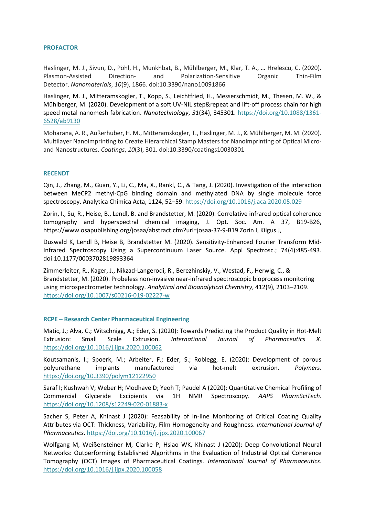## **PROFACTOR**

Haslinger, M. J., Sivun, D., Pöhl, H., Munkhbat, B., Mühlberger, M., Klar, T. A., … Hrelescu, C. (2020). Plasmon-Assisted Direction- and Polarization-Sensitive Organic Thin-Film Detector. *Nanomaterials*, *10*(9), 1866. doi:10.3390/nano10091866

Haslinger, M. J., Mitteramskogler, T., Kopp, S., Leichtfried, H., Messerschmidt, M., Thesen, M. W., & Mühlberger, M. (2020). Development of a soft UV-NIL step&repeat and lift-off process chain for high speed metal nanomesh fabrication. *Nanotechnology*, *31*(34), 345301. [https://doi.org/10.1088/1361-](https://doi.org/10.1088/1361-6528/ab9130) [6528/ab9130](https://doi.org/10.1088/1361-6528/ab9130)

Moharana, A. R., Außerhuber, H. M., Mitteramskogler, T., Haslinger, M. J., & Mühlberger, M. M. (2020). Multilayer Nanoimprinting to Create Hierarchical Stamp Masters for Nanoimprinting of Optical Microand Nanostructures. *Coatings*, *10*(3), 301. doi:10.3390/coatings10030301

# **RECENDT**

Qin, J., Zhang, M., Guan, Y., Li, C., Ma, X., Rankl, C., & Tang, J. (2020). Investigation of the interaction between MeCP2 methyl-CpG binding domain and methylated DNA by single molecule force spectroscopy. Analytica Chimica Acta, 1124, 52–59[. https://doi.org/10.1016/j.aca.2020.05.029](https://doi.org/10.1016/j.aca.2020.05.029)

Zorin, I., Su, R., Heise, B., Lendl, B. and Brandstetter, M. (2020). Correlative infrared optical coherence tomography and hyperspectral chemical imaging, J. Opt. Soc. Am. A 37, B19-B26, https://www.osapublishing.org/josaa/abstract.cfm?uri=josaa-37-9-B19 Zorin I, Kilgus J,

Duswald K, Lendl B, Heise B, Brandstetter M. (2020). Sensitivity-Enhanced Fourier Transform Mid-Infrared Spectroscopy Using a Supercontinuum Laser Source. Appl Spectrosc.; 74(4):485-493. doi:10.1177/0003702819893364

Zimmerleiter, R., Kager, J., Nikzad-Langerodi, R., Berezhinskiy, V., Westad, F., Herwig, C., & Brandstetter, M. (2020). Probeless non-invasive near-infrared spectroscopic bioprocess monitoring using microspectrometer technology. *Analytical and Bioanalytical Chemistry*, 412(9), 2103–2109. <https://doi.org/10.1007/s00216-019-02227-w>

#### **RCPE – Research Center Pharmaceutical Engineering**

Matic, J.; Alva, C.; Witschnigg, A.; Eder, S. (2020): Towards Predicting the Product Quality in Hot-Melt Extrusion: Small Scale Extrusion. *International Journal of Pharmaceutics X*. <https://doi.org/10.1016/j.ijpx.2020.100062>

Koutsamanis, I.; Spoerk, M.; Arbeiter, F.; Eder, S.; Roblegg, E. (2020): Development of porous polyurethane implants manufactured via hot-melt extrusion. *Polymers*. <https://doi.org/10.3390/polym12122950>

Saraf I; Kushwah V; Weber H; Modhave D; Yeoh T; Paudel A (2020): Quantitative Chemical Profiling of Commercial Glyceride Excipients via 1H NMR Spectroscopy. *AAPS PharmSciTech*. <https://doi.org/10.1208/s12249-020-01883-x>

Sacher S, Peter A, Khinast J (2020): Feasability of In-line Monitoring of Critical Coating Quality Attributes via OCT: Thickness, Variability, Film Homogeneity and Roughness. *International Journal of Pharmaceutics*.<https://doi.org/10.1016/j.ijpx.2020.100067>

Wolfgang M, Weißensteiner M, Clarke P, Hsiao WK, Khinast J (2020): Deep Convolutional Neural Networks: Outperforming Established Algorithms in the Evaluation of Industrial Optical Coherence Tomography (OCT) Images of Pharmaceutical Coatings. *International Journal of Pharmaceutics*. <https://doi.org/10.1016/j.ijpx.2020.100058>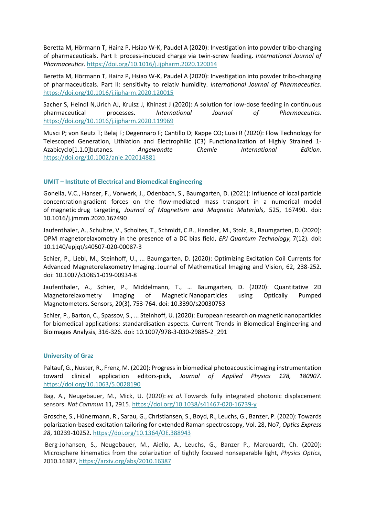Beretta M, Hörmann T, Hainz P, Hsiao W-K, Paudel A (2020): Investigation into powder tribo-charging of pharmaceuticals. Part I: process-induced charge via twin-screw feeding. *International Journal of Pharmaceutics*.<https://doi.org/10.1016/j.ijpharm.2020.120014>

Beretta M, Hörmann T, Hainz P, Hsiao W-K, Paudel A (2020): Investigation into powder tribo-charging of pharmaceuticals. Part II: sensitivity to relativ humidity. *International Journal of Pharmaceutics*. <https://doi.org/10.1016/j.ijpharm.2020.120015>

Sacher S, Heindl N,Urich AJ, Kruisz J, Khinast J (2020): A solution for low-dose feeding in continuous pharmaceutical processes. *International Journal of Pharmaceutics*. <https://doi.org/10.1016/j.ijpharm.2020.119969>

Musci P; von Keutz T; Belaj F; Degennaro F; Cantillo D; Kappe CO; Luisi R (2020): Flow Technology for Telescoped Generation, Lithiation and Electrophilic (C3) Functionalization of Highly Strained 1- Azabicyclo[1.1.0]butanes. *Angewandte Chemie International Edition*. <https://doi.org/10.1002/anie.202014881>

# **UMIT – Institute of Electrical and Biomedical Engineering**

Gonella, V.C., Hanser, F., Vorwerk, J., Odenbach, S., Baumgarten, D. (2021): Influence of local particle concentration gradient forces on the flow-mediated mass transport in a numerical model of magnetic drug targeting, *Journal of Magnetism and Magnetic Materials*, 525, 167490. doi: 10.1016/j.jmmm.2020.167490

Jaufenthaler, A., Schultze, V., Scholtes, T., Schmidt, C.B., Handler, M., Stolz, R., Baumgarten, D. (2020): OPM magnetorelaxometry in the presence of a DC bias field, *EPJ Quantum Technology,* 7(12). doi: 10.1140/epjqt/s40507-020-00087-3

Schier, P., Liebl, M., Steinhoff, U., ... Baumgarten, D. (2020): Optimizing Excitation Coil Currents for Advanced Magnetorelaxometry Imaging. Journal of Mathematical Imaging and Vision, 62, 238-252. doi: 10.1007/s10851-019-00934-8

Jaufenthaler, A., Schier, P., Middelmann, T., … Baumgarten, D. (2020): Quantitative 2D Magnetorelaxometry Imaging of Magnetic Nanoparticles using Optically Pumped Magnetometers. Sensors, 20(3), 753-764. doi: 10.3390/s20030753

Schier, P., Barton, C., Spassov, S., ... Steinhoff, U. (2020): European research on magnetic nanoparticles for biomedical applications: standardisation aspects. Current Trends in Biomedical Engineering and Bioimages Analysis, 316-326. doi: 10.1007/978-3-030-29885-2\_291

# **University of Graz**

Paltauf, G., Nuster, R., Frenz, M. (2020): Progress in biomedical photoacoustic imaging instrumentation toward clinical application editors-pick, *Journal of Applied Physics 128, 180907.* <https://doi.org/10.1063/5.0028190>

Bag, A., Neugebauer, M., Mick, U. (2020): *et al.* Towards fully integrated photonic displacement sensors. *Nat Commun* **11,** 2915[. https://doi.org/10.1038/s41467-020-16739-y](https://doi.org/10.1038/s41467-020-16739-y)

Grosche, S., Hünermann, R., Sarau, G., Christiansen, S., Boyd, R., Leuchs, G., Banzer, P. (2020): Towards polarization-based excitation tailoring for extended Raman spectroscopy, Vol. 28, No7, *Optics Express 28*, 10239-10252[. https://doi.org/10.1364/OE.388943](https://doi.org/10.1364/OE.388943)

Berg-Johansen, S., Neugebauer, M., Aiello, A., Leuchs, G., Banzer P., Marquardt, Ch. (2020): Microsphere kinematics from the polarization of tightly focused nonseparable light, *Physics Optics*, 2010.16387,<https://arxiv.org/abs/2010.16387>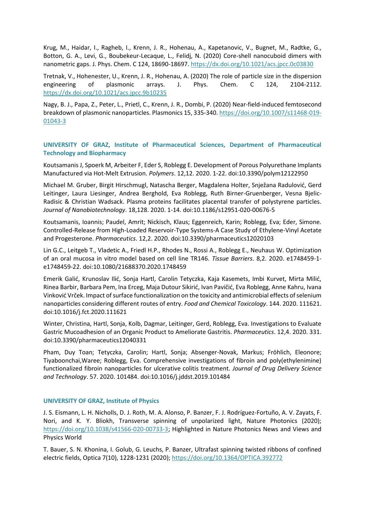Krug, M., Haidar, I., Ragheb, I., Krenn, J. R., Hohenau, A., Kapetanovic, V., Bugnet, M., Radtke, G., Botton, G. A., Levi, G., Boubekeur-Lecaque, L., Felidj, N. (2020) Core-shell nanocuboid dimers with nanometric gaps. J. Phys. Chem. C 124, 18690-18697.<https://dx.doi.org/10.1021/acs.jpcc.0c03830>

Tretnak, V., Hohenester, U., Krenn, J. R., Hohenau, A. (2020) The role of particle size in the dispersion engineering of plasmonic arrays. J. Phys. Chem. C 124, 2104-2112. <https://dx.doi.org/10.1021/acs.jpcc.9b10235>

Nagy, B. J., Papa, Z., Peter, L., Prietl, C., Krenn, J. R., Dombi, P. (2020) Near-field-induced femtosecond breakdown of plasmonic nanoparticles. Plasmonics 15, 335-340[. https://doi.org/10.1007/s11468-019-](https://doi.org/10.1007/s11468-019-01043-3) [01043-3](https://doi.org/10.1007/s11468-019-01043-3)

# **UNIVERSITY OF GRAZ, Institute of Pharmaceutical Sciences, Department of Pharmaceutical Technology and Biopharmacy**

Koutsamanis J, Spoerk M, Arbeiter F, Eder S, Roblegg E. Development of Porous Polyurethane Implants Manufactured via Hot-Melt Extrusion. *Polymers*. 12,12. 2020. 1-22. doi:10.3390/polym12122950

Michael M. Gruber, Birgit Hirschmugl, Natascha Berger, Magdalena Holter, Snježana Radulović, Gerd Leitinger, Laura Liesinger, Andrea Berghold, Eva Roblegg, Ruth Birner-Gruenberger, Vesna Bjelic-Radisic & Christian Wadsack. Plasma proteins facilitates placental transfer of polystyrene particles. *Journal of Nanobiotechnology*. 18,128. 2020. 1-14. doi:10.1186/s12951-020-00676-5

Koutsamanis, Ioannis; Paudel, Amrit; Nickisch, Klaus; Eggenreich, Karin; Roblegg, Eva; Eder, Simone. Controlled-Release from High-Loaded Reservoir-Type Systems-A Case Study of Ethylene-Vinyl Acetate and Progesterone. *Pharmaceutics*. 12,2. 2020. doi:10.3390/pharmaceutics12020103

Lin G.C., Leitgeb T., Vladetic A., Friedl H.P., Rhodes N., Rossi A., Roblegg E., Neuhaus W. Optimization of an oral mucosa in vitro model based on cell line TR146. *Tissue Barriers*. 8,2. 2020. e1748459-1 e1748459-22. doi:10.1080/21688370.2020.1748459

Emerik Galić, Krunoslav Ilić, Sonja Hartl, Carolin Tetyczka, Kaja Kasemets, Imbi Kurvet, Mirta Milić, Rinea Barbir, Barbara Pem, Ina Erceg, Maja Dutour Sikirić, Ivan Pavičić, Eva Roblegg, Anne Kahru, Ivana Vinković Vrček. Impact of surface functionalization on the toxicity and antimicrobial effects of selenium nanoparticles considering different routes of entry. *Food and Chemical Toxicology*. 144. 2020. 111621. doi:10.1016/j.fct.2020.111621

Winter, Christina, Hartl, Sonja, Kolb, Dagmar, Leitinger, Gerd, Roblegg, Eva. Investigations to Evaluate Gastric Mucoadhesion of an Organic Product to Ameliorate Gastritis. *Pharmaceutics*. 12,4. 2020. 331. doi:10.3390/pharmaceutics12040331

Pham, Duy Toan; Tetyczka, Carolin; Hartl, Sonja; Absenger-Novak, Markus; Fröhlich, Eleonore; Tiyaboonchai,Waree; Roblegg, Eva. Comprehensive investigations of fibroin and poly(ethylenimine) functionalized fibroin nanoparticles for ulcerative colitis treatment. *Journal of Drug Delivery Science and Technology*. 57. 2020. 101484. doi:10.1016/j.jddst.2019.101484

# **UNIVERSITY OF GRAZ, Institute of Physics**

J. S. Eismann, L. H. Nicholls, D. J. Roth, M. A. Alonso, P. Banzer, F. J. Rodríguez-Fortuño, A. V. Zayats, F. Nori, and K. Y. Bliokh, Transverse spinning of unpolarized light, Nature Photonics (2020); [https://doi.org/10.1038/s41566-020-00733-3;](https://doi.org/10.1038/s41566-020-00733-3) Highlighted in Nature Photonics News and Views and Physics World

T. Bauer, S. N. Khonina, I. Golub, G. Leuchs, P. Banzer, Ultrafast spinning twisted ribbons of confined electric fields, Optica 7(10), 1228-1231 (2020);<https://doi.org/10.1364/OPTICA.392772>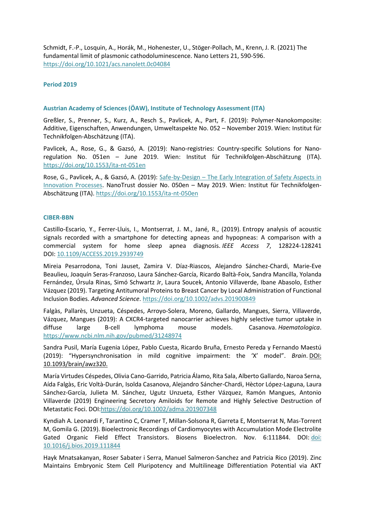Schmidt, F.-P., Losquin, A., Horák, M., Hohenester, U., Stöger-Pollach, M., Krenn, J. R. (2021) The fundamental limit of plasmonic cathodoluminescence. Nano Letters 21, 590-596. <https://doi.org/10.1021/acs.nanolett.0c04084>

# <span id="page-29-0"></span>**Period 2019**

# **Austrian Academy of Sciences (ÖAW), Institute of Technology Assessment (ITA)**

Greßler, S., Prenner, S., Kurz, A., Resch S., Pavlicek, A., Part, F. (2019): Polymer-Nanokomposite: Additive, Eigenschaften, Anwendungen, Umweltaspekte No. 052 – November 2019. Wien: Institut für Technikfolgen-Abschätzung (ITA).

Pavlicek, A., Rose, G., & Gazsó, A. (2019): Nano-registries: Country-specific Solutions for Nanoregulation No. 051en – June 2019. Wien: Institut für Technikfolgen-Abschätzung (ITA). <https://doi.org/10.1553/ita-nt-051en>

Rose, G., Pavlicek, A., & Gazsó, A. (2019): Safe-by-Design – [The Early Integration of Safety Aspects in](http://epub.oeaw.ac.at/ita/nanotrust-dossiers/dossier050en.pdf)  [Innovation Processes.](http://epub.oeaw.ac.at/ita/nanotrust-dossiers/dossier050en.pdf) NanoTrust dossier No. 050en – May 2019. Wien: Institut für Technikfolgen-Abschätzung (ITA)[. https://doi.org/10.1553/ita-nt-050en](https://doi.org/10.1553/ita-nt-050en)

# **CIBER-BBN**

Castillo-Escario, Y., Ferrer-Lluis, I., Montserrat, J. M., Jané, R., (2019). Entropy analysis of acoustic signals recorded with a smartphone for detecting apneas and hypopneas: A comparison with a commercial system for home sleep apnea diagnosis. *IEEE Access 7*, 128224-128241 DOI: [10.1109/ACCESS.2019.2939749](https://doi.org/10.1109/ACCESS.2019.2939749)

Mireia Pesarrodona, Toni Jauset, Zamira V. Díaz‐Riascos, Alejandro Sánchez‐Chardi, Marie‐Eve Beaulieu, Joaquín Seras‐Franzoso, Laura Sánchez‐García, Ricardo Baltà‐Foix, Sandra Mancilla, Yolanda Fernández, Úrsula Rinas, Simó Schwartz Jr, Laura Soucek, Antonio Villaverde, Ibane Abasolo, Esther Vázquez (2019). Targeting Antitumoral Proteins to Breast Cancer by Local Administration of Functional Inclusion Bodies. *Advanced Science*[. https://doi.org/10.1002/advs.201900849](https://doi.org/10.1002/advs.201900849)

Falgàs, Pallarès, Unzueta, Céspedes, Arroyo-Solera, Moreno, Gallardo, Mangues, Sierra, Villaverde, Vázquez, Mangues (2019): A CXCR4-targeted nanocarrier achieves highly selective tumor uptake in diffuse large B-cell lymphoma mouse models. Casanova. *Haematologica*. <https://www.ncbi.nlm.nih.gov/pubmed/31248974>

Sandra Pusil, María Eugenia López, Pablo Cuesta, Ricardo Bruña, Ernesto Pereda y Fernando Maestú (2019): "Hypersynchronisation in mild cognitive impairment: the 'X' model". *Brain*. [DOI:](https://academic.oup.com/brain/advance-article-abstract/doi/10.1093/brain/awz320/5601465?redirectedFrom=fulltext)  [10.1093/brain/awz320.](https://academic.oup.com/brain/advance-article-abstract/doi/10.1093/brain/awz320/5601465?redirectedFrom=fulltext)

María Virtudes Céspedes, Olivia Cano-Garrido, Patricia Álamo, Rita Sala, Alberto Gallardo, Naroa Serna, Aída Falgàs, Eric Voltà-Durán, Isolda Casanova, Alejandro Sáncher-Chardi, Hèctor López-Laguna, Laura Sánchez-García, Julieta M. Sánchez, Ugutz Unzueta, Esther Vázquez, Ramón Mangues, Antonio Villaverde (2019) Engineering Secretory Amiloids for Remote and Highly Selective Destruction of Metastatic Foci. DOI[:https://doi.org/10.1002/adma.201907348](https://doi.org/10.1002/adma.201907348)

Kyndiah A. Leonardi F, Tarantino C, Cramer T, Millan-Solsona R, Garreta E, Montserrat N, Mas-Torrent M, Gomila G. (2019). Bioelectronic Recordings of Cardiomyocytes with Accumulation Mode Electrolite Gated Organic Field Effect Transistors. Biosens Bioelectron. Nov. 6:111844. DOI: [doi:](https://doi.org/10.1016/j.bios.2019.111844)  [10.1016/j.bios.2019.111844](https://doi.org/10.1016/j.bios.2019.111844)

Hayk Mnatsakanyan, Roser Sabater i Serra, Manuel Salmeron-Sanchez and Patricia Rico (2019). Zinc Maintains Embryonic Stem Cell Pluripotency and Multilineage Differentiation Potential via AKT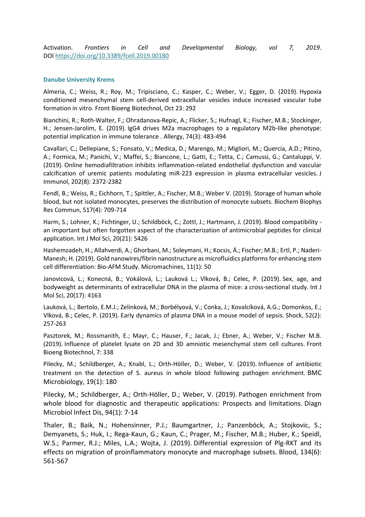Activation. *Frontiers in Cell and Developmental Biology, vol 7, 2019*. DOI <https://doi.org/10.3389/fcell.2019.00180>

#### **Danube University Krems**

Almeria, C.; Weiss, R.; Roy, M.; Tripisciano, C.; Kasper, C.; Weber, V.; Egger, D. (2019). [Hypoxia](https://www.frontiersin.org/articles/10.3389/fbioe.2019.00292/full)  [conditioned mesenchymal stem cell-derived extracellular vesicles induce increased vascular tube](https://www.frontiersin.org/articles/10.3389/fbioe.2019.00292/full)  [formation in vitro.](https://www.frontiersin.org/articles/10.3389/fbioe.2019.00292/full) Front Bioeng Biotechnol, Oct 23: 292

Bianchini, R.; Roth-Walter, F.; Ohradanova-Repic, A.; Flicker, S.; Hufnagl, K.; Fischer, M.B.; Stockinger, H.; Jensen-Jarolim, E. (2019). [IgG4 drives M2a macrophages to a regulatory M2b-like phenotype:](https://onlinelibrary.wiley.com/doi/full/10.1111/all.13635)  [potential implication in immune tolerance .](https://onlinelibrary.wiley.com/doi/full/10.1111/all.13635) Allergy, 74(3): 483-494

Cavallari, C.; Dellepiane, S.; Fonsato, V.; Medica, D.; Marengo, M.; Migliori, M.; Quercia, A.D.; Pitino, A.; Formica, M.; Panichi, V.; Maffei, S.; Biancone, L.; Gatti, E.; Tetta, C.; Camussi, G.; Cantaluppi, V. (2019). [Online hemodiafiltration inhibits inflammation-related endothelial dysfunction and vascular](https://www.jimmunol.org/content/jimmunol/202/8/2372.full.pdf)  [calcification of uremic patients modulating miR-223 expression in plasma extracellular vesicles.](https://www.jimmunol.org/content/jimmunol/202/8/2372.full.pdf) J Immunol, 202(8): 2372-2382

Fendl, B.; Weiss, R.; Eichhorn, T.; Spittler, A.; Fischer, M.B.; Weber V. (2019). [Storage of human whole](https://www.sciencedirect.com/science/article/pii/S0006291X19314883?via%3Dihub)  [blood, but not isolated monocytes, preserves the distribution of monocyte subsets.](https://www.sciencedirect.com/science/article/pii/S0006291X19314883?via%3Dihub) Biochem Biophys Res Commun, 517(4): 709-714

Harm, S.; Lohner, K.; Fichtinger, U.; Schildböck, C.; Zottl, J.; Hartmann, J. (2019). [Blood compatibility](https://www.mdpi.com/1422-0067/20/21/5426)  [an important but often forgotten aspect of the characterization of antimicrobial peptides for clinical](https://www.mdpi.com/1422-0067/20/21/5426)  [application.](https://www.mdpi.com/1422-0067/20/21/5426) Int J Mol Sci, 20(21): 5426

Hashemzadeh, H.; Allahverdi, A.; Ghorbani, M.; Soleymani, H.; Kocsis, Á.; Fischer; M.B.; Ertl, P.; Naderi-Manesh; H. (2019). [Gold nanowires/fibrin nanostructure as microfluidics platforms for enhancing stem](https://www.mdpi.com/2072-666X/11/1/50)  [cell differentiation: Bio-AFM Study.](https://www.mdpi.com/2072-666X/11/1/50) Micromachines, 11(1): 50

Janovicová, L.; Konecná, B.; Vokálová, L.; Lauková L.; Vlková, B.; Celec, P. (2019). Sex, age, and [bodyweight as determinants of extracellular DNA in the plasma of mice: a cross-sectional study.](https://www.ncbi.nlm.nih.gov/pmc/articles/PMC6747214/) Int J Mol Sci, 20(17): 4163

Lauková, L.; Bertolo, E.M.J.; Zelinková, M.; Borbélyová, V.; Conka, J.; Kovalcíková, A.G.; Domonkos, E.; Vlková, B.; Celec, P. (2019). [Early dynamics of plasma DNA in a mouse model of sepsis.](https://journals.lww.com/shockjournal/Fulltext/2019/08000/Early_Dynamics_of_Plasma_Dna_in_a_Mouse_Model_of.16.aspx) Shock, 52(2): 257-263

Pasztorek, M.; Rossmanith, E.; Mayr, C.; Hauser, F.; Jacak, J.; Ebner, A.; Weber, V.; Fischer M.B. (2019). [Influence of platelet lysate on 2D and 3D amniotic mesenchymal stem cell cultures.](https://www.frontiersin.org/articles/10.3389/fbioe.2019.00338/full) Front Bioeng Biotechnol, 7: 338

Pilecky, M.; Schildberger, A.; Knabl, L.; Orth-Höller, D.; Weber, V. (2019). [Influence of antibiotic](https://bmcmicrobiol.biomedcentral.com/articles/10.1186/s12866-019-1559-7)  [treatment on the detection of S. aureus in whole blood following pathogen enrichment.](https://bmcmicrobiol.biomedcentral.com/articles/10.1186/s12866-019-1559-7) BMC Microbiology, 19(1): 180

Pilecky, M.; Schildberger, A.; Orth-Höller, D.; Weber, V. (2019). [Pathogen enrichment from](https://reader.elsevier.com/reader/sd/pii/S0732889318303754?token=22BF31638147E8ABF628110524156D7AB4D919C2D03CA37EEFEFF73FE938C845415B0F3B20F434D0DAADA778EB3B2B02)  [whole blood for diagnostic and therapeutic applications: Prospects and limitations.](https://reader.elsevier.com/reader/sd/pii/S0732889318303754?token=22BF31638147E8ABF628110524156D7AB4D919C2D03CA37EEFEFF73FE938C845415B0F3B20F434D0DAADA778EB3B2B02) Diagn Microbiol Infect Dis, 94(1): 7-14

Thaler, B.; Baik, N.; Hohensinner, P.J.; Baumgartner, J.; Panzenböck, A.; Stojkovic, S.; Demyanets, S.; Huk, I.; Rega-Kaun, G.; Kaun, C.; Prager, M.; Fischer, M.B.; Huber, K.; Speidl, W.S.; Parmer, R.J.; Miles, L.A.; Wojta, J. (2019). [Differential expression of Plg-RKT and its](http://www.bloodjournal.org/content/134/6/561)  [effects on migration of proinflammatory monocyte and macrophage subsets.](http://www.bloodjournal.org/content/134/6/561) Blood, 134(6): 561-567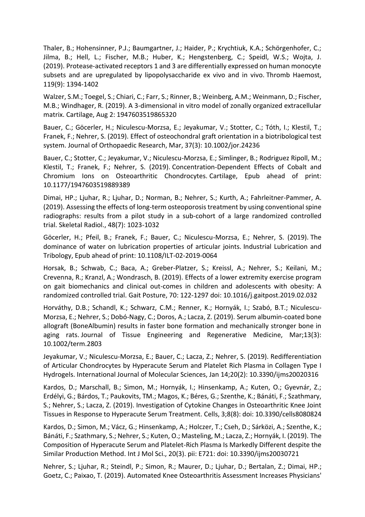Thaler, B.; Hohensinner, P.J.; Baumgartner, J.; Haider, P.; Krychtiuk, K.A.; Schörgenhofer, C.; Jilma, B.; Hell, L.; Fischer, M.B.; Huber, K.; Hengstenberg, C.; Speidl, W.S.; Wojta, J. (2019). [Protease-activated receptors 1 and 3 are differentially expressed on human monocyte](https://www.thieme-connect.com/products/ejournals/html/10.1055/s-0039-1692219)  [subsets and are upregulated by lipopolysaccharide ex vivo and in vivo.](https://www.thieme-connect.com/products/ejournals/html/10.1055/s-0039-1692219) Thromb Haemost, 119(9): 1394-1402

Walzer, S.M.; Toegel, S.; Chiari, C.; Farr, S.; Rinner, B.; Weinberg, A.M.; Weinmann, D.; Fischer, M.B.; Windhager, R. (2019). [A 3-dimensional in vitro model of zonally organized extracellular](https://journals.sagepub.com/doi/full/10.1177/1947603519865320?url_ver=Z39.88-2003&rfr_id=ori:rid:crossref.org&rfr_dat=cr_pub%3dpubmed)  [matrix.](https://journals.sagepub.com/doi/full/10.1177/1947603519865320?url_ver=Z39.88-2003&rfr_id=ori:rid:crossref.org&rfr_dat=cr_pub%3dpubmed) Cartilage, Aug 2: 1947603519865320

Bauer, C.; Göcerler, H.; Niculescu-Morzsa, E.; Jeyakumar, V.; Stotter, C.; Tóth, I.; Klestil, T.; Franek, F.; Nehrer, S. (2019). [Effect of osteochondral graft orientation in a biotribological test](https://onlinelibrary.wiley.com/doi/epdf/10.1002/jor.24236)  [system.](https://onlinelibrary.wiley.com/doi/epdf/10.1002/jor.24236) Journal of Orthopaedic Research, Mar, 37(3): 10.1002/jor.24236

Bauer, C.; Stotter, C.; Jeyakumar, V.; Niculescu-Morzsa, E.; Simlinger, B.; Rodriguez Ripoll, M.; Klestil, T.; Franek, F.; Nehrer, S. (2019). [Concentration-Dependent Effects of Cobalt and](https://journals.sagepub.com/doi/pdf/10.1177/1947603519889389)  [Chromium Ions on Osteoarthritic Chondrocytes.](https://journals.sagepub.com/doi/pdf/10.1177/1947603519889389) Cartilage, Epub ahead of print: 10.1177/1947603519889389

Dimai, HP.; Ljuhar, R.; Ljuhar, D.; Norman, B.; Nehrer, S.; Kurth, A.; Fahrleitner-Pammer, A. (2019). [Assessing the effects of long-term osteoporosis treatment by using conventional spine](https://www.ncbi.nlm.nih.gov/pmc/articles/PMC6525665/)  radiographs: results from a pilot study in [a sub-cohort of a large randomized controlled](https://www.ncbi.nlm.nih.gov/pmc/articles/PMC6525665/)  [trial.](https://www.ncbi.nlm.nih.gov/pmc/articles/PMC6525665/) Skeletal Radiol., 48(7): 1023-1032

Göcerler, H.; Pfeil, B.; Franek, F.; Bauer, C.; Niculescu-Morzsa, E.; Nehrer, S. (2019). [The](https://www.emerald.com/insight/content/doi/10.1108/ILT-02-2019-0064/full/pdf?title=the-dominance-of-water-on-lubrication-properties-of-articular-joints)  [dominance of water on lubrication properties of articular joints.](https://www.emerald.com/insight/content/doi/10.1108/ILT-02-2019-0064/full/pdf?title=the-dominance-of-water-on-lubrication-properties-of-articular-joints) Industrial Lubrication and Tribology, Epub ahead of print: 10.1108/ILT-02-2019-0064

Horsak, B.; Schwab, C.; Baca, A.; Greber-Platzer, S.; Kreissl, A.; Nehrer, S.; Keilani, M.; Crevenna, R.; Kranzl, A.; Wondrasch, B. (2019). [Effects of a lower extremity exercise program](https://www.sciencedirect.com/science/article/pii/S0966636218313341?via%3Dihub)  [on gait biomechanics and clinical out-comes in children and adolescents with obesity: A](https://www.sciencedirect.com/science/article/pii/S0966636218313341?via%3Dihub)  [randomized controlled trial.](https://www.sciencedirect.com/science/article/pii/S0966636218313341?via%3Dihub) Gait Posture, 70: 122-1297 doi: 10.1016/j.gaitpost.2019.02.032

Horváthy, D.B.; Schandl, K.; Schwarz, C.M.; Renner, K.; Hornyák, I.; Szabó, B.T.; Niculescu-Morzsa, E.; Nehrer, S.; Dobó-Nagy, C.; Doros, A.; Lacza, Z. (2019). [Serum albumin-coated bone](https://onlinelibrary.wiley.com/doi/epdf/10.1002/term.2803)  [allograft \(BoneAlbumin\) results in faster bone formation and mechanically stronger bone in](https://onlinelibrary.wiley.com/doi/epdf/10.1002/term.2803)  [aging rats.](https://onlinelibrary.wiley.com/doi/epdf/10.1002/term.2803) Journal of Tissue Engineering and Regenerative Medicine, Mar;13(3): 10.1002/term.2803

Jeyakumar, V.; Niculescu-Morzsa, E.; Bauer, C.; Lacza, Z.; Nehrer, S. (2019). [Redifferentiation](https://www.mdpi.com/1422-0067/20/2/316)  [of Articular Chondrocytes by Hyperacute Serum and Platelet Rich Plasma in Collagen Type I](https://www.mdpi.com/1422-0067/20/2/316)  [Hydrogels.](https://www.mdpi.com/1422-0067/20/2/316) International Journal of Molecular Sciences, Jan 14;20(2): 10.3390/ijms20020316

Kardos, D.; Marschall, B.; Simon, M.; Hornyák, I.; Hinsenkamp, A.; Kuten, O.; Gyevnár, Z.; Erdélyi, G.; Bárdos, T.; Paukovits, TM.; Magos, K.; Béres, G.; Szenthe, K.; Bánáti, F.; Szathmary, S.; Nehrer, S.; Lacza, Z. (2019). [Investigation of Cytokine Changes in Osteoarthritic Knee Joint](https://www.ncbi.nlm.nih.gov/pmc/articles/PMC6721638/)  [Tissues in Response to Hyperacute Serum Treatment.](https://www.ncbi.nlm.nih.gov/pmc/articles/PMC6721638/) Cells, 3;8(8): doi: 10.3390/cells8080824

Kardos, D.; Simon, M.; Vácz, G.; Hinsenkamp, A.; Holczer, T.; Cseh, D.; Sárközi, A.; Szenthe, K.; Bánáti, F.; Szathmary, S.; Nehrer, S.; Kuten, O.; Masteling, M.; Lacza, Z.; Hornyák, I. (2019). [The](https://www.ncbi.nlm.nih.gov/pmc/articles/PMC6386965/)  [Composition of Hyperacute Serum and Platelet-Rich Plasma Is Markedly Different despite the](https://www.ncbi.nlm.nih.gov/pmc/articles/PMC6386965/)  [Similar Production Method.](https://www.ncbi.nlm.nih.gov/pmc/articles/PMC6386965/) Int J Mol Sci., 20(3). pii: E721: doi: 10.3390/ijms20030721

Nehrer, S.; Ljuhar, R.; Steindl, P.; Simon, R.; Maurer, D.; Ljuhar, D.; Bertalan, Z.; Dimai, HP.; Goetz, C.; Paixao, T. (2019). [Automated Knee Osteoarthritis Assessment Increases Physicians'](https://journals.sagepub.com/doi/abs/10.1177/1947603519888793?rfr_dat=cr_pub%3Dpubmed&url_ver=Z39.88-2003&rfr_id=ori%3Arid%3Acrossref.org&journalCode=cara)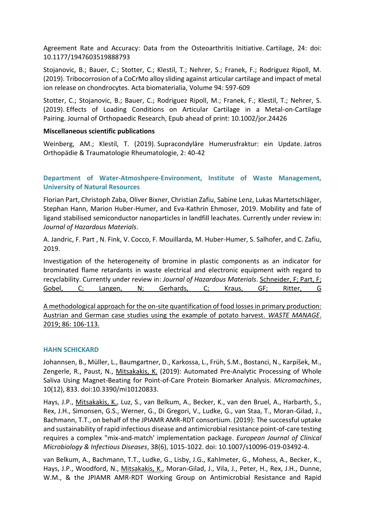[Agreement Rate and Accuracy: Data from the Osteoarthritis Initiative.](https://journals.sagepub.com/doi/abs/10.1177/1947603519888793?rfr_dat=cr_pub%3Dpubmed&url_ver=Z39.88-2003&rfr_id=ori%3Arid%3Acrossref.org&journalCode=cara) Cartilage, 24: doi: 10.1177/1947603519888793

Stojanovic, B.; Bauer, C.; Stotter, C.; Klestil, T.; Nehrer, S.; Franek, F.; Rodriguez Ripoll, M. (2019). [Tribocorrosion of a CoCrMo alloy sliding against articular cartilage and impact of metal](https://www.sciencedirect.com/science/article/pii/S174270611930426X?via%3Dihub)  [ion release on chondrocytes.](https://www.sciencedirect.com/science/article/pii/S174270611930426X?via%3Dihub) Acta biomaterialia, Volume 94: 597-609

Stotter, C.; Stojanovic, B.; Bauer, C.; Rodriguez Ripoll, M.; Franek, F.; Klestil, T.; Nehrer, S. (2019). [Effects of Loading Conditions on Articular Cartilage in a Metal-on-Cartilage](https://onlinelibrary.wiley.com/doi/epdf/10.1002/jor.24426)  [Pairing.](https://onlinelibrary.wiley.com/doi/epdf/10.1002/jor.24426) Journal of Orthopaedic Research, Epub ahead of print: 10.1002/jor.24426

# **Miscellaneous scientific publications**

Weinberg, AM.; Klestil, T. (2019). [Supracondyläre Humerusfraktur: ein Update.](https://www.oegout.at/wp-content/uploads/2019/04/jatros-2019-02.pdf) Jatros Orthopädie & Traumatologie Rheumatologie, 2: 40-42

# **Department of Water-Atmoshpere-Environment, Institute of Waste Management, University of Natural Resources**

Florian Part, Christoph Zaba, Oliver Bixner, Christian Zafiu, Sabine Lenz, Lukas Martetschläger, Stephan Hann, Marion Huber-Humer, and Eva-Kathrin Ehmoser, 2019. Mobility and fate of ligand stabilised semiconductor nanoparticles in landfill leachates. Currently under review in: *Journal of Hazardous Materials*.

A. Jandric, F. Part , N. Fink, V. Cocco, F. Mouillarda, M. Huber-Humer, S. Salhofer, and C. Zafiu, 2019.

Investigation of the heterogeneity of bromine in plastic components as an indicator for brominated flame retardants in waste electrical and electronic equipment with regard to recyclability. Currently under review in: *Journal of Hazardous Materials*. [Schneider, F; Part, F;](https://forschung.boku.ac.at/fis/suchen.publikationen_uni_autoren?sprache_in=de&menue_id_in=102&id_in=&publikation_id_in=125804)  [Gobel, C; Langen, N; Gerhards, C; Kraus, GF; Ritter, G](https://forschung.boku.ac.at/fis/suchen.publikationen_uni_autoren?sprache_in=de&menue_id_in=102&id_in=&publikation_id_in=125804)

[A methodological approach for the on-site quantification of food losses in primary production:](https://forschung.boku.ac.at/fis/suchen.publikationen_uni_autoren?sprache_in=de&menue_id_in=102&id_in=&publikation_id_in=125804)  [Austrian and German case studies using the example of potato harvest.](https://forschung.boku.ac.at/fis/suchen.publikationen_uni_autoren?sprache_in=de&menue_id_in=102&id_in=&publikation_id_in=125804) *WASTE MANAGE*. [2019; 86: 106-113.](https://forschung.boku.ac.at/fis/suchen.publikationen_uni_autoren?sprache_in=de&menue_id_in=102&id_in=&publikation_id_in=125804)

# **HAHN SCHICKARD**

Johannsen, B., Müller, L., Baumgartner, D., Karkossa, L., Früh, S.M., Bostanci, N., Karpíšek, M., Zengerle, R., Paust, N., Mitsakakis, K. (2019): Automated Pre-Analytic Processing of Whole Saliva Using Magnet-Beating for Point-of-Care Protein Biomarker Analysis. *Micromachines*, 10(12), 833. doi:10.3390/mi10120833.

Hays, J.P., Mitsakakis, K., Luz, S., van Belkum, A., Becker, K., van den Bruel, A., Harbarth, S., Rex, J.H., Simonsen, G.S., Werner, G., Di Gregori, V., Ludke, G., van Staa, T., Moran-Gilad, J., Bachmann, T.T., on behalf of the JPIAMR AMR-RDT consortium. (2019): The successful uptake and sustainability of rapid infectious disease and antimicrobial resistance point-of-care testing requires a complex "mix-and-match' implementation package. *European Journal of Clinical Microbiology & Infectious Diseases*, 38(6), 1015-1022. doi: 10.1007/s10096-019-03492-4.

van Belkum, A., Bachmann, T.T., Ludke, G., Lisby, J.G., Kahlmeter, G., Mohess, A., Becker, K., Hays, J.P., Woodford, N., Mitsakakis, K., Moran-Gilad, J., Vila, J., Peter, H., Rex, J.H., Dunne, W.M., & the JPIAMR AMR-RDT Working Group on Antimicrobial Resistance and Rapid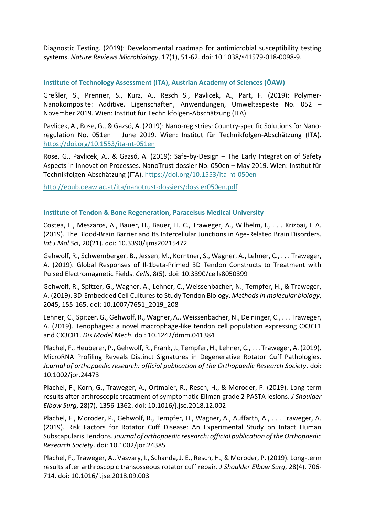Diagnostic Testing. (2019): Developmental roadmap for antimicrobial susceptibility testing systems. *Nature Reviews Microbiology*, 17(1), 51-62. doi: 10.1038/s41579-018-0098-9.

# **Institute of Technology Assessment (ITA), Austrian Academy of Sciences (ÖAW)**

Greßler, S., Prenner, S., Kurz, A., Resch S., Pavlicek, A., Part, F. (2019): Polymer-Nanokomposite: Additive, Eigenschaften, Anwendungen, Umweltaspekte No. 052 – November 2019. Wien: Institut für Technikfolgen-Abschätzung (ITA).

Pavlicek, A., Rose, G., & Gazsó, A. (2019): Nano-registries: Country-specific Solutions for Nanoregulation No. 051en – June 2019. Wien: Institut für Technikfolgen-Abschätzung (ITA). <https://doi.org/10.1553/ita-nt-051en>

Rose, G., Pavlicek, A., & Gazsó, A. (2019): Safe-by-Design – The Early Integration of Safety Aspects in Innovation Processes. NanoTrust dossier No. 050en – May 2019. Wien: Institut für Technikfolgen-Abschätzung (ITA).<https://doi.org/10.1553/ita-nt-050en>

<http://epub.oeaw.ac.at/ita/nanotrust-dossiers/dossier050en.pdf>

# **Institute of Tendon & Bone Regeneration, Paracelsus Medical University**

Costea, L., Meszaros, A., Bauer, H., Bauer, H. C., Traweger, A., Wilhelm, I., . . . Krizbai, I. A. (2019). The Blood-Brain Barrier and Its Intercellular Junctions in Age-Related Brain Disorders. *Int J Mol Sc*i, 20(21). doi: 10.3390/ijms20215472

Gehwolf, R., Schwemberger, B., Jessen, M., Korntner, S., Wagner, A., Lehner, C., . . . Traweger, A. (2019). Global Responses of Il-1beta-Primed 3D Tendon Constructs to Treatment with Pulsed Electromagnetic Fields. *Cells*, 8(5). doi: 10.3390/cells8050399

Gehwolf, R., Spitzer, G., Wagner, A., Lehner, C., Weissenbacher, N., Tempfer, H., & Traweger, A. (2019). 3D-Embedded Cell Cultures to Study Tendon Biology. *Methods in molecular biology*, 2045, 155-165. doi: 10.1007/7651\_2019\_208

Lehner, C., Spitzer, G., Gehwolf, R., Wagner, A., Weissenbacher, N., Deininger, C., . . . Traweger, A. (2019). Tenophages: a novel macrophage-like tendon cell population expressing CX3CL1 and CX3CR1. *Dis Model Mech*. doi: 10.1242/dmm.041384

Plachel, F., Heuberer, P., Gehwolf, R., Frank, J., Tempfer, H., Lehner, C., . . . Traweger, A. (2019). MicroRNA Profiling Reveals Distinct Signatures in Degenerative Rotator Cuff Pathologies. *Journal of orthopaedic research: official publication of the Orthopaedic Research Society*. doi: 10.1002/jor.24473

Plachel, F., Korn, G., Traweger, A., Ortmaier, R., Resch, H., & Moroder, P. (2019). Long-term results after arthroscopic treatment of symptomatic Ellman grade 2 PASTA lesions. *J Shoulder Elbow Surg*, 28(7), 1356-1362. doi: 10.1016/j.jse.2018.12.002

Plachel, F., Moroder, P., Gehwolf, R., Tempfer, H., Wagner, A., Auffarth, A., . . . Traweger, A. (2019). Risk Factors for Rotator Cuff Disease: An Experimental Study on Intact Human Subscapularis Tendons. *Journal of orthopaedic research: official publication of the Orthopaedic Research Society*. doi: 10.1002/jor.24385

Plachel, F., Traweger, A., Vasvary, I., Schanda, J. E., Resch, H., & Moroder, P. (2019). Long-term results after arthroscopic transosseous rotator cuff repair. *J Shoulder Elbow Surg*, 28(4), 706- 714. doi: 10.1016/j.jse.2018.09.003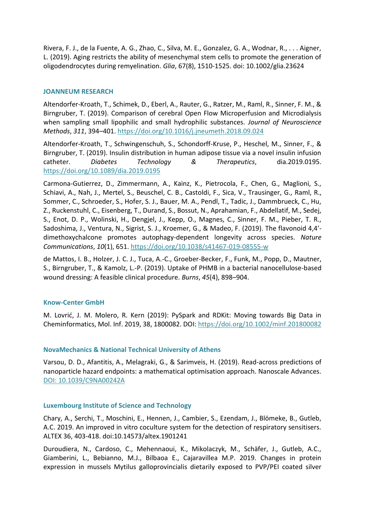Rivera, F. J., de la Fuente, A. G., Zhao, C., Silva, M. E., Gonzalez, G. A., Wodnar, R., . . . Aigner, L. (2019). Aging restricts the ability of mesenchymal stem cells to promote the generation of oligodendrocytes during remyelination. *Glia*, 67(8), 1510-1525. doi: 10.1002/glia.23624

# **JOANNEUM RESEARCH**

Altendorfer-Kroath, T., Schimek, D., Eberl, A., Rauter, G., Ratzer, M., Raml, R., Sinner, F. M., & Birngruber, T. (2019). Comparison of cerebral Open Flow Microperfusion and Microdialysis when sampling small lipophilic and small hydrophilic substances. *Journal of Neuroscience Methods*, *311*, 394–401.<https://doi.org/10.1016/j.jneumeth.2018.09.024>

Altendorfer-Kroath, T., Schwingenschuh, S., Schondorff-Kruse, P., Heschel, M., Sinner, F., & Birngruber, T. (2019). Insulin distribution in human adipose tissue via a novel insulin infusion catheter. *Diabetes Technology & Therapeutics*, dia.2019.0195. <https://doi.org/10.1089/dia.2019.0195>

Carmona-Gutierrez, D., Zimmermann, A., Kainz, K., Pietrocola, F., Chen, G., Maglioni, S., Schiavi, A., Nah, J., Mertel, S., Beuschel, C. B., Castoldi, F., Sica, V., Trausinger, G., Raml, R., Sommer, C., Schroeder, S., Hofer, S. J., Bauer, M. A., Pendl, T., Tadic, J., Dammbrueck, C., Hu, Z., Ruckenstuhl, C., Eisenberg, T., Durand, S., Bossut, N., Aprahamian, F., Abdellatif, M., Sedej, S., Enot, D. P., Wolinski, H., Dengjel, J., Kepp, O., Magnes, C., Sinner, F. M., Pieber, T. R., Sadoshima, J., Ventura, N., Sigrist, S. J., Kroemer, G., & Madeo, F. (2019). The flavonoid 4,4′ dimethoxychalcone promotes autophagy-dependent longevity across species. *Nature Communications*, *10*(1), 651.<https://doi.org/10.1038/s41467-019-08555-w>

de Mattos, I. B., Holzer, J. C. J., Tuca, A.-C., Groeber-Becker, F., Funk, M., Popp, D., Mautner, S., Birngruber, T., & Kamolz, L.-P. (2019). Uptake of PHMB in a bacterial nanocellulose-based wound dressing: A feasible clinical procedure. *Burns*, *45*(4), 898–904.

# **Know-Center GmbH**

M. Lovrić, J. M. Molero, R. Kern (2019): PySpark and RDKit: Moving towards Big Data in Cheminformatics, Mol. Inf. 2019, 38, 1800082. DOI:<https://doi.org/10.1002/minf.201800082>

# **NovaMechanics & National Technical University of Athens**

Varsou, D. D., Afantitis, A., Melagraki, G., & Sarimveis, H. (2019). Read-across predictions of nanoparticle hazard endpoints: a mathematical optimisation approach. Nanoscale Advances. [DOI: 10.1039/C9NA00242A](https://pubs.rsc.org/en/content/articlelanding/2019/na/c9na00242a#!divAbstract) 

# **Luxembourg Institute of Science and Technology**

Chary, A., Serchi, T., Moschini, E., Hennen, J., Cambier, S., Ezendam, J., Blömeke, B., Gutleb, A.C. 2019. An improved in vitro coculture system for the detection of respiratory sensitisers. ALTEX 36, 403-418. doi:10.14573/altex.1901241

Duroudiera, N., Cardoso, C., Mehennaoui, K., Mikolaczyk, M., Schäfer, J., Gutleb, A.C., Giamberini, L., Bebianno, M.J., Bilbaoa E., Cajaravillea M.P. 2019. Changes in protein expression in mussels Mytilus galloprovincialis dietarily exposed to PVP/PEI coated silver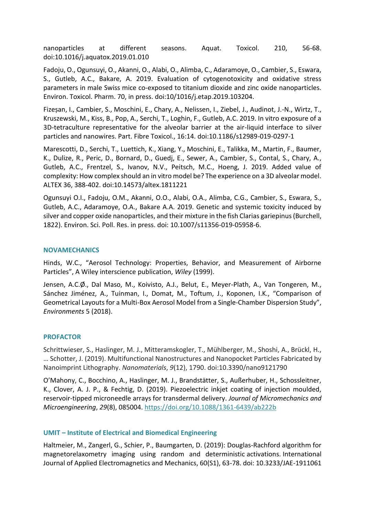nanoparticles at different seasons. Aquat. Toxicol. 210, 56-68. doi:10.1016/j.aquatox.2019.01.010

Fadoju, O., Ogunsuyi, O., Akanni, O., Alabi, O., Alimba, C., Adaramoye, O., Cambier, S., Eswara, S., Gutleb, A.C., Bakare, A. 2019. Evaluation of cytogenotoxicity and oxidative stress parameters in male Swiss mice co-exposed to titanium dioxide and zinc oxide nanoparticles. Environ. Toxicol. Pharm. 70, in press. doi:10/1016/j.etap.2019.103204.

Fizeșan, I., Cambier, S., Moschini, E., Chary, A., Nelissen, I., Ziebel, J., Audinot, J.-N., Wirtz, T., Kruszewski, M., Kiss, B., Pop, A., Serchi, T., Loghin, F., Gutleb, A.C. 2019. In vitro exposure of a 3D-tetraculture representative for the alveolar barrier at the air-liquid interface to silver particles and nanowires. Part. Fibre Toxicol., 16:14. doi:10.1186/s12989-019-0297-1

Marescotti, D., Serchi, T., Luettich, K., Xiang, Y., Moschini, E., Talikka, M., Martin, F., Baumer, K., Dulize, R., Peric, D., Bornard, D., Guedj, E., Sewer, A., Cambier, S., Contal, S., Chary, A., Gutleb, A.C., Frentzel, S., Ivanov, N.V., Peitsch, M.C., Hoeng, J. 2019. Added value of complexity: How complex should an in vitro model be? The experience on a 3D alveolar model. ALTEX 36, 388-402. doi:10.14573/altex.1811221

Ogunsuyi O.I., Fadoju, O.M., Akanni, O.O., Alabi, O.A., Alimba, C.G., Cambier, S., Eswara, S., Gutleb, A.C., Adaramoye, O.A., Bakare A.A. 2019. Genetic and systemic toxicity induced by silver and copper oxide nanoparticles, and their mixture in the fish Clarias gariepinus (Burchell, 1822). Environ. Sci. Poll. Res. in press. doi: 10.1007/s11356-019-05958-6.

# **NOVAMECHANICS**

Hinds, W.C., "Aerosol Technology: Properties, Behavior, and Measurement of Airborne Particles", A Wiley interscience publication, *Wiley* (1999).

Jensen, A.C.Ø., Dal Maso, M., Koivisto, A.J., Belut, E., Meyer-Plath, A., Van Tongeren, M., Sánchez Jiménez, A., Tuinman, I., Domat, M., Toftum, J., Koponen, I.K., "Comparison of Geometrical Layouts for a Multi-Box Aerosol Model from a Single-Chamber Dispersion Study", *Environments* 5 (2018).

# **PROFACTOR**

Schrittwieser, S., Haslinger, M. J., Mitteramskogler, T., Mühlberger, M., Shoshi, A., Brückl, H., … Schotter, J. (2019). Multifunctional Nanostructures and Nanopocket Particles Fabricated by Nanoimprint Lithography. *Nanomaterials*, *9*(12), 1790. doi:10.3390/nano9121790

O'Mahony, C., Bocchino, A., Haslinger, M. J., Brandstätter, S., Außerhuber, H., Schossleitner, K., Clover, A. J. P., & Fechtig, D. (2019). Piezoelectric inkjet coating of injection moulded, reservoir-tipped microneedle arrays for transdermal delivery. *Journal of Micromechanics and Microengineering*, *29*(8), 085004.<https://doi.org/10.1088/1361-6439/ab222b>

# **UMIT – Institute of Electrical and Biomedical Engineering**

Haltmeier, M., Zangerl, G., Schier, P., Baumgarten, D. (2019): Douglas-Rachford algorithm for magnetorelaxometry imaging using random and deterministic activations. International Journal of Applied Electromagnetics and Mechanics, 60(S1), 63-78. doi: 10.3233/JAE-1911061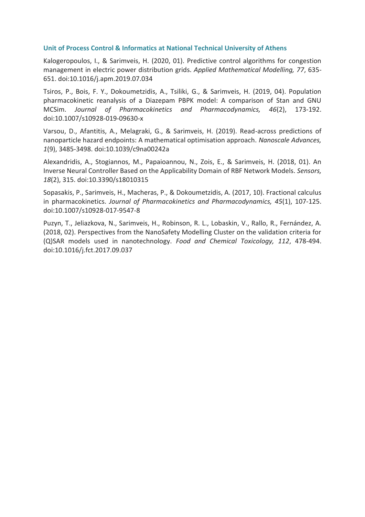# **Unit of Process Control & Informatics at National Technical University of Athens**

Kalogeropoulos, I., & Sarimveis, H. (2020, 01). Predictive control algorithms for congestion management in electric power distribution grids. *Applied Mathematical Modelling, 77*, 635- 651. doi:10.1016/j.apm.2019.07.034

Tsiros, P., Bois, F. Y., Dokoumetzidis, A., Tsiliki, G., & Sarimveis, H. (2019, 04). Population pharmacokinetic reanalysis of a Diazepam PBPK model: A comparison of Stan and GNU MCSim. *Journal of Pharmacokinetics and Pharmacodynamics, 46*(2), 173-192. doi:10.1007/s10928-019-09630-x

Varsou, D., Afantitis, A., Melagraki, G., & Sarimveis, H. (2019). Read-across predictions of nanoparticle hazard endpoints: A mathematical optimisation approach. *Nanoscale Advances, 1*(9), 3485-3498. doi:10.1039/c9na00242a

Alexandridis, A., Stogiannos, M., Papaioannou, N., Zois, E., & Sarimveis, H. (2018, 01). An Inverse Neural Controller Based on the Applicability Domain of RBF Network Models. *Sensors, 18*(2), 315. doi:10.3390/s18010315

Sopasakis, P., Sarimveis, H., Macheras, P., & Dokoumetzidis, A. (2017, 10). Fractional calculus in pharmacokinetics. *Journal of Pharmacokinetics and Pharmacodynamics, 45*(1), 107-125. doi:10.1007/s10928-017-9547-8

Puzyn, T., Jeliazkova, N., Sarimveis, H., Robinson, R. L., Lobaskin, V., Rallo, R., Fernández, A. (2018, 02). Perspectives from the NanoSafety Modelling Cluster on the validation criteria for (Q)SAR models used in nanotechnology. *Food and Chemical Toxicology, 112*, 478-494. doi:10.1016/j.fct.2017.09.037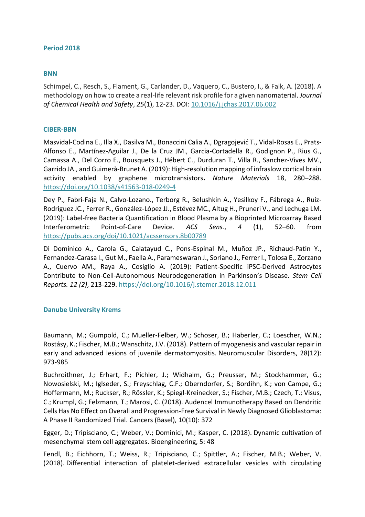# <span id="page-37-0"></span>**Period 2018**

# **BNN**

Schimpel, C., Resch, S., Flament, G., Carlander, D., Vaquero, C., Bustero, I., & Falk, A. (2018). A methodology on how to create a real-life relevant risk profile for a given nanomaterial. *Journal of Chemical Health and Safety*, *25*(1), 12-23. DOI: [10.1016/j.jchas.2017.06.002](http://dx.doi.org/10.1016/j.jchas.2017.06.002)

# **CIBER-BBN**

Masvidal-Codina E., Illa X., Dasilva M., Bonaccini Calia A., Dgragojević T., Vidal-Rosas E., Prats-Alfonso E., Martínez-Aguilar J., De la Cruz JM., Garcia-Cortadella R., Godignon P., Rius G., Camassa A., Del Corro E., Bousquets J., Hébert C., Durduran T., Villa R., Sanchez-Vives MV., Garrido JA., and Guimerà-Brunet A. (2019): High-resolution mapping of infraslow cortical brain activity enabled by graphene microtransistors**.** *Nature Materials* 18, 280–288. <https://doi.org/10.1038/s41563-018-0249-4>

Dey P., Fabri-Faja N., Calvo-Lozano., Terborg R., Belushkin A., Yesilkoy F., Fábrega A., Ruiz-Rodriguez JC., Ferrer R., González-López JJ., Estévez MC., Altug H., Pruneri V., and Lechuga LM. (2019): Label-free Bacteria Quantification in Blood Plasma by a Bioprinted Microarray Based Interferometric Point-of-Care Device. *ACS Sens.*, *4* (1), 52–60. from <https://pubs.acs.org/doi/10.1021/acssensors.8b00789>

Di Dominico A., Carola G., Calatayud C., Pons-Espinal M., Muñoz JP., Richaud-Patin Y., Fernandez-Carasa I., Gut M., Faella A., Parameswaran J., Soriano J., Ferrer I., Tolosa E., Zorzano A., Cuervo AM., Raya A., Cosiglio A. (2019): Patient-Specific iPSC-Derived Astrocytes Contribute to Non-Cell-Autonomous Neurodegeneration in Parkinson's Disease. *Stem Cell Reports. 12 (2)*, 213-229.<https://doi.org/10.1016/j.stemcr.2018.12.011>

# **Danube University Krems**

Baumann, M.; Gumpold, C.; Mueller-Felber, W.; Schoser, B.; Haberler, C.; Loescher, W.N.; Rostásy, K.; Fischer, M.B.; Wanschitz, J.V. (2018). [Pattern of myogenesis and vascular repair in](https://www.sciencedirect.com/science/article/pii/S0960896618302736?via%3Dihub)  [early and advanced lesions of juvenile dermatomyositis.](https://www.sciencedirect.com/science/article/pii/S0960896618302736?via%3Dihub) Neuromuscular Disorders, 28(12): 973-985

Buchroithner, J.; Erhart, F.; Pichler, J.; Widhalm, G.; Preusser, M.; Stockhammer, G.; Nowosielski, M.; Iglseder, S.; Freyschlag, C.F.; Oberndorfer, S.; Bordihn, K.; von Campe, G.; Hoffermann, M.; Ruckser, R.; Rössler, K.; Spiegl-Kreinecker, S.; Fischer, M.B.; Czech, T.; Visus, C.; Krumpl, G.; Felzmann, T.; Marosi, C. (2018). [Audencel Immunotherapy Based on Dendritic](https://www.mdpi.com/2072-6694/10/10/372)  [Cells Has No Effect on Overall and Progression-Free Survival in Newly Diagnosed Glioblastoma:](https://www.mdpi.com/2072-6694/10/10/372)  [A Phase II Randomized Trial.](https://www.mdpi.com/2072-6694/10/10/372) Cancers (Basel), 10(10): 372

Egger, D.; Tripisciano, C.; Weber, V.; Dominici, M.; Kasper, C. (2018). [Dynamic cultivation of](http://www.mdpi.com/2306-5354/5/2/48)  [mesenchymal stem cell aggregates.](http://www.mdpi.com/2306-5354/5/2/48) Bioengineering, 5: 48

Fendl, B.; Eichhorn, T.; Weiss, R.; Tripisciano, C.; Spittler, A.; Fischer, M.B.; Weber, V. (2018). [Differential interaction of platelet-derived extracellular vesicles with circulating](https://www.frontiersin.org/articles/10.3389/fimmu.2018.02797/full?&utm_source=Email_to_authors_&utm_medium=Email&utm_content=T1_11.5e1_author&utm_campaign=Email_publication&field=&journalName=Frontiers_in_Immunology&id=413576)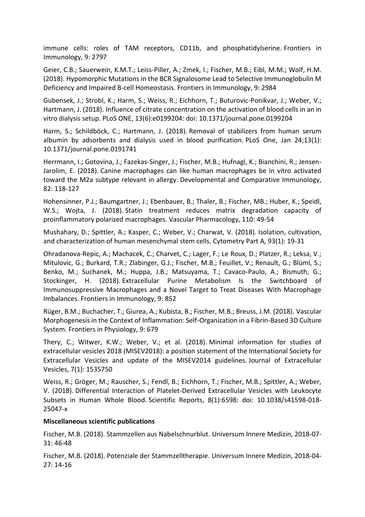[immune cells: roles of TAM receptors, CD11b, and phosphatidylserine.](https://www.frontiersin.org/articles/10.3389/fimmu.2018.02797/full?&utm_source=Email_to_authors_&utm_medium=Email&utm_content=T1_11.5e1_author&utm_campaign=Email_publication&field=&journalName=Frontiers_in_Immunology&id=413576) Frontiers in Immunology, 9: 2797

Geier, C.B.; Sauerwein, K.M.T.; Leiss-Piller, A.; Zmek, I.; Fischer, M.B.; Eibl, M.M.; Wolf, H.M. (2018). [Hypomorphic Mutations in the BCR Signalosome Lead to Selective Immunoglobulin M](https://www.frontiersin.org/articles/10.3389/fimmu.2018.02984/full)  [Deficiency and Impaired B-cell Homeostasis.](https://www.frontiersin.org/articles/10.3389/fimmu.2018.02984/full) Frontiers in Immunology, 9: 2984

Gubensek, J.; Strobl, K.; Harm, S.; Weiss, R.; Eichhorn, T.; Buturovic-Ponikvar, J.; Weber, V.; Hartmann, J. (2018). [Influence of citrate concentration on the activation of blood cells in an in](https://journals.plos.org/plosone/article?id=10.1371/journal.pone.0199204)  [vitro dialysis setup.](https://journals.plos.org/plosone/article?id=10.1371/journal.pone.0199204) PLoS ONE, 13(6):e0199204: doi: 10.1371/journal.pone.0199204

Harm, S.; Schildböck, C.; Hartmann, J. (2018). [Removal of stabilizers from human serum](https://www.ncbi.nlm.nih.gov/pmc/articles/PMC5783404/pdf/pone.0191741.pdf)  [albumin by adsorbents and dialysis used in blood purification.](https://www.ncbi.nlm.nih.gov/pmc/articles/PMC5783404/pdf/pone.0191741.pdf) PLoS One, Jan 24;13(1): 10.1371/journal.pone.0191741

Herrmann, I.; Gotovina, J.; Fazekas-Singer, J.; Fischer, M.B.; Hufnagl, K.; Bianchini, R.; Jensen-Jarolim, E. (2018). [Canine macrophages can like human macrophages be in vitro activated](https://www.sciencedirect.com/science/article/pii/S0145305X17305281?via%3Dihub)  [toward the M2a subtype relevant in allergy.](https://www.sciencedirect.com/science/article/pii/S0145305X17305281?via%3Dihub) Developmental and Comparative Immunology, 82: 118-127

Hohensinner, P.J.; Baumgartner, J.; Ebenbauer, B.; Thaler, B.; Fischer, MB.; Huber, K.; Speidl, W.S.; Wojta, J. (2018). [Statin treatment reduces matrix degradation capacity of](https://www.sciencedirect.com/science/article/pii/S1537189118302155?via%3Dihub)  [proinflammatory polarized macrophages.](https://www.sciencedirect.com/science/article/pii/S1537189118302155?via%3Dihub) Vascular Pharmacology, 110: 49-54

Mushahary, D.; Spittler, A.; Kasper, C.; Weber, V.; Charwat, V. (2018). [Isolation, cultivation,](http://onlinelibrary.wiley.com/doi/10.1002/cyto.a.23242/abstract)  [and characterization of human mesenchymal stem cells.](http://onlinelibrary.wiley.com/doi/10.1002/cyto.a.23242/abstract) Cytometry Part A, 93(1): 19-31

Ohradanova-Repic, A.; Machacek, C.; Charvet, C.; Lager, F.; Le Roux, D.; Platzer, R.; Leksa, V.; Mitulovic, G.; Burkard, T.R.; Zlabinger, G.J.; Fischer, M.B.; Feuillet, V.; Renault, G.; Blüml, S.; Benko, M.; Suchanek, M.; Huppa, J.B.; Matsuyama, T.; Cavaco-Paulo, A.; Bismuth, G.; Stockinger, H. (2018). [Extracellular Purine Metabolism Is the Switchboard of](https://www.frontiersin.org/articles/10.3389/fimmu.2018.00852/full)  [Immunosuppressive Macrophages and a Novel Target to Treat Diseases With Macrophage](https://www.frontiersin.org/articles/10.3389/fimmu.2018.00852/full)  [Imbalances.](https://www.frontiersin.org/articles/10.3389/fimmu.2018.00852/full) Frontiers in Immunology, 9: 852

Rüger, B.M.; Buchacher, T.; Giurea, A.; Kubista, B.; Fischer, M.B.; Breuss, J.M. (2018). [Vascular](https://www.frontiersin.org/articles/10.3389/fphys.2018.00679/full)  [Morphogenesis in the Context of Inflammation: Self-Organization in a Fibrin-Based 3D Culture](https://www.frontiersin.org/articles/10.3389/fphys.2018.00679/full)  [System.](https://www.frontiersin.org/articles/10.3389/fphys.2018.00679/full) Frontiers in Physiology, 9: 679

Thery, C.; Witwer, K.W.; Weber, V.; et al. (2018). [Minimal information for studies of](https://www.tandfonline.com/doi/full/10.1080/20013078.2018.1535750)  [extracellular vesicles 2018 \(MISEV2018\): a position statement of the International Society for](https://www.tandfonline.com/doi/full/10.1080/20013078.2018.1535750)  [Extracellular Vesicles and update of the MISEV2014 guidelines.](https://www.tandfonline.com/doi/full/10.1080/20013078.2018.1535750) Journal of Extracellular Vesicles, 7(1): 1535750

Weiss, R.; Gröger, M.; Rauscher, S.; Fendl, B.; Eichhorn, T.; Fischer, M.B.; Spittler, A.; Weber, V. (2018). [Differential Interaction of Platelet-Derived Extracellular Vesicles with Leukocyte](http://www.nature.com/articles/s41598-018-25047-x)  [Subsets in Human Whole Blood.](http://www.nature.com/articles/s41598-018-25047-x) Scientific Reports, 8(1):6598: doi: 10.1038/s41598-018- 25047-x

# **Miscellaneous scientific publications**

Fischer, M.B. (2018). [Stammzellen aus Nabelschnurblut.](https://www.medmedia.at/univ-innere-medizin/stammzellen-aus-nabelschnurblut/) Universum Innere Medizin, 2018-07- 31: 46-48

Fischer, M.B. (2018). [Potenziale der Stammzelltherapie.](https://www.medmedia.at/univ-innere-medizin/potenziale-der-stammzelltherapie/) Universum Innere Medizin, 2018-04- 27: 14-16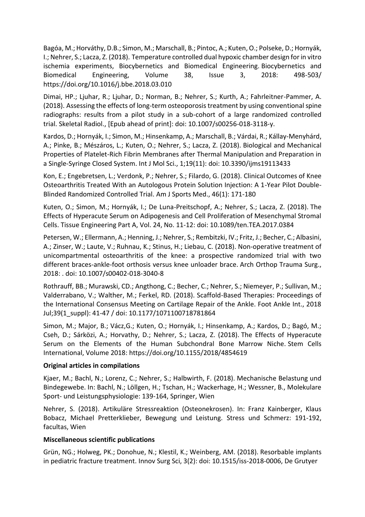Bagóa, M.; Horváthy, D.B.; Simon, M.; Marschall, B.; Pintoc, A.; Kuten, O.; Polseke, D.; Hornyák, I.; Nehrer, S.; Lacza, Z. (2018). [Temperature controlled dual hypoxic chamber design for in vitro](https://reader.elsevier.com/reader/sd/pii/S0208521617303893?token=DBEA5AE834CAB1BBC108C715AF9239178AA0E508E090018AC2F8A2E93EB571F108DBA421AD86D1DEC31F311D66577B63)  [ischemia experiments, Biocybernetics and Biomedical Engineering.](https://reader.elsevier.com/reader/sd/pii/S0208521617303893?token=DBEA5AE834CAB1BBC108C715AF9239178AA0E508E090018AC2F8A2E93EB571F108DBA421AD86D1DEC31F311D66577B63) Biocybernetics and Biomedical Engineering, Volume 38, Issue 3, 2018: 498-503/ https://doi.org/10.1016/j.bbe.2018.03.010

Dimai, HP.; Ljuhar, R.; Ljuhar, D.; Norman, B.; Nehrer, S.; Kurth, A.; Fahrleitner-Pammer, A. (2018). [Assessing the effects of long-term osteoporosis treatment by using conventional spine](https://link.springer.com/content/pdf/10.1007%2Fs00256-018-3118-y.pdf)  [radiographs: results from a pilot study in a sub-cohort of a large randomized controlled](https://link.springer.com/content/pdf/10.1007%2Fs00256-018-3118-y.pdf)  [trial.](https://link.springer.com/content/pdf/10.1007%2Fs00256-018-3118-y.pdf) Skeletal Radiol., [Epub ahead of print]: doi: 10.1007/s00256-018-3118-y.

Kardos, D.; Hornyák, I.; Simon, M.; Hinsenkamp, A.; Marschall, B.; Várdai, R.; Kállay-Menyhárd, A.; Pinke, B.; Mészáros, L.; Kuten, O.; Nehrer, S.; Lacza, Z. (2018). [Biological and Mechanical](https://www.ncbi.nlm.nih.gov/pmc/articles/PMC6274993/pdf/ijms-19-03433.pdf)  Properties of [Platelet-Rich Fibrin Membranes after Thermal Manipulation and Preparation in](https://www.ncbi.nlm.nih.gov/pmc/articles/PMC6274993/pdf/ijms-19-03433.pdf)  [a Single-Syringe Closed System.](https://www.ncbi.nlm.nih.gov/pmc/articles/PMC6274993/pdf/ijms-19-03433.pdf) Int J Mol Sci., 1;19(11): doi: 10.3390/ijms19113433

Kon, E.; Engebretsen, L.; Verdonk, P.; Nehrer, S.; Filardo, G. (2018). Clinical Outcomes of Knee Osteoarthritis Treated With an Autologous Protein Solution Injection: A 1-Year Pilot Double-Blinded Randomized Controlled Trial. Am J Sports Med., 46(1): 171-180

Kuten, O.; Simon, M.; Hornyák, I.; De Luna-Preitschopf, A.; Nehrer, S.; Lacza, Z. (2018). [The](https://www.liebertpub.com/doi/full/10.1089/ten.TEA.2017.0384?url_ver=Z39.88-2003&rfr_id=ori:rid:crossref.org&rfr_dat=cr_pub%3dpubmed)  [Effects of Hyperacute Serum on Adipogenesis and Cell Proliferation of Mesenchymal Stromal](https://www.liebertpub.com/doi/full/10.1089/ten.TEA.2017.0384?url_ver=Z39.88-2003&rfr_id=ori:rid:crossref.org&rfr_dat=cr_pub%3dpubmed)  [Cells.](https://www.liebertpub.com/doi/full/10.1089/ten.TEA.2017.0384?url_ver=Z39.88-2003&rfr_id=ori:rid:crossref.org&rfr_dat=cr_pub%3dpubmed) Tissue Engineering Part A, Vol. 24, No. 11-12: doi: 10.1089/ten.TEA.2017.0384

Petersen, W.; Ellermann, A.; Henning, J.; Nehrer, S.; Rembitzki, IV.; Fritz, J.; Becher, C.; Albasini, A.; Zinser, W.; Laute, V.; Ruhnau, K.; Stinus, H.; Liebau, C. (2018). [Non-operative treatment of](https://link.springer.com/article/10.1007%2Fs00402-018-3040-8)  [unicompartmental osteoarthritis of the knee: a prospective randomized trial with two](https://link.springer.com/article/10.1007%2Fs00402-018-3040-8)  [different braces-ankle-foot orthosis versus knee unloader brace.](https://link.springer.com/article/10.1007%2Fs00402-018-3040-8) Arch Orthop Trauma Surg., 2018: . doi: 10.1007/s00402-018-3040-8

Rothrauff, BB.; Murawski, CD.; Angthong, C.; Becher, C.; Nehrer, S.; Niemeyer, P.; Sullivan, M.; Valderrabano, V.; Walther, M.; Ferkel, RD. (2018). Scaffold-Based Therapies: Proceedings of the International Consensus Meeting on Cartilage Repair of the Ankle. Foot Ankle Int., 2018 Jul;39(1\_suppl): 41-47 / doi: 10.1177/1071100718781864

Simon, M.; Major, B.; Vácz,G.; Kuten, O.; Hornyák, I.; Hinsenkamp, A.; Kardos, D.; Bagó, M.; Cseh, D.; Sárközi, A.; Horvathy, D.; Nehrer, S.; Lacza, Z. (2018). [The Effects of Hyperacute](https://www.ncbi.nlm.nih.gov/pmc/articles/PMC5926480/)  [Serum on the Elements of the Human Subchondral Bone Marrow Niche.](https://www.ncbi.nlm.nih.gov/pmc/articles/PMC5926480/) Stem Cells International, Volume 2018: https://doi.org/10.1155/2018/4854619

# **Original articles in compilations**

Kjaer, M.; Bachl, N.; Lorenz, C.; Nehrer, S.; Halbwirth, F. (2018). [Mechanische Belastung und](http://www.springer.com/medicine/book/978-3-7091-1590-9?detailsPage=authorsAndEditors)  [Bindegewebe.](http://www.springer.com/medicine/book/978-3-7091-1590-9?detailsPage=authorsAndEditors) In: Bachl, N.; Löllgen, H.; Tschan, H.; Wackerhage, H.; Wessner, B., Molekulare Sport- und Leistungsphysiologie: 139-164, Springer, Wien

Nehrer, S. (2018). Artikuläre Stressreaktion (Osteonekrosen). In: Franz Kainberger, Klaus Bobacz, Michael Pretterklieber, Bewegung und Leistung. Stress und Schmerz: 191-192, facultas, Wien

# **Miscellaneous scientific publications**

Grün, NG.; Holweg, PK.; Donohue, N.; Klestil, K.; Weinberg, AM. (2018). [Resorbable implants](https://www.ncbi.nlm.nih.gov/pmc/articles/PMC6604569/pdf/iss-3-20180006.pdf)  [in pediatric fracture treatment.](https://www.ncbi.nlm.nih.gov/pmc/articles/PMC6604569/pdf/iss-3-20180006.pdf) Innov Surg Sci, 3(2): doi: 10.1515/iss-2018-0006, De Grutyer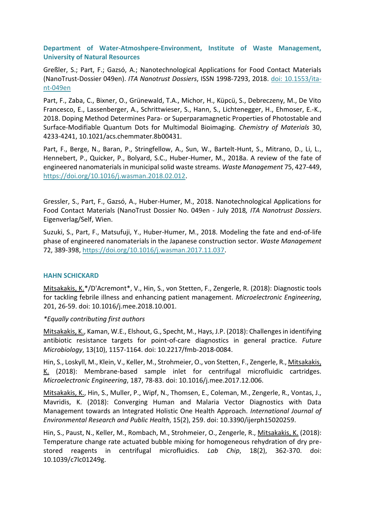# **Department of Water-Atmoshpere-Environment, Institute of Waste Management, University of Natural Resources**

Greßler, S.; Part, F.; Gazsó, A.; Nanotechnological Applications for Food Contact Materials (NanoTrust-Dossier 049en). *ITA Nanotrust Dossiers*, ISSN 1998-7293, 2018. [doi: 10.1553/ita](http://epub.oeaw.ac.at/?arp=0x003918dd)[nt-049en](http://epub.oeaw.ac.at/?arp=0x003918dd)

Part, F., Zaba, C., Bixner, O., Grünewald, T.A., Michor, H., Küpcü, S., Debreczeny, M., De Vito Francesco, E., Lassenberger, A., Schrittwieser, S., Hann, S., Lichtenegger, H., Ehmoser, E.-K., 2018. Doping Method Determines Para- or Superparamagnetic Properties of Photostable and Surface-Modifiable Quantum Dots for Multimodal Bioimaging. *Chemistry of Materials* 30, 4233-4241, 10.1021/acs.chemmater.8b00431.

Part, F., Berge, N., Baran, P., Stringfellow, A., Sun, W., Bartelt-Hunt, S., Mitrano, D., Li, L., Hennebert, P., Quicker, P., Bolyard, S.C., Huber-Humer, M., 2018a. A review of the fate of engineered nanomaterials in municipal solid waste streams. *Waste Management* 75, 427-449, [https://doi.org/10.1016/j.wasman.2018.02.012.](https://doi.org/10.1016/j.wasman.2018.02.012)

Gressler, S., Part, F., Gazsó, A., Huber-Humer, M., 2018. Nanotechnological Applications for Food Contact Materials (NanoTrust Dossier No. 049en - July 2018*, ITA Nanotrust Dossiers*. Eigenverlag/Self, Wien.

Suzuki, S., Part, F., Matsufuji, Y., Huber-Humer, M., 2018. Modeling the fate and end-of-life phase of engineered nanomaterials in the Japanese construction sector. *Waste Management* 72, 389-398, [https://doi.org/10.1016/j.wasman.2017.11.037.](https://doi.org/10.1016/j.wasman.2017.11.037)

# **HAHN SCHICKARD**

Mitsakakis, K.\*/D'Acremont\*, V., Hin, S., von Stetten, F., Zengerle, R. (2018): Diagnostic tools for tackling febrile illness and enhancing patient management. *Microelectronic Engineering*, 201, 26-59. doi: 10.1016/j.mee.2018.10.001.

# *\*Equally contributing first authors*

Mitsakakis, K., Kaman, W.E., Elshout, G., Specht, M., Hays, J.P. (2018): Challenges in identifying antibiotic resistance targets for point-of-care diagnostics in general practice. *Future Microbiology*, 13(10), 1157-1164. doi: 10.2217/fmb-2018-0084.

Hin, S., Loskyll, M., Klein, V., Keller, M., Strohmeier, O., von Stetten, F., Zengerle, R., Mitsakakis, K. (2018): Membrane-based sample inlet for centrifugal microfluidic cartridges. *Microelectronic Engineering*, 187, 78-83. doi: 10.1016/j.mee.2017.12.006.

Mitsakakis, K., Hin, S., Muller, P., Wipf, N., Thomsen, E., Coleman, M., Zengerle, R., Vontas, J., Mavridis, K. (2018): Converging Human and Malaria Vector Diagnostics with Data Management towards an Integrated Holistic One Health Approach. *International Journal of Environmental Research and Public Health*, 15(2), 259. doi: 10.3390/ijerph15020259.

Hin, S., Paust, N., Keller, M., Rombach, M., Strohmeier, O., Zengerle, R., Mitsakakis, K. (2018): Temperature change rate actuated bubble mixing for homogeneous rehydration of dry prestored reagents in centrifugal microfluidics. *Lab Chip*, 18(2), 362-370. doi: 10.1039/c7lc01249g.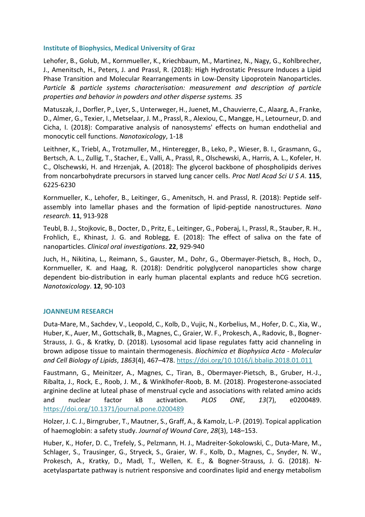# **Institute of Biophysics, Medical University of Graz**

Lehofer, B., Golub, M., Kornmueller, K., Kriechbaum, M., Martinez, N., Nagy, G., Kohlbrecher, J., Amenitsch, H., Peters, J. and Prassl, R. (2018): High Hydrostatic Pressure Induces a Lipid Phase Transition and Molecular Rearrangements in Low-Density Lipoprotein Nanoparticles. *Particle & particle systems characterisation: measurement and description of particle properties and behavior in powders and other disperse systems. 35*

Matuszak, J., Dorfler, P., Lyer, S., Unterweger, H., Juenet, M., Chauvierre, C., Alaarg, A., Franke, D., Almer, G., Texier, I., Metselaar, J. M., Prassl, R., Alexiou, C., Mangge, H., Letourneur, D. and Cicha, I. (2018): Comparative analysis of nanosystems' effects on human endothelial and monocytic cell functions. *Nanotoxicology*, 1-18

Leithner, K., Triebl, A., Trotzmuller, M., Hinteregger, B., Leko, P., Wieser, B. I., Grasmann, G., Bertsch, A. L., Zullig, T., Stacher, E., Valli, A., Prassl, R., Olschewski, A., Harris, A. L., Kofeler, H. C., Olschewski, H. and Hrzenjak, A. (2018): The glycerol backbone of phospholipids derives from noncarbohydrate precursors in starved lung cancer cells*. Proc Natl Acad Sci U S A*. **115**, 6225-6230

Kornmueller, K., Lehofer, B., Leitinger, G., Amenitsch, H. and Prassl, R. (2018): Peptide selfassembly into lamellar phases and the formation of lipid-peptide nanostructures. *Nano research*. **11**, 913-928

Teubl, B. J., Stojkovic, B., Docter, D., Pritz, E., Leitinger, G., Poberaj, I., Prassl, R., Stauber, R. H., Frohlich, E., Khinast, J. G. and Roblegg, E. (2018): The effect of saliva on the fate of nanoparticles. *Clinical oral investigations*. **22**, 929-940

Juch, H., Nikitina, L., Reimann, S., Gauster, M., Dohr, G., Obermayer-Pietsch, B., Hoch, D., Kornmueller, K. and Haag, R. (2018): Dendritic polyglycerol nanoparticles show charge dependent bio-distribution in early human placental explants and reduce hCG secretion. *Nanotoxicology*. **12**, 90-103

# **JOANNEUM RESEARCH**

Duta-Mare, M., Sachdev, V., Leopold, C., Kolb, D., Vujic, N., Korbelius, M., Hofer, D. C., Xia, W., Huber, K., Auer, M., Gottschalk, B., Magnes, C., Graier, W. F., Prokesch, A., Radovic, B., Bogner-Strauss, J. G., & Kratky, D. (2018). Lysosomal acid lipase regulates fatty acid channeling in brown adipose tissue to maintain thermogenesis. *Biochimica et Biophysica Acta - Molecular and Cell Biology of Lipids*, *1863*(4), 467–478. https://doi.org/10.1016/j.bbalip.2018.01.011

Faustmann, G., Meinitzer, A., Magnes, C., Tiran, B., Obermayer-Pietsch, B., Gruber, H.-J., Ribalta, J., Rock, E., Roob, J. M., & Winklhofer-Roob, B. M. (2018). Progesterone-associated arginine decline at luteal phase of menstrual cycle and associations with related amino acids and nuclear factor kB activation. *PLOS ONE*, *13*(7), e0200489. https://doi.org/10.1371/journal.pone.0200489

Holzer, J. C. J., Birngruber, T., Mautner, S., Graff, A., & Kamolz, L.-P. (2019). Topical application of haemoglobin: a safety study. *Journal of Wound Care*, *28*(3), 148–153.

Huber, K., Hofer, D. C., Trefely, S., Pelzmann, H. J., Madreiter-Sokolowski, C., Duta-Mare, M., Schlager, S., Trausinger, G., Stryeck, S., Graier, W. F., Kolb, D., Magnes, C., Snyder, N. W., Prokesch, A., Kratky, D., Madl, T., Wellen, K. E., & Bogner-Strauss, J. G. (2018). Nacetylaspartate pathway is nutrient responsive and coordinates lipid and energy metabolism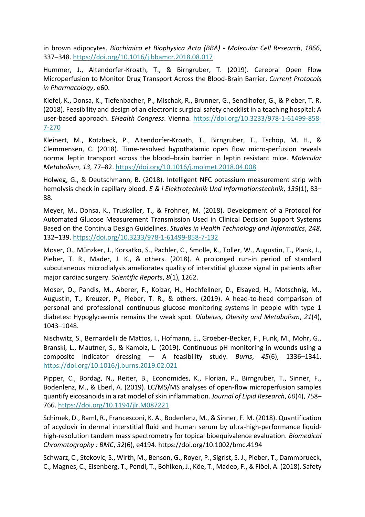in brown adipocytes. *Biochimica et Biophysica Acta (BBA) - Molecular Cell Research*, *1866*, 337–348. https://doi.org/10.1016/j.bbamcr.2018.08.017

Hummer, J., Altendorfer-Kroath, T., & Birngruber, T. (2019). Cerebral Open Flow Microperfusion to Monitor Drug Transport Across the Blood-Brain Barrier. *Current Protocols in Pharmacology*, e60.

Kiefel, K., Donsa, K., Tiefenbacher, P., Mischak, R., Brunner, G., Sendlhofer, G., & Pieber, T. R. (2018). Feasibility and design of an electronic surgical safety checklist in a teaching hospital: A user-based approach. *EHealth Congress*. Vienna. https://doi.org/10.3233/978-1-61499-858- 7-270

Kleinert, M., Kotzbeck, P., Altendorfer-Kroath, T., Birngruber, T., Tschöp, M. H., & Clemmensen, C. (2018). Time-resolved hypothalamic open flow micro-perfusion reveals normal leptin transport across the blood–brain barrier in leptin resistant mice. *Molecular Metabolism*, *13*, 77–82. https://doi.org/10.1016/j.molmet.2018.04.008

Holweg, G., & Deutschmann, B. (2018). Intelligent NFC potassium measurement strip with hemolysis check in capillary blood. *E & i Elektrotechnik Und Informationstechnik*, *135*(1), 83– 88.

Meyer, M., Donsa, K., Truskaller, T., & Frohner, M. (2018). Development of a Protocol for Automated Glucose Measurement Transmission Used in Clinical Decision Support Systems Based on the Continua Design Guidelines. *Studies in Health Technology and Informatics*, *248*, 132–139. https://doi.org/10.3233/978-1-61499-858-7-132

Moser, O., Münzker, J., Korsatko, S., Pachler, C., Smolle, K., Toller, W., Augustin, T., Plank, J., Pieber, T. R., Mader, J. K., & others. (2018). A prolonged run-in period of standard subcutaneous microdialysis ameliorates quality of interstitial glucose signal in patients after major cardiac surgery. *Scientific Reports*, *8*(1), 1262.

Moser, O., Pandis, M., Aberer, F., Kojzar, H., Hochfellner, D., Elsayed, H., Motschnig, M., Augustin, T., Kreuzer, P., Pieber, T. R., & others. (2019). A head-to-head comparison of personal and professional continuous glucose monitoring systems in people with type 1 diabetes: Hypoglycaemia remains the weak spot. *Diabetes, Obesity and Metabolism*, *21*(4), 1043–1048.

Nischwitz, S., Bernardelli de Mattos, I., Hofmann, E., Groeber-Becker, F., Funk, M., Mohr, G., Branski, L., Mautner, S., & Kamolz, L. (2019). Continuous pH monitoring in wounds using a composite indicator dressing — A feasibility study. *Burns*, *45*(6), 1336–1341. https://doi.org/10.1016/j.burns.2019.02.021

Pipper, C., Bordag, N., Reiter, B., Economides, K., Florian, P., Birngruber, T., Sinner, F., Bodenlenz, M., & Eberl, A. (2019). LC/MS/MS analyses of open-flow microperfusion samples quantify eicosanoids in a rat model of skin inflammation. *Journal of Lipid Research*, *60*(4), 758– 766. https://doi.org/10.1194/jlr.M087221

Schimek, D., Raml, R., Francesconi, K. A., Bodenlenz, M., & Sinner, F. M. (2018). Quantification of acyclovir in dermal interstitial fluid and human serum by ultra-high-performance liquidhigh-resolution tandem mass spectrometry for topical bioequivalence evaluation. *Biomedical Chromatography : BMC*, *32*(6), e4194. https://doi.org/10.1002/bmc.4194

Schwarz, C., Stekovic, S., Wirth, M., Benson, G., Royer, P., Sigrist, S. J., Pieber, T., Dammbrueck, C., Magnes, C., Eisenberg, T., Pendl, T., Bohlken, J., Köe, T., Madeo, F., & Flöel, A. (2018). Safety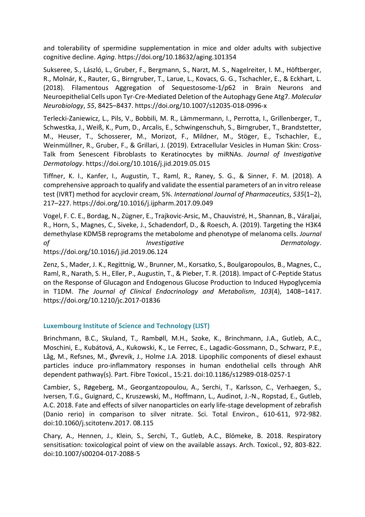and tolerability of spermidine supplementation in mice and older adults with subjective cognitive decline. *Aging*. https://doi.org/10.18632/aging.101354

Sukseree, S., László, L., Gruber, F., Bergmann, S., Narzt, M. S., Nagelreiter, I. M., Höftberger, R., Molnár, K., Rauter, G., Birngruber, T., Larue, L., Kovacs, G. G., Tschachler, E., & Eckhart, L. (2018). Filamentous Aggregation of Sequestosome-1/p62 in Brain Neurons and Neuroepithelial Cells upon Tyr-Cre-Mediated Deletion of the Autophagy Gene Atg7. *Molecular Neurobiology*, *55*, 8425–8437. https://doi.org/10.1007/s12035-018-0996-x

Terlecki-Zaniewicz, L., Pils, V., Bobbili, M. R., Lämmermann, I., Perrotta, I., Grillenberger, T., Schwestka, J., Weiß, K., Pum, D., Arcalis, E., Schwingenschuh, S., Birngruber, T., Brandstetter, M., Heuser, T., Schosserer, M., Morizot, F., Mildner, M., Stöger, E., Tschachler, E., Weinmüllner, R., Gruber, F., & Grillari, J. (2019). Extracellular Vesicles in Human Skin: Cross-Talk from Senescent Fibroblasts to Keratinocytes by miRNAs. *Journal of Investigative Dermatology*. https://doi.org/10.1016/j.jid.2019.05.015

Tiffner, K. I., Kanfer, I., Augustin, T., Raml, R., Raney, S. G., & Sinner, F. M. (2018). A comprehensive approach to qualify and validate the essential parameters of an in vitro release test (IVRT) method for acyclovir cream, 5%. *International Journal of Pharmaceutics*, *535*(1–2), 217–227. https://doi.org/10.1016/j.ijpharm.2017.09.049

Vogel, F. C. E., Bordag, N., Zügner, E., Trajkovic-Arsic, M., Chauvistré, H., Shannan, B., Váraljai, R., Horn, S., Magnes, C., Siveke, J., Schadendorf, D., & Roesch, A. (2019). Targeting the H3K4 demethylase KDM5B reprograms the metabolome and phenotype of melanoma cells. *Journal of Investigative Dermatology*. https://doi.org/10.1016/j.jid.2019.06.124

Zenz, S., Mader, J. K., Regittnig, W., Brunner, M., Korsatko, S., Boulgaropoulos, B., Magnes, C., Raml, R., Narath, S. H., Eller, P., Augustin, T., & Pieber, T. R. (2018). Impact of C-Peptide Status on the Response of Glucagon and Endogenous Glucose Production to Induced Hypoglycemia in T1DM. *The Journal of Clinical Endocrinology and Metabolism*, *103*(4), 1408–1417. https://doi.org/10.1210/jc.2017-01836

# **Luxembourg Institute of Science and Technology (LIST)**

Brinchmann, B.C., Skuland, T., Rambøll, M.H., Szoke, K., Brinchmann, J.A., Gutleb, A.C., Moschini, E., Kubátová, A., Kukowski, K., Le Ferrec, E., Lagadic-Gossmann, D., Schwarz, P.E., Låg, M., Refsnes, M., Øvrevik, J., Holme J.A. 2018. Lipophilic components of diesel exhaust particles induce pro-inflammatory responses in human endothelial cells through AhR dependent pathway(s). Part. Fibre Toxicol., 15:21. doi:10.1186/s12989-018-0257-1

Cambier, S., Røgeberg, M., Georgantzopoulou, A., Serchi, T., Karlsson, C., Verhaegen, S., Iversen, T.G., Guignard, C., Kruszewski, M., Hoffmann, L., Audinot, J.-N., Ropstad, E., Gutleb, A.C. 2018. Fate and effects of silver nanoparticles on early life-stage development of zebrafish (Danio rerio) in comparison to silver nitrate. Sci. Total Environ., 610-611, 972-982. doi:10.1060/j.scitotenv.2017. 08.115

Chary, A., Hennen, J., Klein, S., Serchi, T., Gutleb, A.C., Blömeke, B. 2018. Respiratory sensitisation: toxicological point of view on the available assays. Arch. Toxicol., 92, 803-822. doi:10.1007/s00204-017-2088-5